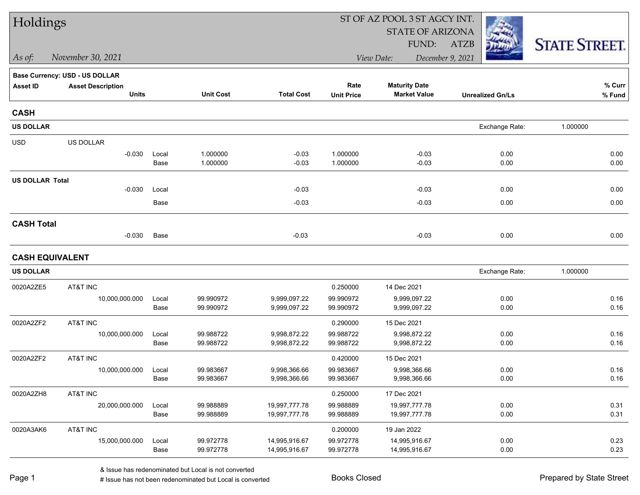| Holdings               |                                       |               |                        |                                |                        | ST OF AZ POOL 3 ST AGCY INT.   |                         |                      |
|------------------------|---------------------------------------|---------------|------------------------|--------------------------------|------------------------|--------------------------------|-------------------------|----------------------|
|                        |                                       |               |                        |                                |                        | <b>STATE OF ARIZONA</b>        |                         |                      |
|                        |                                       |               |                        |                                |                        | FUND:                          | <b>ATZB</b>             | <b>STATE STREET.</b> |
| $As$ of:               | November 30, 2021                     |               |                        |                                |                        | View Date:                     | December 9, 2021        |                      |
|                        | <b>Base Currency: USD - US DOLLAR</b> |               |                        |                                |                        |                                |                         |                      |
| <b>Asset ID</b>        | <b>Asset Description</b>              |               |                        |                                | Rate                   | <b>Maturity Date</b>           |                         | $%$ Curr             |
|                        | <b>Units</b>                          |               | <b>Unit Cost</b>       | <b>Total Cost</b>              | <b>Unit Price</b>      | <b>Market Value</b>            | <b>Unrealized Gn/Ls</b> | % Fund               |
| <b>CASH</b>            |                                       |               |                        |                                |                        |                                |                         |                      |
| <b>US DOLLAR</b>       |                                       |               |                        |                                |                        |                                | Exchange Rate:          | 1.000000             |
| <b>USD</b>             | US DOLLAR                             |               |                        |                                |                        |                                |                         |                      |
|                        | $-0.030$                              | Local         | 1.000000               | $-0.03$                        | 1.000000               | $-0.03$                        | 0.00                    | 0.00                 |
|                        |                                       | Base          | 1.000000               | $-0.03$                        | 1.000000               | $-0.03$                        | 0.00                    | 0.00                 |
| <b>US DOLLAR Total</b> |                                       |               |                        |                                |                        |                                |                         |                      |
|                        | $-0.030$                              | Local         |                        | $-0.03$                        |                        | $-0.03$                        | 0.00                    | 0.00                 |
|                        |                                       | Base          |                        | $-0.03$                        |                        | $-0.03$                        | 0.00                    | 0.00                 |
| <b>CASH Total</b>      |                                       |               |                        |                                |                        |                                |                         |                      |
|                        | $-0.030$                              | Base          |                        | $-0.03$                        |                        | $-0.03$                        | 0.00                    | 0.00                 |
|                        | <b>CASH EQUIVALENT</b>                |               |                        |                                |                        |                                |                         |                      |
| <b>US DOLLAR</b>       |                                       |               |                        |                                |                        |                                | Exchange Rate:          | 1.000000             |
| 0020A2ZE5              | AT&T INC                              |               |                        |                                | 0.250000               | 14 Dec 2021                    |                         |                      |
|                        | 10,000,000.000                        | Local         | 99.990972              | 9,999,097.22                   | 99.990972              | 9,999,097.22                   | 0.00                    | 0.16                 |
|                        |                                       | Base          | 99.990972              | 9,999,097.22                   | 99.990972              | 9,999,097.22                   | 0.00                    | 0.16                 |
| 0020A2ZF2              | AT&T INC                              |               |                        |                                | 0.290000               | 15 Dec 2021                    |                         |                      |
|                        | 10,000,000.000                        | Local         | 99.988722              | 9,998,872.22                   | 99.988722              | 9,998,872.22                   | 0.00                    | 0.16                 |
|                        |                                       | Base          | 99.988722              | 9,998,872.22                   | 99.988722              | 9,998,872.22                   | 0.00                    | 0.16                 |
| 0020A2ZF2              | AT&T INC                              |               |                        |                                | 0.420000               | 15 Dec 2021                    |                         |                      |
|                        | 10,000,000.000                        | Local         | 99.983667              | 9,998,366.66                   | 99.983667              | 9,998,366.66                   | 0.00                    | 0.16                 |
|                        |                                       | Base          | 99.983667              | 9,998,366.66                   | 99.983667              | 9,998,366.66                   | 0.00                    | 0.16                 |
| 0020A2ZH8              | AT&T INC                              |               |                        |                                | 0.250000               | 17 Dec 2021                    |                         |                      |
|                        | 20,000,000.000                        | Local         | 99.988889              | 19,997,777.78                  | 99.988889              | 19,997,777.78                  | 0.00                    | 0.31                 |
|                        |                                       | Base          | 99.988889              | 19,997,777.78                  | 99.988889              | 19,997,777.78                  | 0.00                    | 0.31                 |
| 0020A3AK6              | AT&T INC                              |               |                        |                                | 0.200000               | 19 Jan 2022                    |                         |                      |
|                        | 15,000,000.000                        | Local<br>Base | 99.972778<br>99.972778 | 14,995,916.67<br>14,995,916.67 | 99.972778<br>99.972778 | 14,995,916.67<br>14,995,916.67 | 0.00<br>0.00            | 0.23<br>0.23         |
|                        |                                       |               |                        |                                |                        |                                |                         |                      |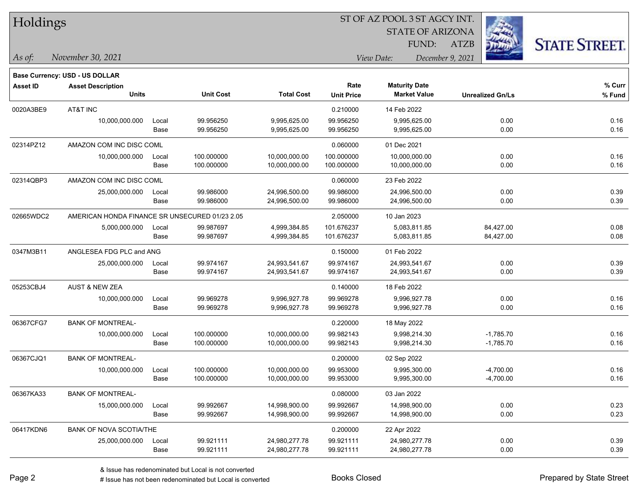| Holdings  |                                                |               |                          | ST OF AZ POOL 3 ST AGCY INT.   |                           |                                             |                            |                      |  |  |
|-----------|------------------------------------------------|---------------|--------------------------|--------------------------------|---------------------------|---------------------------------------------|----------------------------|----------------------|--|--|
|           |                                                |               |                          |                                |                           | <b>STATE OF ARIZONA</b>                     |                            |                      |  |  |
|           |                                                |               |                          |                                |                           | FUND:                                       | <b>ATZB</b>                | <b>STATE STREET.</b> |  |  |
| $As$ of:  | November 30, 2021                              |               |                          |                                |                           | View Date:                                  | December 9, 2021           |                      |  |  |
|           | Base Currency: USD - US DOLLAR                 |               |                          |                                |                           |                                             |                            |                      |  |  |
| Asset ID  | <b>Asset Description</b><br><b>Units</b>       |               | <b>Unit Cost</b>         | <b>Total Cost</b>              | Rate<br><b>Unit Price</b> | <b>Maturity Date</b><br><b>Market Value</b> | <b>Unrealized Gn/Ls</b>    | % Curr<br>% Fund     |  |  |
| 0020A3BE9 | AT&T INC                                       |               |                          |                                | 0.210000                  | 14 Feb 2022                                 |                            |                      |  |  |
|           | 10,000,000.000                                 | Local<br>Base | 99.956250<br>99.956250   | 9,995,625.00<br>9,995,625.00   | 99.956250<br>99.956250    | 9,995,625.00<br>9,995,625.00                | 0.00<br>0.00               | 0.16<br>0.16         |  |  |
| 02314PZ12 | AMAZON COM INC DISC COML                       |               |                          |                                | 0.060000                  | 01 Dec 2021                                 |                            |                      |  |  |
|           | 10,000,000.000                                 | Local<br>Base | 100.000000<br>100.000000 | 10,000,000.00<br>10,000,000.00 | 100.000000<br>100.000000  | 10,000,000.00<br>10,000,000.00              | 0.00<br>0.00               | 0.16<br>0.16         |  |  |
| 02314QBP3 | AMAZON COM INC DISC COML                       |               |                          |                                | 0.060000                  | 23 Feb 2022                                 |                            |                      |  |  |
|           | 25,000,000.000                                 | Local<br>Base | 99.986000<br>99.986000   | 24,996,500.00<br>24,996,500.00 | 99.986000<br>99.986000    | 24,996,500.00<br>24,996,500.00              | 0.00<br>0.00               | 0.39<br>0.39         |  |  |
| 02665WDC2 | AMERICAN HONDA FINANCE SR UNSECURED 01/23 2.05 |               |                          |                                | 2.050000                  | 10 Jan 2023                                 |                            |                      |  |  |
|           | 5,000,000.000                                  | Local<br>Base | 99.987697<br>99.987697   | 4,999,384.85<br>4,999,384.85   | 101.676237<br>101.676237  | 5,083,811.85<br>5,083,811.85                | 84,427.00<br>84,427.00     | 0.08<br>0.08         |  |  |
| 0347M3B11 | ANGLESEA FDG PLC and ANG                       |               |                          |                                | 0.150000                  | 01 Feb 2022                                 |                            |                      |  |  |
|           | 25,000,000.000                                 | Local<br>Base | 99.974167<br>99.974167   | 24,993,541.67<br>24,993,541.67 | 99.974167<br>99.974167    | 24,993,541.67<br>24,993,541.67              | 0.00<br>0.00               | 0.39<br>0.39         |  |  |
| 05253CBJ4 | <b>AUST &amp; NEW ZEA</b>                      |               |                          |                                | 0.140000                  | 18 Feb 2022                                 |                            |                      |  |  |
|           | 10,000,000.000                                 | Local<br>Base | 99.969278<br>99.969278   | 9,996,927.78<br>9,996,927.78   | 99.969278<br>99.969278    | 9,996,927.78<br>9,996,927.78                | 0.00<br>0.00               | 0.16<br>0.16         |  |  |
| 06367CFG7 | <b>BANK OF MONTREAL-</b>                       |               |                          |                                | 0.220000                  | 18 May 2022                                 |                            |                      |  |  |
|           | 10,000,000.000                                 | Local<br>Base | 100.000000<br>100.000000 | 10,000,000.00<br>10,000,000.00 | 99.982143<br>99.982143    | 9,998,214.30<br>9,998,214.30                | $-1,785.70$<br>$-1,785.70$ | 0.16<br>0.16         |  |  |
| 06367CJQ1 | <b>BANK OF MONTREAL-</b>                       |               |                          |                                | 0.200000                  | 02 Sep 2022                                 |                            |                      |  |  |
|           | 10,000,000.000                                 | Local<br>Base | 100.000000<br>100.000000 | 10,000,000.00<br>10,000,000.00 | 99.953000<br>99.953000    | 9,995,300.00<br>9,995,300.00                | $-4,700.00$<br>$-4,700.00$ | 0.16<br>0.16         |  |  |
| 06367KA33 | <b>BANK OF MONTREAL-</b>                       |               |                          |                                | 0.080000                  | 03 Jan 2022                                 |                            |                      |  |  |
|           | 15,000,000.000                                 | Local<br>Base | 99.992667<br>99.992667   | 14,998,900.00<br>14,998,900.00 | 99.992667<br>99.992667    | 14,998,900.00<br>14,998,900.00              | 0.00<br>0.00               | 0.23<br>0.23         |  |  |

06417KDN6 BANK OF NOVA SCOTIA/THE 0.20000 22 Apr 2022

Base 99.921111 24,980,277.78 99.921111 24,980,277.78 0.00 0.39

25,000,000.000 Local 99.921111 24,980,277.78 99.921111 24,980,277.78 0.00 0.39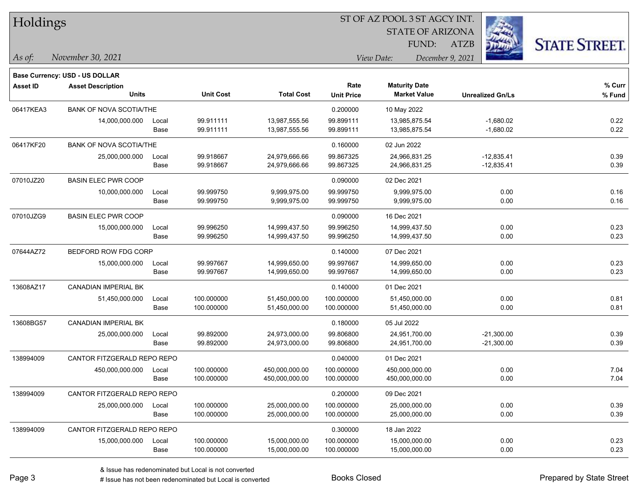| Holdings        |                                |       |                  |                   | ST OF AZ POOL 3 ST AGCY INT. |                         |                         |                      |  |  |
|-----------------|--------------------------------|-------|------------------|-------------------|------------------------------|-------------------------|-------------------------|----------------------|--|--|
|                 |                                |       |                  |                   |                              | <b>STATE OF ARIZONA</b> |                         |                      |  |  |
|                 |                                |       |                  |                   |                              | FUND:                   | <b>ATZB</b>             | <b>STATE STREET.</b> |  |  |
| As of:          | November 30, 2021              |       |                  |                   |                              | View Date:              | December 9, 2021        |                      |  |  |
|                 | Base Currency: USD - US DOLLAR |       |                  |                   |                              |                         |                         |                      |  |  |
| <b>Asset ID</b> | <b>Asset Description</b>       |       |                  |                   | Rate                         | <b>Maturity Date</b>    |                         | % Curr               |  |  |
|                 | <b>Units</b>                   |       | <b>Unit Cost</b> | <b>Total Cost</b> | <b>Unit Price</b>            | <b>Market Value</b>     | <b>Unrealized Gn/Ls</b> | % Fund               |  |  |
| 06417KEA3       | <b>BANK OF NOVA SCOTIA/THE</b> |       |                  |                   | 0.200000                     | 10 May 2022             |                         |                      |  |  |
|                 | 14,000,000.000                 | Local | 99.911111        | 13,987,555.56     | 99.899111                    | 13,985,875.54           | $-1,680.02$             | 0.22                 |  |  |
|                 |                                | Base  | 99.911111        | 13,987,555.56     | 99.899111                    | 13,985,875.54           | $-1,680.02$             | 0.22                 |  |  |
| 06417KF20       | <b>BANK OF NOVA SCOTIA/THE</b> |       |                  |                   | 0.160000                     | 02 Jun 2022             |                         |                      |  |  |
|                 | 25,000,000.000                 | Local | 99.918667        | 24,979,666.66     | 99.867325                    | 24,966,831.25           | $-12,835.41$            | 0.39                 |  |  |
|                 |                                | Base  | 99.918667        | 24,979,666.66     | 99.867325                    | 24,966,831.25           | $-12,835.41$            | 0.39                 |  |  |
| 07010JZ20       | <b>BASIN ELEC PWR COOP</b>     |       |                  |                   | 0.090000                     | 02 Dec 2021             |                         |                      |  |  |
|                 | 10,000,000.000                 | Local | 99.999750        | 9,999,975.00      | 99.999750                    | 9,999,975.00            | 0.00                    | 0.16                 |  |  |
|                 |                                | Base  | 99.999750        | 9,999,975.00      | 99.999750                    | 9,999,975.00            | 0.00                    | 0.16                 |  |  |
| 07010JZG9       | <b>BASIN ELEC PWR COOP</b>     |       |                  |                   | 0.090000                     | 16 Dec 2021             |                         |                      |  |  |
|                 | 15,000,000.000                 | Local | 99.996250        | 14,999,437.50     | 99.996250                    | 14,999,437.50           | 0.00                    | 0.23                 |  |  |
|                 |                                | Base  | 99.996250        | 14,999,437.50     | 99.996250                    | 14,999,437.50           | 0.00                    | 0.23                 |  |  |
| 07644AZ72       | BEDFORD ROW FDG CORP           |       |                  |                   | 0.140000                     | 07 Dec 2021             |                         |                      |  |  |
|                 | 15,000,000.000                 | Local | 99.997667        | 14,999,650.00     | 99.997667                    | 14,999,650.00           | 0.00                    | 0.23                 |  |  |
|                 |                                | Base  | 99.997667        | 14,999,650.00     | 99.997667                    | 14,999,650.00           | 0.00                    | 0.23                 |  |  |
| 13608AZ17       | CANADIAN IMPERIAL BK           |       |                  |                   | 0.140000                     | 01 Dec 2021             |                         |                      |  |  |
|                 | 51,450,000.000                 | Local | 100.000000       | 51,450,000.00     | 100.000000                   | 51,450,000.00           | 0.00                    | 0.81                 |  |  |
|                 |                                | Base  | 100.000000       | 51,450,000.00     | 100.000000                   | 51,450,000.00           | 0.00                    | 0.81                 |  |  |
| 13608BG57       | CANADIAN IMPERIAL BK           |       |                  |                   | 0.180000                     | 05 Jul 2022             |                         |                      |  |  |
|                 | 25,000,000.000                 | Local | 99.892000        | 24,973,000.00     | 99.806800                    | 24,951,700.00           | $-21,300.00$            | 0.39                 |  |  |
|                 |                                | Base  | 99.892000        | 24,973,000.00     | 99.806800                    | 24,951,700.00           | $-21,300.00$            | 0.39                 |  |  |
| 138994009       | CANTOR FITZGERALD REPO REPO    |       |                  |                   | 0.040000                     | 01 Dec 2021             |                         |                      |  |  |
|                 | 450,000,000.000                | Local | 100.000000       | 450,000,000.00    | 100.000000                   | 450,000,000.00          | 0.00                    | 7.04                 |  |  |
|                 |                                | Base  | 100.000000       | 450,000,000.00    | 100.000000                   | 450,000,000.00          | 0.00                    | 7.04                 |  |  |
| 138994009       | CANTOR FITZGERALD REPO REPO    |       |                  |                   | 0.200000                     | 09 Dec 2021             |                         |                      |  |  |
|                 | 25,000,000.000                 | Local | 100.000000       | 25,000,000.00     | 100.000000                   | 25,000,000.00           | 0.00                    | 0.39                 |  |  |
|                 |                                | Base  | 100.000000       | 25,000,000.00     | 100.000000                   | 25,000,000.00           | 0.00                    | 0.39                 |  |  |
| 138994009       | CANTOR FITZGERALD REPO REPO    |       |                  |                   | 0.300000                     | 18 Jan 2022             |                         |                      |  |  |
|                 | 15,000,000.000                 | Local | 100.000000       | 15,000,000.00     | 100.000000                   | 15,000,000.00           | 0.00                    | 0.23                 |  |  |
|                 |                                | Base  | 100.000000       | 15,000,000.00     | 100.000000                   | 15,000,000.00           | 0.00                    | 0.23                 |  |  |

 $\overline{\phantom{0}}$ 

 $\overline{\phantom{a}}$ 

 $\overline{\phantom{0}}$ 

 $\overline{\phantom{0}}$ 

 $\overline{\phantom{a}}$ 

 $\overline{\phantom{0}}$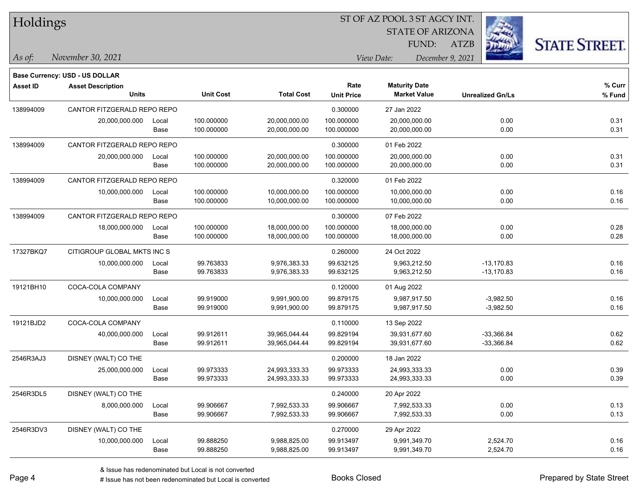|  | Holdings |
|--|----------|
|--|----------|

STATE OF ARIZONA

ATZB



*November 30, 2021 As of: View Date: December 9, 2021*

**Base Currency: USD - US DOLLAR**

FUND:

| <b>Asset ID</b> | <b>Asset Description</b>    |       |                  |                   | Rate              | <b>Maturity Date</b> |                         | % Curr |
|-----------------|-----------------------------|-------|------------------|-------------------|-------------------|----------------------|-------------------------|--------|
|                 | Units                       |       | <b>Unit Cost</b> | <b>Total Cost</b> | <b>Unit Price</b> | <b>Market Value</b>  | <b>Unrealized Gn/Ls</b> | % Fund |
| 138994009       | CANTOR FITZGERALD REPO REPO |       |                  |                   | 0.300000          | 27 Jan 2022          |                         |        |
|                 | 20,000,000.000              | Local | 100.000000       | 20,000,000.00     | 100.000000        | 20,000,000.00        | 0.00                    | 0.31   |
|                 |                             | Base  | 100.000000       | 20,000,000.00     | 100.000000        | 20,000,000.00        | 0.00                    | 0.31   |
| 138994009       | CANTOR FITZGERALD REPO REPO |       |                  |                   | 0.300000          | 01 Feb 2022          |                         |        |
|                 | 20,000,000.000              | Local | 100.000000       | 20,000,000.00     | 100.000000        | 20,000,000.00        | 0.00                    | 0.31   |
|                 |                             | Base  | 100.000000       | 20,000,000.00     | 100.000000        | 20,000,000.00        | 0.00                    | 0.31   |
| 138994009       | CANTOR FITZGERALD REPO REPO |       |                  |                   | 0.320000          | 01 Feb 2022          |                         |        |
|                 | 10,000,000.000              | Local | 100.000000       | 10,000,000.00     | 100.000000        | 10,000,000.00        | 0.00                    | 0.16   |
|                 |                             | Base  | 100.000000       | 10,000,000.00     | 100.000000        | 10,000,000.00        | 0.00                    | 0.16   |
| 138994009       | CANTOR FITZGERALD REPO REPO |       |                  |                   | 0.300000          | 07 Feb 2022          |                         |        |
|                 | 18,000,000.000              | Local | 100.000000       | 18,000,000.00     | 100.000000        | 18,000,000.00        | 0.00                    | 0.28   |
|                 |                             | Base  | 100.000000       | 18,000,000.00     | 100.000000        | 18,000,000.00        | 0.00                    | 0.28   |
| 17327BKQ7       | CITIGROUP GLOBAL MKTS INC S |       |                  |                   | 0.260000          | 24 Oct 2022          |                         |        |
|                 | 10,000,000.000              | Local | 99.763833        | 9,976,383.33      | 99.632125         | 9,963,212.50         | $-13,170.83$            | 0.16   |
|                 |                             | Base  | 99.763833        | 9,976,383.33      | 99.632125         | 9,963,212.50         | $-13,170.83$            | 0.16   |
| 19121BH10       | COCA-COLA COMPANY           |       |                  |                   | 0.120000          | 01 Aug 2022          |                         |        |
|                 | 10,000,000.000              | Local | 99.919000        | 9,991,900.00      | 99.879175         | 9,987,917.50         | $-3,982.50$             | 0.16   |
|                 |                             | Base  | 99.919000        | 9,991,900.00      | 99.879175         | 9,987,917.50         | $-3,982.50$             | 0.16   |
| 19121BJD2       | COCA-COLA COMPANY           |       |                  |                   | 0.110000          | 13 Sep 2022          |                         |        |
|                 | 40,000,000.000              | Local | 99.912611        | 39,965,044.44     | 99.829194         | 39,931,677.60        | $-33,366.84$            | 0.62   |
|                 |                             | Base  | 99.912611        | 39,965,044.44     | 99.829194         | 39,931,677.60        | $-33,366.84$            | 0.62   |
| 2546R3AJ3       | DISNEY (WALT) CO THE        |       |                  |                   | 0.200000          | 18 Jan 2022          |                         |        |
|                 | 25,000,000.000              | Local | 99.973333        | 24,993,333.33     | 99.973333         | 24,993,333.33        | 0.00                    | 0.39   |
|                 |                             | Base  | 99.973333        | 24,993,333.33     | 99.973333         | 24,993,333.33        | 0.00                    | 0.39   |
| 2546R3DL5       | DISNEY (WALT) CO THE        |       |                  |                   | 0.240000          | 20 Apr 2022          |                         |        |
|                 | 8,000,000.000               | Local | 99.906667        | 7,992,533.33      | 99.906667         | 7,992,533.33         | 0.00                    | 0.13   |
|                 |                             | Base  | 99.906667        | 7,992,533.33      | 99.906667         | 7,992,533.33         | 0.00                    | 0.13   |
| 2546R3DV3       | DISNEY (WALT) CO THE        |       |                  |                   | 0.270000          | 29 Apr 2022          |                         |        |
|                 | 10,000,000.000              | Local | 99.888250        | 9,988,825.00      | 99.913497         | 9,991,349.70         | 2,524.70                | 0.16   |
|                 |                             | Base  | 99.888250        | 9,988,825.00      | 99.913497         | 9,991,349.70         | 2,524.70                | 0.16   |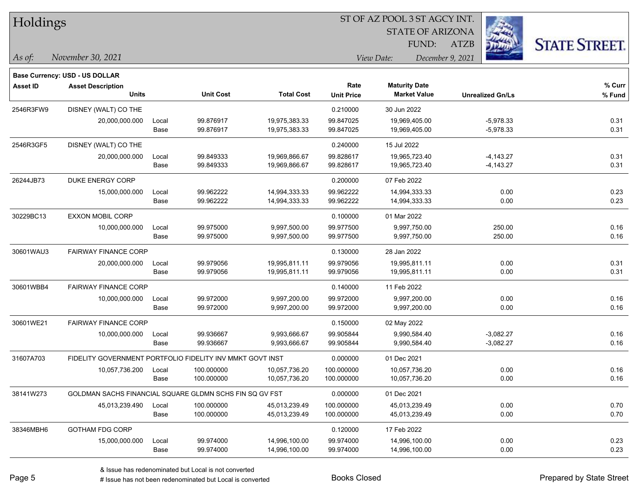| Holdings  |                                                           |       |                  |                   | ST OF AZ POOL 3 ST AGCY INT. |                                |                           |                      |  |  |
|-----------|-----------------------------------------------------------|-------|------------------|-------------------|------------------------------|--------------------------------|---------------------------|----------------------|--|--|
|           |                                                           |       |                  |                   |                              | <b>STATE OF ARIZONA</b>        |                           |                      |  |  |
|           |                                                           |       |                  |                   |                              | FUND:                          | $\mathcal{L}_\mu$<br>ATZB | <b>STATE STREET.</b> |  |  |
| As of:    | November 30, 2021                                         |       |                  |                   |                              | View Date:<br>December 9, 2021 |                           |                      |  |  |
|           | <b>Base Currency: USD - US DOLLAR</b>                     |       |                  |                   |                              |                                |                           |                      |  |  |
| Asset ID  | <b>Asset Description</b>                                  |       |                  |                   | Rate                         | <b>Maturity Date</b>           |                           | % Curr               |  |  |
|           | <b>Units</b>                                              |       | <b>Unit Cost</b> | <b>Total Cost</b> | <b>Unit Price</b>            | <b>Market Value</b>            | <b>Unrealized Gn/Ls</b>   | % Fund               |  |  |
| 2546R3FW9 | DISNEY (WALT) CO THE                                      |       |                  |                   | 0.210000                     | 30 Jun 2022                    |                           |                      |  |  |
|           | 20,000,000.000                                            | Local | 99.876917        | 19,975,383.33     | 99.847025                    | 19,969,405.00                  | $-5,978.33$               | 0.31                 |  |  |
|           |                                                           | Base  | 99.876917        | 19,975,383.33     | 99.847025                    | 19,969,405.00                  | $-5,978.33$               | 0.31                 |  |  |
| 2546R3GF5 | DISNEY (WALT) CO THE                                      |       |                  |                   | 0.240000                     | 15 Jul 2022                    |                           |                      |  |  |
|           | 20,000,000.000                                            | Local | 99.849333        | 19,969,866.67     | 99.828617                    | 19,965,723.40                  | $-4,143.27$               | 0.31                 |  |  |
|           |                                                           | Base  | 99.849333        | 19,969,866.67     | 99.828617                    | 19,965,723.40                  | $-4,143.27$               | 0.31                 |  |  |
| 26244JB73 | DUKE ENERGY CORP                                          |       |                  |                   | 0.200000                     | 07 Feb 2022                    |                           |                      |  |  |
|           | 15,000,000.000                                            | Local | 99.962222        | 14,994,333.33     | 99.962222                    | 14,994,333.33                  | 0.00                      | 0.23                 |  |  |
|           |                                                           | Base  | 99.962222        | 14,994,333.33     | 99.962222                    | 14,994,333.33                  | 0.00                      | 0.23                 |  |  |
| 30229BC13 | <b>EXXON MOBIL CORP</b>                                   |       |                  |                   | 0.100000                     | 01 Mar 2022                    |                           |                      |  |  |
|           | 10,000,000.000                                            | Local | 99.975000        | 9,997,500.00      | 99.977500                    | 9,997,750.00                   | 250.00                    | 0.16                 |  |  |
|           |                                                           | Base  | 99.975000        | 9,997,500.00      | 99.977500                    | 9,997,750.00                   | 250.00                    | 0.16                 |  |  |
| 30601WAU3 | <b>FAIRWAY FINANCE CORP</b>                               |       |                  |                   | 0.130000                     | 28 Jan 2022                    |                           |                      |  |  |
|           | 20,000,000.000                                            | Local | 99.979056        | 19,995,811.11     | 99.979056                    | 19,995,811.11                  | 0.00                      | 0.31                 |  |  |
|           |                                                           | Base  | 99.979056        | 19,995,811.11     | 99.979056                    | 19,995,811.11                  | 0.00                      | 0.31                 |  |  |
| 30601WBB4 | FAIRWAY FINANCE CORP                                      |       |                  |                   | 0.140000                     | 11 Feb 2022                    |                           |                      |  |  |
|           | 10,000,000.000                                            | Local | 99.972000        | 9,997,200.00      | 99.972000                    | 9,997,200.00                   | 0.00                      | 0.16                 |  |  |
|           |                                                           | Base  | 99.972000        | 9,997,200.00      | 99.972000                    | 9,997,200.00                   | 0.00                      | 0.16                 |  |  |
| 30601WE21 | <b>FAIRWAY FINANCE CORP</b>                               |       |                  |                   | 0.150000                     | 02 May 2022                    |                           |                      |  |  |
|           | 10,000,000.000                                            | Local | 99.936667        | 9,993,666.67      | 99.905844                    | 9,990,584.40                   | $-3,082.27$               | 0.16                 |  |  |
|           |                                                           | Base  | 99.936667        | 9,993,666.67      | 99.905844                    | 9,990,584.40                   | $-3,082.27$               | 0.16                 |  |  |
| 31607A703 | FIDELITY GOVERNMENT PORTFOLIO FIDELITY INV MMKT GOVT INST |       |                  |                   | 0.000000                     | 01 Dec 2021                    |                           |                      |  |  |
|           | 10,057,736.200                                            | Local | 100.000000       | 10,057,736.20     | 100.000000                   | 10,057,736.20                  | 0.00                      | 0.16                 |  |  |
|           |                                                           | Base  | 100.000000       | 10,057,736.20     | 100.000000                   | 10,057,736.20                  | $0.00\,$                  | 0.16                 |  |  |
| 38141W273 | GOLDMAN SACHS FINANCIAL SQUARE GLDMN SCHS FIN SQ GV FST   |       |                  |                   | 0.000000                     | 01 Dec 2021                    |                           |                      |  |  |
|           | 45,013,239.490                                            | Local | 100.000000       | 45,013,239.49     | 100.000000                   | 45,013,239.49                  | 0.00                      | 0.70                 |  |  |
|           |                                                           | Base  | 100.000000       | 45,013,239.49     | 100.000000                   | 45,013,239.49                  | 0.00                      | 0.70                 |  |  |
| 38346MBH6 | <b>GOTHAM FDG CORP</b>                                    |       |                  |                   | 0.120000                     | 17 Feb 2022                    |                           |                      |  |  |
|           | 15,000,000.000                                            | Local | 99.974000        | 14,996,100.00     | 99.974000                    | 14,996,100.00                  | 0.00                      | 0.23                 |  |  |
|           |                                                           | Base  | 99.974000        | 14,996,100.00     | 99.974000                    | 14,996,100.00                  | 0.00                      | 0.23                 |  |  |

-

۰

-

 $\overline{\phantom{0}}$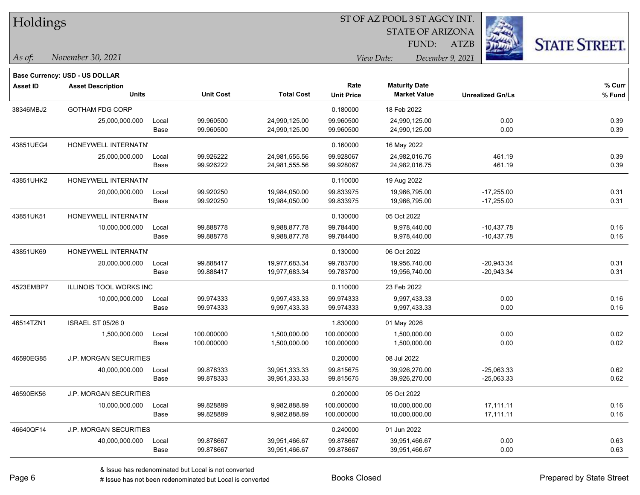| Holdings        |                                |       |                  |                   |                   | ST OF AZ POOL 3 ST AGCY INT.   |                         |                      |
|-----------------|--------------------------------|-------|------------------|-------------------|-------------------|--------------------------------|-------------------------|----------------------|
|                 |                                |       |                  |                   |                   | <b>STATE OF ARIZONA</b>        |                         |                      |
|                 |                                |       |                  |                   |                   | FUND:                          | <b>ATZB</b>             | <b>STATE STREET.</b> |
| As of:          | November 30, 2021              |       |                  |                   |                   | View Date:<br>December 9, 2021 |                         |                      |
|                 | Base Currency: USD - US DOLLAR |       |                  |                   |                   |                                |                         |                      |
| <b>Asset ID</b> | <b>Asset Description</b>       |       |                  |                   | Rate              | <b>Maturity Date</b>           |                         | % Curr               |
|                 | <b>Units</b>                   |       | <b>Unit Cost</b> | <b>Total Cost</b> | <b>Unit Price</b> | <b>Market Value</b>            | <b>Unrealized Gn/Ls</b> | % Fund               |
| 38346MBJ2       | <b>GOTHAM FDG CORP</b>         |       |                  |                   | 0.180000          | 18 Feb 2022                    |                         |                      |
|                 | 25,000,000.000                 | Local | 99.960500        | 24,990,125.00     | 99.960500         | 24,990,125.00                  | 0.00                    | 0.39                 |
|                 |                                | Base  | 99.960500        | 24,990,125.00     | 99.960500         | 24,990,125.00                  | 0.00                    | 0.39                 |
| 43851UEG4       | HONEYWELL INTERNATN'           |       |                  |                   | 0.160000          | 16 May 2022                    |                         |                      |
|                 | 25,000,000.000                 | Local | 99.926222        | 24,981,555.56     | 99.928067         | 24,982,016.75                  | 461.19                  | 0.39                 |
|                 |                                | Base  | 99.926222        | 24,981,555.56     | 99.928067         | 24,982,016.75                  | 461.19                  | 0.39                 |
| 43851UHK2       | HONEYWELL INTERNATN'           |       |                  |                   | 0.110000          | 19 Aug 2022                    |                         |                      |
|                 | 20,000,000.000                 | Local | 99.920250        | 19,984,050.00     | 99.833975         | 19,966,795.00                  | $-17,255.00$            | 0.31                 |
|                 |                                | Base  | 99.920250        | 19,984,050.00     | 99.833975         | 19,966,795.00                  | $-17,255.00$            | 0.31                 |
| 43851UK51       | HONEYWELL INTERNATN'           |       |                  |                   | 0.130000          | 05 Oct 2022                    |                         |                      |
|                 | 10,000,000.000                 | Local | 99.888778        | 9,988,877.78      | 99.784400         | 9,978,440.00                   | $-10,437.78$            | 0.16                 |
|                 |                                | Base  | 99.888778        | 9,988,877.78      | 99.784400         | 9,978,440.00                   | $-10,437.78$            | 0.16                 |
| 43851UK69       | HONEYWELL INTERNATN'           |       |                  |                   | 0.130000          | 06 Oct 2022                    |                         |                      |
|                 | 20,000,000.000                 | Local | 99.888417        | 19,977,683.34     | 99.783700         | 19,956,740.00                  | $-20,943.34$            | 0.31                 |
|                 |                                | Base  | 99.888417        | 19,977,683.34     | 99.783700         | 19,956,740.00                  | $-20,943.34$            | 0.31                 |
| 4523EMBP7       | <b>ILLINOIS TOOL WORKS INC</b> |       |                  |                   | 0.110000          | 23 Feb 2022                    |                         |                      |
|                 | 10,000,000.000                 | Local | 99.974333        | 9,997,433.33      | 99.974333         | 9,997,433.33                   | 0.00                    | 0.16                 |
|                 |                                | Base  | 99.974333        | 9,997,433.33      | 99.974333         | 9,997,433.33                   | 0.00                    | 0.16                 |
| 46514TZN1       | <b>ISRAEL ST 05/26 0</b>       |       |                  |                   | 1.830000          | 01 May 2026                    |                         |                      |
|                 | 1,500,000.000                  | Local | 100.000000       | 1,500,000.00      | 100.000000        | 1,500,000.00                   | 0.00                    | 0.02                 |
|                 |                                | Base  | 100.000000       | 1,500,000.00      | 100.000000        | 1,500,000.00                   | 0.00                    | 0.02                 |
| 46590EG85       | J.P. MORGAN SECURITIES         |       |                  |                   | 0.200000          | 08 Jul 2022                    |                         |                      |
|                 | 40,000,000.000                 | Local | 99.878333        | 39,951,333.33     | 99.815675         | 39,926,270.00                  | -25,063.33              | 0.62                 |
|                 |                                | Base  | 99.878333        | 39,951,333.33     | 99.815675         | 39,926,270.00                  | $-25,063.33$            | 0.62                 |
| 46590EK56       | J.P. MORGAN SECURITIES         |       |                  |                   | 0.200000          | 05 Oct 2022                    |                         |                      |
|                 | 10,000,000.000                 | Local | 99.828889        | 9,982,888.89      | 100.000000        | 10,000,000.00                  | 17,111.11               | 0.16                 |
|                 |                                | Base  | 99.828889        | 9,982,888.89      | 100.000000        | 10,000,000.00                  | 17,111.11               | 0.16                 |
| 46640QF14       | <b>J.P. MORGAN SECURITIES</b>  |       |                  |                   | 0.240000          | 01 Jun 2022                    |                         |                      |
|                 | 40,000,000.000                 | Local | 99.878667        | 39,951,466.67     | 99.878667         | 39,951,466.67                  | 0.00                    | 0.63                 |

Base 99.878667 39,951,466.67 99.878667 39,951,466.67 0.00 0.63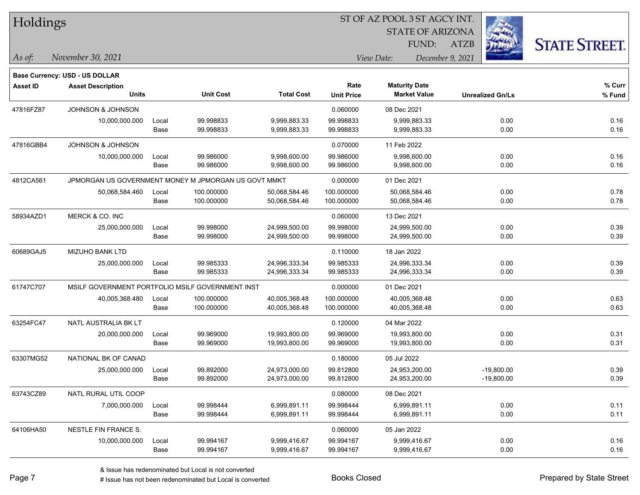| Holdings        |                                       |       |                                                      |                   |                   | ST OF AZ POOL 3 ST AGCY INT |                         |                         |                      |
|-----------------|---------------------------------------|-------|------------------------------------------------------|-------------------|-------------------|-----------------------------|-------------------------|-------------------------|----------------------|
|                 |                                       |       |                                                      |                   |                   |                             | <b>STATE OF ARIZONA</b> |                         |                      |
|                 |                                       |       |                                                      |                   |                   | FUND:                       | <b>ATZB</b>             |                         | <b>STATE STREET.</b> |
| As of:          | November 30, 2021                     |       |                                                      |                   |                   | View Date:                  | December 9, 2021        |                         |                      |
|                 | <b>Base Currency: USD - US DOLLAR</b> |       |                                                      |                   |                   |                             |                         |                         |                      |
| <b>Asset ID</b> | <b>Asset Description</b>              |       |                                                      |                   | Rate              | <b>Maturity Date</b>        |                         |                         | % Curr               |
|                 | <b>Units</b>                          |       | <b>Unit Cost</b>                                     | <b>Total Cost</b> | <b>Unit Price</b> | <b>Market Value</b>         |                         | <b>Unrealized Gn/Ls</b> | % Fund               |
| 47816FZ87       | <b>JOHNSON &amp; JOHNSON</b>          |       |                                                      |                   | 0.060000          | 08 Dec 2021                 |                         |                         |                      |
|                 | 10,000,000.000                        | Local | 99.998833                                            | 9,999,883.33      | 99.998833         | 9,999,883.33                |                         | 0.00                    | 0.16                 |
|                 |                                       | Base  | 99.998833                                            | 9,999,883.33      | 99.998833         | 9,999,883.33                |                         | 0.00                    | 0.16                 |
| 47816GBB4       | JOHNSON & JOHNSON                     |       |                                                      |                   | 0.070000          | 11 Feb 2022                 |                         |                         |                      |
|                 | 10,000,000.000                        | Local | 99.986000                                            | 9,998,600.00      | 99.986000         | 9,998,600.00                |                         | 0.00                    | 0.16                 |
|                 |                                       | Base  | 99.986000                                            | 9,998,600.00      | 99.986000         | 9,998,600.00                |                         | 0.00                    | 0.16                 |
| 4812CA561       |                                       |       | JPMORGAN US GOVERNMENT MONEY M JPMORGAN US GOVT MMKT |                   | 0.000000          | 01 Dec 2021                 |                         |                         |                      |
|                 | 50,068,584.460                        | Local | 100.000000                                           | 50,068,584.46     | 100.000000        | 50,068,584.46               |                         | 0.00                    | 0.78                 |
|                 |                                       | Base  | 100.000000                                           | 50,068,584.46     | 100.000000        | 50,068,584.46               |                         | 0.00                    | 0.78                 |
| 58934AZD1       | MERCK & CO. INC                       |       |                                                      |                   | 0.060000          | 13 Dec 2021                 |                         |                         |                      |
|                 | 25,000,000.000                        | Local | 99.998000                                            | 24,999,500.00     | 99.998000         | 24,999,500.00               |                         | 0.00                    | 0.39                 |
|                 |                                       | Base  | 99.998000                                            | 24,999,500.00     | 99.998000         | 24,999,500.00               |                         | 0.00                    | 0.39                 |
| 60689GAJ5       | <b>MIZUHO BANK LTD</b>                |       |                                                      |                   | 0.110000          | 18 Jan 2022                 |                         |                         |                      |
|                 | 25,000,000.000                        | Local | 99.985333                                            | 24,996,333.34     | 99.985333         | 24,996,333.34               |                         | 0.00                    | 0.39                 |
|                 |                                       | Base  | 99.985333                                            | 24,996,333.34     | 99.985333         | 24,996,333.34               |                         | 0.00                    | 0.39                 |
| 61747C707       |                                       |       | MSILF GOVERNMENT PORTFOLIO MSILF GOVERNMENT INST     |                   | 0.000000          | 01 Dec 2021                 |                         |                         |                      |
|                 | 40,005,368.480                        | Local | 100.000000                                           | 40,005,368.48     | 100.000000        | 40,005,368.48               |                         | 0.00                    | 0.63                 |
|                 |                                       | Base  | 100.000000                                           | 40,005,368.48     | 100.000000        | 40,005,368.48               |                         | 0.00                    | 0.63                 |
| 63254FC47       | NATL AUSTRALIA BK LT                  |       |                                                      |                   | 0.120000          | 04 Mar 2022                 |                         |                         |                      |
|                 | 20,000,000.000                        | Local | 99.969000                                            | 19,993,800.00     | 99.969000         | 19,993,800.00               |                         | 0.00                    | 0.31                 |
|                 |                                       | Base  | 99.969000                                            | 19,993,800.00     | 99.969000         | 19,993,800.00               |                         | 0.00                    | 0.31                 |
| 63307MG52       | NATIONAL BK OF CANAD                  |       |                                                      |                   | 0.180000          | 05 Jul 2022                 |                         |                         |                      |
|                 | 25,000,000.000                        | Local | 99.892000                                            | 24,973,000.00     | 99.812800         | 24,953,200.00               |                         | $-19,800.00$            | 0.39                 |
|                 |                                       | Base  | 99.892000                                            | 24,973,000.00     | 99.812800         | 24,953,200.00               |                         | $-19,800.00$            | 0.39                 |
| 63743CZ89       | NATL RURAL UTIL COOP                  |       |                                                      |                   | 0.080000          | 08 Dec 2021                 |                         |                         |                      |
|                 | 7,000,000.000                         | Local | 99.998444                                            | 6,999,891.11      | 99.998444         | 6,999,891.11                |                         | 0.00                    | 0.11                 |
|                 |                                       | Base  | 99.998444                                            | 6,999,891.11      | 99.998444         | 6,999,891.11                |                         | 0.00                    | 0.11                 |
| 64106HA50       | NESTLE FIN FRANCE S.                  |       |                                                      |                   | 0.060000          | 05 Jan 2022                 |                         |                         |                      |
|                 | 10,000,000.000                        | Local | 99.994167                                            | 9,999,416.67      | 99.994167         | 9,999,416.67                |                         | 0.00                    | 0.16                 |
|                 |                                       | Base  | 99.994167                                            | 9,999,416.67      | 99.994167         | 9,999,416.67                |                         | 0.00                    | 0.16                 |

 $\overline{\phantom{0}}$ 

 $\overline{\phantom{a}}$ 

 $\overline{\phantom{0}}$ 

 $\overline{\phantom{0}}$ 

 $\overline{\phantom{0}}$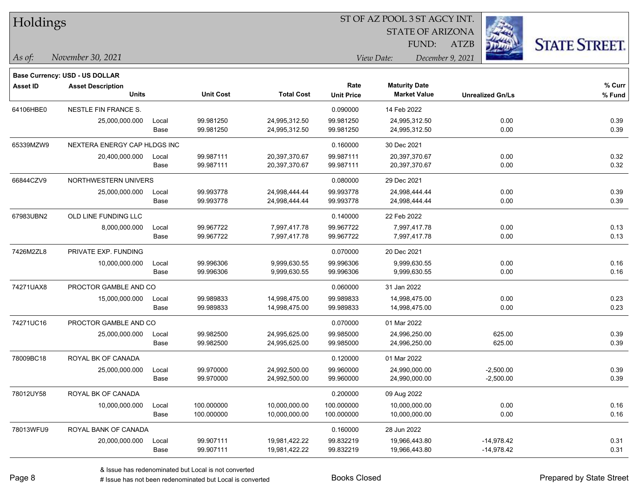| Holdings        |                                |       |                  | ST OF AZ POOL 3 ST AGCY INT. |                   |                                |                         |                      |  |  |
|-----------------|--------------------------------|-------|------------------|------------------------------|-------------------|--------------------------------|-------------------------|----------------------|--|--|
|                 |                                |       |                  |                              |                   | <b>STATE OF ARIZONA</b>        |                         |                      |  |  |
|                 |                                |       |                  |                              |                   | FUND:                          | <b>ATZB</b>             | <b>STATE STREET.</b> |  |  |
| As of:          | November 30, 2021              |       |                  |                              |                   | View Date:<br>December 9, 2021 |                         |                      |  |  |
|                 | Base Currency: USD - US DOLLAR |       |                  |                              |                   |                                |                         |                      |  |  |
| <b>Asset ID</b> | <b>Asset Description</b>       |       |                  |                              | Rate              | <b>Maturity Date</b>           |                         | % Curr               |  |  |
|                 | <b>Units</b>                   |       | <b>Unit Cost</b> | <b>Total Cost</b>            | <b>Unit Price</b> | <b>Market Value</b>            | <b>Unrealized Gn/Ls</b> | % Fund               |  |  |
| 64106HBE0       | NESTLE FIN FRANCE S.           |       |                  |                              | 0.090000          | 14 Feb 2022                    |                         |                      |  |  |
|                 | 25,000,000.000                 | Local | 99.981250        | 24,995,312.50                | 99.981250         | 24,995,312.50                  | 0.00                    | 0.39                 |  |  |
|                 |                                | Base  | 99.981250        | 24,995,312.50                | 99.981250         | 24,995,312.50                  | 0.00                    | 0.39                 |  |  |
| 65339MZW9       | NEXTERA ENERGY CAP HLDGS INC   |       |                  |                              | 0.160000          | 30 Dec 2021                    |                         |                      |  |  |
|                 | 20,400,000.000                 | Local | 99.987111        | 20,397,370.67                | 99.987111         | 20,397,370.67                  | 0.00                    | 0.32                 |  |  |
|                 |                                | Base  | 99.987111        | 20,397,370.67                | 99.987111         | 20,397,370.67                  | 0.00                    | 0.32                 |  |  |
| 66844CZV9       | NORTHWESTERN UNIVERS           |       |                  |                              | 0.080000          | 29 Dec 2021                    |                         |                      |  |  |
|                 | 25,000,000.000                 | Local | 99.993778        | 24,998,444.44                | 99.993778         | 24,998,444.44                  | 0.00                    | 0.39                 |  |  |
|                 |                                | Base  | 99.993778        | 24,998,444.44                | 99.993778         | 24,998,444.44                  | 0.00                    | 0.39                 |  |  |
| 67983UBN2       | OLD LINE FUNDING LLC           |       |                  |                              | 0.140000          | 22 Feb 2022                    |                         |                      |  |  |
|                 | 8,000,000.000                  | Local | 99.967722        | 7,997,417.78                 | 99.967722         | 7,997,417.78                   | 0.00                    | 0.13                 |  |  |
|                 |                                | Base  | 99.967722        | 7,997,417.78                 | 99.967722         | 7,997,417.78                   | 0.00                    | 0.13                 |  |  |
| 7426M2ZL8       | PRIVATE EXP. FUNDING           |       |                  |                              | 0.070000          | 20 Dec 2021                    |                         |                      |  |  |
|                 | 10,000,000.000                 | Local | 99.996306        | 9,999,630.55                 | 99.996306         | 9,999,630.55                   | 0.00                    | 0.16                 |  |  |
|                 |                                | Base  | 99.996306        | 9,999,630.55                 | 99.996306         | 9,999,630.55                   | 0.00                    | 0.16                 |  |  |
| 74271UAX8       | PROCTOR GAMBLE AND CO          |       |                  |                              | 0.060000          | 31 Jan 2022                    |                         |                      |  |  |
|                 | 15,000,000.000                 | Local | 99.989833        | 14,998,475.00                | 99.989833         | 14,998,475.00                  | 0.00                    | 0.23                 |  |  |
|                 |                                | Base  | 99.989833        | 14,998,475.00                | 99.989833         | 14,998,475.00                  | 0.00                    | 0.23                 |  |  |
| 74271UC16       | PROCTOR GAMBLE AND CO          |       |                  |                              | 0.070000          | 01 Mar 2022                    |                         |                      |  |  |
|                 | 25,000,000.000                 | Local | 99.982500        | 24,995,625.00                | 99.985000         | 24,996,250.00                  | 625.00                  | 0.39                 |  |  |
|                 |                                | Base  | 99.982500        | 24,995,625.00                | 99.985000         | 24,996,250.00                  | 625.00                  | 0.39                 |  |  |
| 78009BC18       | ROYAL BK OF CANADA             |       |                  |                              | 0.120000          | 01 Mar 2022                    |                         |                      |  |  |
|                 | 25,000,000.000                 | Local | 99.970000        | 24,992,500.00                | 99.960000         | 24,990,000.00                  | $-2,500.00$             | 0.39                 |  |  |
|                 |                                | Base  | 99.970000        | 24,992,500.00                | 99.960000         | 24,990,000.00                  | $-2,500.00$             | 0.39                 |  |  |
| 78012UY58       | ROYAL BK OF CANADA             |       |                  |                              | 0.200000          | 09 Aug 2022                    |                         |                      |  |  |
|                 | 10,000,000.000                 | Local | 100.000000       | 10,000,000.00                | 100.000000        | 10,000,000.00                  | 0.00                    | 0.16                 |  |  |
|                 |                                | Base  | 100.000000       | 10,000,000.00                | 100.000000        | 10,000,000.00                  | 0.00                    | 0.16                 |  |  |
| 78013WFU9       | ROYAL BANK OF CANADA           |       |                  |                              | 0.160000          | 28 Jun 2022                    |                         |                      |  |  |
|                 | 20,000,000.000                 | Local | 99.907111        | 19,981,422.22                | 99.832219         | 19,966,443.80                  | $-14,978.42$            | 0.31                 |  |  |
|                 |                                | Base  | 99.907111        | 19,981,422.22                | 99.832219         | 19,966,443.80                  | $-14,978.42$            | 0.31                 |  |  |

 $\overline{\phantom{0}}$ 

 $\overline{\phantom{0}}$ 

 $\overline{\phantom{a}}$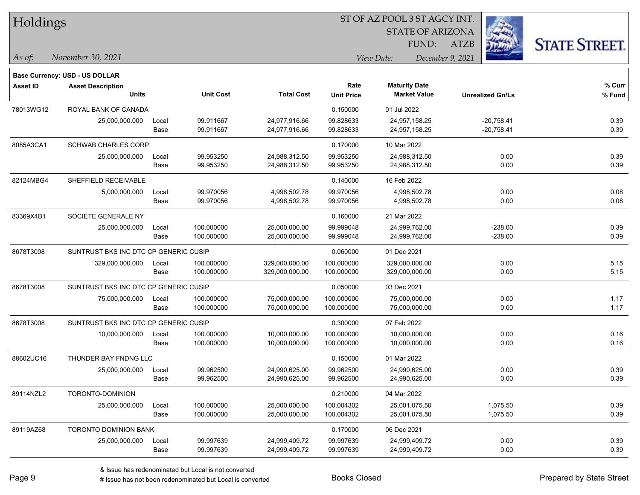| Holdings        |                                       |       |                  |                   |                   |                         |                         |                      |
|-----------------|---------------------------------------|-------|------------------|-------------------|-------------------|-------------------------|-------------------------|----------------------|
|                 |                                       |       |                  |                   |                   | <b>STATE OF ARIZONA</b> |                         |                      |
|                 |                                       |       |                  |                   |                   | FUND:                   | <b>ATZB</b>             | <b>STATE STREET.</b> |
| As of:          | November 30, 2021                     |       |                  |                   |                   | View Date:              | December 9, 2021        |                      |
|                 | <b>Base Currency: USD - US DOLLAR</b> |       |                  |                   |                   |                         |                         |                      |
| <b>Asset ID</b> | <b>Asset Description</b>              |       |                  |                   | Rate              | <b>Maturity Date</b>    |                         | % Curr               |
|                 | <b>Units</b>                          |       | <b>Unit Cost</b> | <b>Total Cost</b> | <b>Unit Price</b> | <b>Market Value</b>     | <b>Unrealized Gn/Ls</b> | % Fund               |
| 78013WG12       | ROYAL BANK OF CANADA                  |       |                  |                   | 0.150000          | 01 Jul 2022             |                         |                      |
|                 | 25,000,000.000                        | Local | 99.911667        | 24,977,916.66     | 99.828633         | 24,957,158.25           | $-20,758.41$            | 0.39                 |
|                 |                                       | Base  | 99.911667        | 24,977,916.66     | 99.828633         | 24,957,158.25           | $-20,758.41$            | 0.39                 |
| 8085A3CA1       | <b>SCHWAB CHARLES CORP</b>            |       |                  |                   | 0.170000          | 10 Mar 2022             |                         |                      |
|                 | 25,000,000.000                        | Local | 99.953250        | 24,988,312.50     | 99.953250         | 24,988,312.50           | 0.00                    | 0.39                 |
|                 |                                       | Base  | 99.953250        | 24,988,312.50     | 99.953250         | 24,988,312.50           | 0.00                    | 0.39                 |
| 82124MBG4       | SHEFFIELD RECEIVABLE                  |       |                  |                   | 0.140000          | 16 Feb 2022             |                         |                      |
|                 | 5,000,000.000                         | Local | 99.970056        | 4,998,502.78      | 99.970056         | 4,998,502.78            | 0.00                    | 0.08                 |
|                 |                                       | Base  | 99.970056        | 4,998,502.78      | 99.970056         | 4,998,502.78            | 0.00                    | 0.08                 |
| 83369X4B1       | SOCIETE GENERALE NY                   |       |                  |                   | 0.160000          | 21 Mar 2022             |                         |                      |
|                 | 25,000,000.000                        | Local | 100.000000       | 25,000,000.00     | 99.999048         | 24,999,762.00           | $-238.00$               | 0.39                 |
|                 |                                       | Base  | 100.000000       | 25,000,000.00     | 99.999048         | 24,999,762.00           | $-238.00$               | 0.39                 |
| 8678T3008       | SUNTRUST BKS INC DTC CP GENERIC CUSIP |       |                  |                   | 0.060000          | 01 Dec 2021             |                         |                      |
|                 | 329,000,000.000                       | Local | 100.000000       | 329,000,000.00    | 100.000000        | 329,000,000.00          | 0.00                    | 5.15                 |
|                 |                                       | Base  | 100.000000       | 329,000,000.00    | 100.000000        | 329,000,000.00          | 0.00                    | 5.15                 |
| 8678T3008       | SUNTRUST BKS INC DTC CP GENERIC CUSIP |       |                  |                   | 0.050000          | 03 Dec 2021             |                         |                      |
|                 | 75,000,000.000                        | Local | 100.000000       | 75,000,000.00     | 100.000000        | 75,000,000.00           | 0.00                    | 1.17                 |
|                 |                                       | Base  | 100.000000       | 75,000,000.00     | 100.000000        | 75,000,000.00           | 0.00                    | 1.17                 |
| 8678T3008       | SUNTRUST BKS INC DTC CP GENERIC CUSIP |       |                  |                   | 0.300000          | 07 Feb 2022             |                         |                      |
|                 | 10,000,000.000                        | Local | 100.000000       | 10,000,000.00     | 100.000000        | 10,000,000.00           | 0.00                    | 0.16                 |
|                 |                                       | Base  | 100.000000       | 10,000,000.00     | 100.000000        | 10,000,000.00           | 0.00                    | 0.16                 |
| 88602UC16       | THUNDER BAY FNDNG LLC                 |       |                  |                   | 0.150000          | 01 Mar 2022             |                         |                      |
|                 | 25,000,000.000                        | Local | 99.962500        | 24,990,625.00     | 99.962500         | 24,990,625.00           | 0.00                    | 0.39                 |
|                 |                                       | Base  | 99.962500        | 24,990,625.00     | 99.962500         | 24,990,625.00           | 0.00                    | 0.39                 |
| 89114NZL2       | TORONTO-DOMINION                      |       |                  |                   | 0.210000          | 04 Mar 2022             |                         |                      |
|                 | 25,000,000.000                        | Local | 100.000000       | 25,000,000.00     | 100.004302        | 25,001,075.50           | 1,075.50                | 0.39                 |
|                 |                                       | Base  | 100.000000       | 25,000,000.00     | 100.004302        | 25,001,075.50           | 1,075.50                | 0.39                 |
| 89119AZ68       | TORONTO DOMINION BANK                 |       |                  |                   | 0.170000          | 06 Dec 2021             |                         |                      |
|                 | 25,000,000.000                        | Local | 99.997639        | 24,999,409.72     | 99.997639         | 24,999,409.72           | 0.00                    | 0.39                 |
|                 |                                       | Base  | 99.997639        | 24,999,409.72     | 99.997639         | 24,999,409.72           | 0.00                    | 0.39                 |

 $\overline{\phantom{a}}$ 

 $\overline{\phantom{a}}$ 

 $\overline{\phantom{0}}$ 

 $\overline{\phantom{0}}$ 

 $\overline{\phantom{a}}$ 

 $\overline{\phantom{0}}$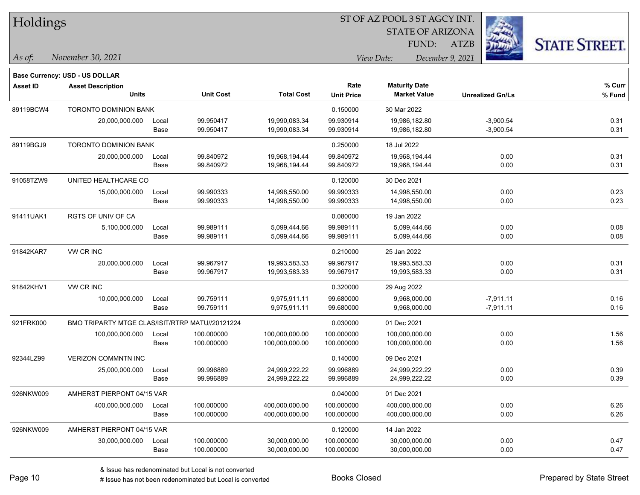| Holdings        |                                                 |       |                  |                   |                   |                         |                         |                      |
|-----------------|-------------------------------------------------|-------|------------------|-------------------|-------------------|-------------------------|-------------------------|----------------------|
|                 |                                                 |       |                  |                   |                   | <b>STATE OF ARIZONA</b> |                         |                      |
|                 |                                                 |       |                  |                   |                   | FUND:                   | <b>ATZB</b>             | <b>STATE STREET.</b> |
| $\vert$ As of:  | November 30, 2021                               |       |                  |                   |                   | View Date:              | December 9, 2021        |                      |
|                 |                                                 |       |                  |                   |                   |                         |                         |                      |
|                 | <b>Base Currency: USD - US DOLLAR</b>           |       |                  |                   | Rate              | <b>Maturity Date</b>    |                         | % Curr               |
| <b>Asset ID</b> | <b>Asset Description</b><br><b>Units</b>        |       | <b>Unit Cost</b> | <b>Total Cost</b> | <b>Unit Price</b> | <b>Market Value</b>     | <b>Unrealized Gn/Ls</b> | % Fund               |
| 89119BCW4       | <b>TORONTO DOMINION BANK</b>                    |       |                  |                   | 0.150000          | 30 Mar 2022             |                         |                      |
|                 | 20,000,000.000                                  | Local | 99.950417        | 19,990,083.34     | 99.930914         | 19,986,182.80           | $-3,900.54$             | 0.31                 |
|                 |                                                 | Base  | 99.950417        | 19,990,083.34     | 99.930914         | 19,986,182.80           | $-3,900.54$             | 0.31                 |
| 89119BGJ9       | TORONTO DOMINION BANK                           |       |                  |                   | 0.250000          | 18 Jul 2022             |                         |                      |
|                 | 20,000,000.000                                  | Local | 99.840972        | 19,968,194.44     | 99.840972         | 19,968,194.44           | 0.00                    | 0.31                 |
|                 |                                                 | Base  | 99.840972        | 19,968,194.44     | 99.840972         | 19,968,194.44           | 0.00                    | 0.31                 |
| 91058TZW9       | UNITED HEALTHCARE CO                            |       |                  |                   | 0.120000          | 30 Dec 2021             |                         |                      |
|                 | 15,000,000.000                                  | Local | 99.990333        | 14,998,550.00     | 99.990333         | 14,998,550.00           | 0.00                    | 0.23                 |
|                 |                                                 | Base  | 99.990333        | 14,998,550.00     | 99.990333         | 14,998,550.00           | 0.00                    | 0.23                 |
| 91411UAK1       | <b>RGTS OF UNIV OF CA</b>                       |       |                  |                   | 0.080000          | 19 Jan 2022             |                         |                      |
|                 | 5,100,000.000                                   | Local | 99.989111        | 5,099,444.66      | 99.989111         | 5,099,444.66            | 0.00                    | 0.08                 |
|                 |                                                 | Base  | 99.989111        | 5,099,444.66      | 99.989111         | 5,099,444.66            | 0.00                    | 0.08                 |
| 91842KAR7       | VW CR INC                                       |       |                  |                   | 0.210000          | 25 Jan 2022             |                         |                      |
|                 | 20,000,000.000                                  | Local | 99.967917        | 19,993,583.33     | 99.967917         | 19,993,583.33           | 0.00                    | 0.31                 |
|                 |                                                 | Base  | 99.967917        | 19,993,583.33     | 99.967917         | 19,993,583.33           | 0.00                    | 0.31                 |
| 91842KHV1       | VW CR INC                                       |       |                  |                   | 0.320000          | 29 Aug 2022             |                         |                      |
|                 | 10,000,000.000                                  | Local | 99.759111        | 9,975,911.11      | 99.680000         | 9,968,000.00            | $-7,911.11$             | 0.16                 |
|                 |                                                 | Base  | 99.759111        | 9,975,911.11      | 99.680000         | 9,968,000.00            | $-7,911.11$             | 0.16                 |
| 921FRK000       | BMO TRIPARTY MTGE CLAS/ISIT/RTRP MATU//20121224 |       |                  |                   | 0.030000          | 01 Dec 2021             |                         |                      |
|                 | 100,000,000.000                                 | Local | 100.000000       | 100,000,000.00    | 100.000000        | 100,000,000.00          | 0.00                    | 1.56                 |
|                 |                                                 | Base  | 100.000000       | 100,000,000.00    | 100.000000        | 100,000,000.00          | 0.00                    | 1.56                 |
| 92344LZ99       | <b>VERIZON COMMNTN INC</b>                      |       |                  |                   | 0.140000          | 09 Dec 2021             |                         |                      |
|                 | 25,000,000.000                                  | Local | 99.996889        | 24,999,222.22     | 99.996889         | 24,999,222.22           | 0.00                    | 0.39                 |
|                 |                                                 | Base  | 99.996889        | 24,999,222.22     | 99.996889         | 24,999,222.22           | 0.00                    | 0.39                 |
| 926NKW009       | AMHERST PIERPONT 04/15 VAR                      |       |                  |                   | 0.040000          | 01 Dec 2021             |                         |                      |
|                 | 400,000,000.000                                 | Local | 100.000000       | 400,000,000.00    | 100.000000        | 400,000,000.00          | 0.00                    | 6.26                 |
|                 |                                                 | Base  | 100.000000       | 400,000,000.00    | 100.000000        | 400,000,000.00          | 0.00                    | 6.26                 |
| 926NKW009       | AMHERST PIERPONT 04/15 VAR                      |       |                  |                   | 0.120000          | 14 Jan 2022             |                         |                      |
|                 | 30,000,000.000                                  | Local | 100.000000       | 30,000,000.00     | 100.000000        | 30,000,000.00           | 0.00                    | 0.47                 |
|                 |                                                 | Base  | 100.000000       | 30,000,000.00     | 100.000000        | 30,000,000.00           | 0.00                    | 0.47                 |

# Issue has not been redenominated but Local is converted Books Closed Prepared by State Street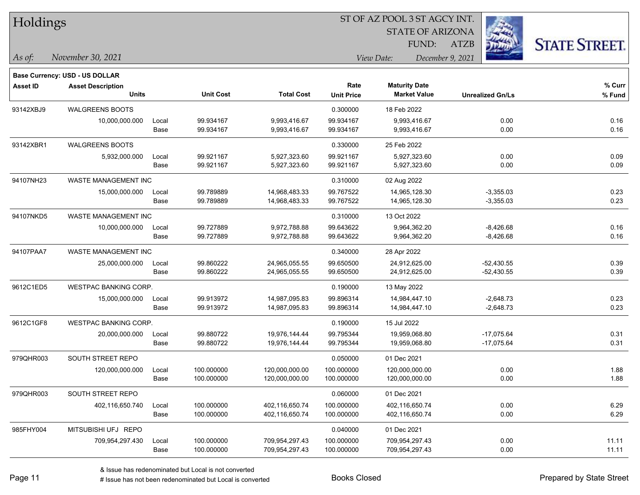|  |  | Holdings |
|--|--|----------|
|--|--|----------|

**Base Currency: USD - US DOLLAR**

#### ST OF AZ POOL 3 ST AGCY INT.

STATE OF ARIZONA FUND:

ATZB



**% Fund**

**% Curr**

*November 30, 2021 As of: View Date: December 9, 2021*

| Asset ID  | <b>Asset Description</b><br>Units |               | <b>Unit Cost</b>         | <b>Total Cost</b>                | Rate<br><b>Unit Price</b> | <b>Maturity Date</b><br><b>Market Value</b> | <b>Unrealized Gn/Ls</b>      | % Cur<br>% Fun |
|-----------|-----------------------------------|---------------|--------------------------|----------------------------------|---------------------------|---------------------------------------------|------------------------------|----------------|
| 93142XBJ9 | <b>WALGREENS BOOTS</b>            |               |                          |                                  | 0.300000                  | 18 Feb 2022                                 |                              |                |
|           | 10,000,000.000                    | Local<br>Base | 99.934167<br>99.934167   | 9,993,416.67<br>9,993,416.67     | 99.934167<br>99.934167    | 9,993,416.67<br>9,993,416.67                | 0.00<br>0.00                 | 0.16<br>0.16   |
| 93142XBR1 | <b>WALGREENS BOOTS</b>            |               |                          |                                  | 0.330000                  | 25 Feb 2022                                 |                              |                |
|           | 5,932,000.000                     | Local<br>Base | 99.921167<br>99.921167   | 5,927,323.60<br>5,927,323.60     | 99.921167<br>99.921167    | 5,927,323.60<br>5,927,323.60                | 0.00<br>0.00                 | 0.09<br>0.09   |
| 94107NH23 | WASTE MANAGEMENT INC              |               |                          |                                  | 0.310000                  | 02 Aug 2022                                 |                              |                |
|           | 15,000,000.000                    | Local<br>Base | 99.789889<br>99.789889   | 14,968,483.33<br>14,968,483.33   | 99.767522<br>99.767522    | 14,965,128.30<br>14,965,128.30              | $-3,355.03$<br>$-3,355.03$   | 0.23<br>0.23   |
| 94107NKD5 | WASTE MANAGEMENT INC              |               |                          |                                  | 0.310000                  | 13 Oct 2022                                 |                              |                |
|           | 10,000,000.000                    | Local<br>Base | 99.727889<br>99.727889   | 9,972,788.88<br>9,972,788.88     | 99.643622<br>99.643622    | 9,964,362.20<br>9,964,362.20                | $-8,426.68$<br>$-8,426.68$   | 0.16<br>0.16   |
| 94107PAA7 | WASTE MANAGEMENT INC              |               |                          |                                  | 0.340000                  | 28 Apr 2022                                 |                              |                |
|           | 25,000,000.000                    | Local<br>Base | 99.860222<br>99.860222   | 24,965,055.55<br>24,965,055.55   | 99.650500<br>99.650500    | 24,912,625.00<br>24,912,625.00              | $-52,430.55$<br>$-52,430.55$ | 0.39<br>0.39   |
| 9612C1ED5 | <b>WESTPAC BANKING CORP.</b>      |               |                          |                                  | 0.190000                  | 13 May 2022                                 |                              |                |
|           | 15,000,000.000                    | Local<br>Base | 99.913972<br>99.913972   | 14,987,095.83<br>14,987,095.83   | 99.896314<br>99.896314    | 14,984,447.10<br>14,984,447.10              | $-2,648.73$<br>$-2,648.73$   | 0.23<br>0.23   |
| 9612C1GF8 | WESTPAC BANKING CORP.             |               |                          |                                  | 0.190000                  | 15 Jul 2022                                 |                              |                |
|           | 20,000,000.000                    | Local<br>Base | 99.880722<br>99.880722   | 19,976,144.44<br>19,976,144.44   | 99.795344<br>99.795344    | 19,959,068.80<br>19,959,068.80              | $-17,075.64$<br>$-17,075.64$ | 0.31<br>0.31   |
| 979QHR003 | SOUTH STREET REPO                 |               |                          |                                  | 0.050000                  | 01 Dec 2021                                 |                              |                |
|           | 120,000,000.000                   | Local<br>Base | 100.000000<br>100.000000 | 120,000,000.00<br>120,000,000.00 | 100.000000<br>100.000000  | 120,000,000.00<br>120,000,000.00            | 0.00<br>0.00                 | 1.88<br>1.88   |
| 979QHR003 | SOUTH STREET REPO                 |               |                          |                                  | 0.060000                  | 01 Dec 2021                                 |                              |                |
|           | 402,116,650.740                   | Local<br>Base | 100.000000<br>100.000000 | 402,116,650.74<br>402,116,650.74 | 100.000000<br>100.000000  | 402,116,650.74<br>402,116,650.74            | 0.00<br>0.00                 | 6.29<br>6.29   |
| 985FHY004 | MITSUBISHI UFJ REPO               |               |                          |                                  | 0.040000                  | 01 Dec 2021                                 |                              |                |
|           | 709,954,297.430                   | Local         | 100.000000               | 709,954,297.43                   | 100.000000                | 709,954,297.43                              | 0.00                         | 11.11          |

# Issue has not been redenominated but Local is converted Books Closed Prepared by State Street

Base 100.000000 709,954,297.43 100.000000 709,954,297.43 0.00 11.11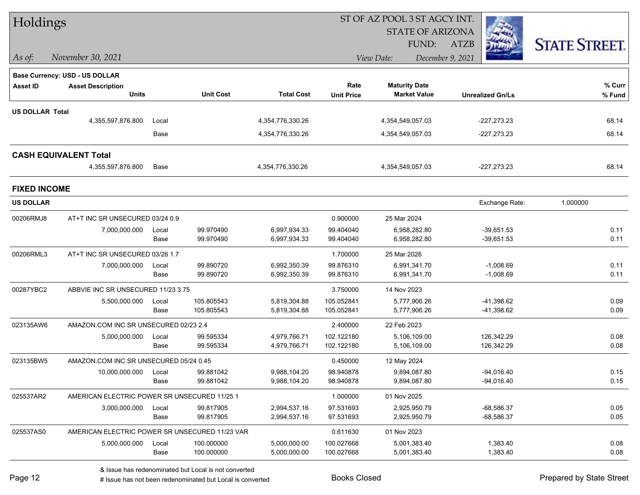| Holdings               |                                                |       |                  |                   |                   | ST OF AZ POOL 3 ST AGCY INT. |                         |                      |  |
|------------------------|------------------------------------------------|-------|------------------|-------------------|-------------------|------------------------------|-------------------------|----------------------|--|
|                        |                                                |       |                  |                   |                   | <b>STATE OF ARIZONA</b>      |                         |                      |  |
|                        |                                                |       |                  |                   |                   | FUND:                        | <b>ATZB</b>             | <b>STATE STREET.</b> |  |
| $ $ As of:             | November 30, 2021                              |       |                  |                   | View Date:        |                              |                         |                      |  |
|                        | <b>Base Currency: USD - US DOLLAR</b>          |       |                  |                   |                   |                              |                         |                      |  |
| <b>Asset ID</b>        | <b>Asset Description</b>                       |       |                  |                   | Rate              | <b>Maturity Date</b>         |                         | % Curr               |  |
|                        | <b>Units</b>                                   |       | <b>Unit Cost</b> | <b>Total Cost</b> | <b>Unit Price</b> | <b>Market Value</b>          | <b>Unrealized Gn/Ls</b> | % Fund               |  |
| <b>US DOLLAR Total</b> |                                                |       |                  |                   |                   |                              |                         |                      |  |
|                        | 4,355,597,876.800                              | Local |                  | 4,354,776,330.26  |                   | 4,354,549,057.03             | $-227,273.23$           | 68.14                |  |
|                        |                                                | Base  |                  | 4,354,776,330.26  |                   | 4,354,549,057.03             | $-227,273.23$           | 68.14                |  |
|                        | <b>CASH EQUIVALENT Total</b>                   |       |                  |                   |                   |                              |                         |                      |  |
|                        | 4,355,597,876.800                              | Base  |                  | 4,354,776,330.26  |                   | 4,354,549,057.03             | $-227,273.23$           | 68.14                |  |
| <b>FIXED INCOME</b>    |                                                |       |                  |                   |                   |                              |                         |                      |  |
| <b>US DOLLAR</b>       |                                                |       |                  |                   |                   |                              | Exchange Rate:          | 1.000000             |  |
| 00206RMJ8              | AT+T INC SR UNSECURED 03/24 0.9                |       |                  |                   | 0.900000          | 25 Mar 2024                  |                         |                      |  |
|                        | 7,000,000.000                                  | Local | 99.970490        | 6,997,934.33      | 99.404040         | 6,958,282.80                 | $-39,651.53$            | 0.11                 |  |
|                        |                                                | Base  | 99.970490        | 6,997,934.33      | 99.404040         | 6,958,282.80                 | $-39,651.53$            | 0.11                 |  |
| 00206RML3              | AT+T INC SR UNSECURED 03/26 1.7                |       |                  |                   | 1.700000          | 25 Mar 2026                  |                         |                      |  |
|                        | 7,000,000.000                                  | Local | 99.890720        | 6,992,350.39      | 99.876310         | 6,991,341.70                 | $-1,008.69$             | 0.11                 |  |
|                        |                                                | Base  | 99.890720        | 6,992,350.39      | 99.876310         | 6,991,341.70                 | $-1,008.69$             | 0.11                 |  |
| 00287YBC2              | ABBVIE INC SR UNSECURED 11/23 3.75             |       |                  |                   | 3.750000          | 14 Nov 2023                  |                         |                      |  |
|                        | 5,500,000.000                                  | Local | 105.805543       | 5,819,304.88      | 105.052841        | 5,777,906.26                 | -41,398.62              | 0.09                 |  |
|                        |                                                | Base  | 105.805543       | 5,819,304.88      | 105.052841        | 5,777,906.26                 | -41,398.62              | 0.09                 |  |
| 023135AW6              | AMAZON.COM INC SR UNSECURED 02/23 2.4          |       |                  |                   | 2.400000          | 22 Feb 2023                  |                         |                      |  |
|                        | 5,000,000.000                                  | Local | 99.595334        | 4,979,766.71      | 102.122180        | 5,106,109.00                 | 126,342.29              | 0.08                 |  |
|                        |                                                | Base  | 99.595334        | 4,979,766.71      | 102.122180        | 5,106,109.00                 | 126,342.29              | 0.08                 |  |
| 023135BW5              | AMAZON.COM INC SR UNSECURED 05/24 0.45         |       |                  |                   | 0.450000          | 12 May 2024                  |                         |                      |  |
|                        | 10,000,000.000                                 | Local | 99.881042        | 9,988,104.20      | 98.940878         | 9,894,087.80                 | -94,016.40              | 0.15                 |  |
|                        |                                                | Base  | 99.881042        | 9,988,104.20      | 98.940878         | 9,894,087.80                 | $-94,016.40$            | 0.15                 |  |
| 025537AR2              | AMERICAN ELECTRIC POWER SR UNSECURED 11/25 1   |       |                  |                   | 1.000000          | 01 Nov 2025                  |                         |                      |  |
|                        | 3,000,000.000                                  | Local | 99.817905        | 2,994,537.16      | 97.531693         | 2,925,950.79                 | $-68,586.37$            | 0.05                 |  |
|                        |                                                | Base  | 99.817905        | 2,994,537.16      | 97.531693         | 2,925,950.79                 | $-68,586.37$            | 0.05                 |  |
| 025537AS0              | AMERICAN ELECTRIC POWER SR UNSECURED 11/23 VAR |       |                  |                   | 0.611630          | 01 Nov 2023                  |                         |                      |  |
|                        | 5,000,000.000                                  | Local | 100.000000       | 5,000,000.00      | 100.027668        | 5,001,383.40                 | 1,383.40                | 0.08                 |  |
|                        |                                                | Base  | 100.000000       | 5,000,000.00      | 100.027668        | 5,001,383.40                 | 1,383.40                | 0.08                 |  |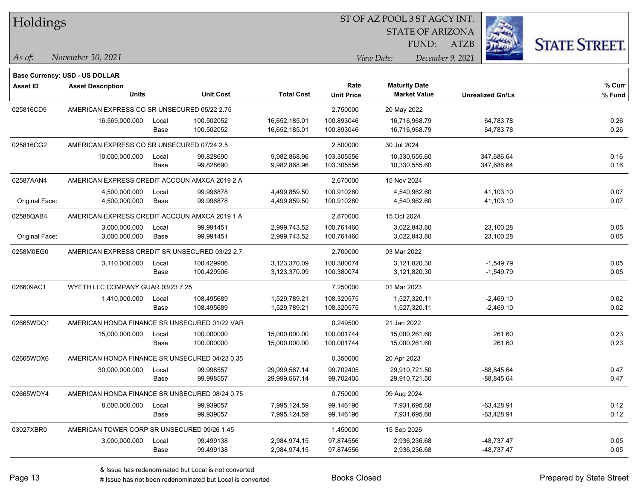| Holdings |  |
|----------|--|
|----------|--|

STATE OF ARIZONA

ATZB



*November 30, 2021 As of: View Date: December 9, 2021*

**Base Currency: USD - US DOLLAR**

FUND:

| <b>Asset ID</b> | <b>Asset Description</b>                       |       |                  |                   | Rate              | <b>Maturity Date</b> |                         | % Curr |
|-----------------|------------------------------------------------|-------|------------------|-------------------|-------------------|----------------------|-------------------------|--------|
|                 | <b>Units</b>                                   |       | <b>Unit Cost</b> | <b>Total Cost</b> | <b>Unit Price</b> | <b>Market Value</b>  | <b>Unrealized Gn/Ls</b> | % Fund |
| 025816CD9       | AMERICAN EXPRESS CO SR UNSECURED 05/22 2.75    |       |                  |                   | 2.750000          | 20 May 2022          |                         |        |
|                 | 16,569,000.000                                 | Local | 100.502052       | 16,652,185.01     | 100.893046        | 16,716,968.79        | 64,783.78               | 0.26   |
|                 |                                                | Base  | 100.502052       | 16,652,185.01     | 100.893046        | 16,716,968.79        | 64,783.78               | 0.26   |
| 025816CG2       | AMERICAN EXPRESS CO SR UNSECURED 07/24 2.5     |       |                  |                   | 2.500000          | 30 Jul 2024          |                         |        |
|                 | 10,000,000.000                                 | Local | 99.828690        | 9,982,868.96      | 103.305556        | 10,330,555.60        | 347,686.64              | 0.16   |
|                 |                                                | Base  | 99.828690        | 9,982,868.96      | 103.305556        | 10,330,555.60        | 347,686.64              | 0.16   |
| 02587AAN4       | AMERICAN EXPRESS CREDIT ACCOUN AMXCA 2019 2 A  |       |                  |                   | 2.670000          | 15 Nov 2024          |                         |        |
|                 | 4,500,000.000                                  | Local | 99.996878        | 4,499,859.50      | 100.910280        | 4,540,962.60         | 41,103.10               | 0.07   |
| Original Face:  | 4,500,000.000                                  | Base  | 99.996878        | 4,499,859.50      | 100.910280        | 4,540,962.60         | 41,103.10               | 0.07   |
| 02588QAB4       | AMERICAN EXPRESS CREDIT ACCOUN AMXCA 2019 1 A  |       |                  |                   | 2.870000          | 15 Oct 2024          |                         |        |
|                 | 3,000,000.000                                  | Local | 99.991451        | 2,999,743.52      | 100.761460        | 3,022,843.80         | 23,100.28               | 0.05   |
| Original Face:  | 3,000,000.000                                  | Base  | 99.991451        | 2,999,743.52      | 100.761460        | 3,022,843.80         | 23,100.28               | 0.05   |
| 0258M0EG0       | AMERICAN EXPRESS CREDIT SR UNSECURED 03/22 2.7 |       |                  |                   | 2.700000          | 03 Mar 2022          |                         |        |
|                 | 3,110,000.000                                  | Local | 100.429906       | 3,123,370.09      | 100.380074        | 3,121,820.30         | $-1,549.79$             | 0.05   |
|                 |                                                | Base  | 100.429906       | 3,123,370.09      | 100.380074        | 3,121,820.30         | $-1,549.79$             | 0.05   |
| 026609AC1       | WYETH LLC COMPANY GUAR 03/23 7.25              |       |                  |                   | 7.250000          | 01 Mar 2023          |                         |        |
|                 | 1,410,000.000                                  | Local | 108.495689       | 1,529,789.21      | 108.320575        | 1,527,320.11         | $-2,469.10$             | 0.02   |
|                 |                                                | Base  | 108.495689       | 1,529,789.21      | 108.320575        | 1,527,320.11         | $-2,469.10$             | 0.02   |
| 02665WDQ1       | AMERICAN HONDA FINANCE SR UNSECURED 01/22 VAR  |       |                  |                   | 0.249500          | 21 Jan 2022          |                         |        |
|                 | 15,000,000.000                                 | Local | 100.000000       | 15,000,000.00     | 100.001744        | 15,000,261.60        | 261.60                  | 0.23   |
|                 |                                                | Base  | 100.000000       | 15,000,000.00     | 100.001744        | 15,000,261.60        | 261.60                  | 0.23   |
| 02665WDX6       | AMERICAN HONDA FINANCE SR UNSECURED 04/23 0.35 |       |                  |                   | 0.350000          | 20 Apr 2023          |                         |        |
|                 | 30,000,000.000                                 | Local | 99.998557        | 29,999,567.14     | 99.702405         | 29,910,721.50        | $-88,845.64$            | 0.47   |
|                 |                                                | Base  | 99.998557        | 29,999,567.14     | 99.702405         | 29,910,721.50        | $-88,845.64$            | 0.47   |
| 02665WDY4       | AMERICAN HONDA FINANCE SR UNSECURED 08/24 0.75 |       |                  |                   | 0.750000          | 09 Aug 2024          |                         |        |
|                 | 8,000,000.000                                  | Local | 99.939057        | 7,995,124.59      | 99.146196         | 7,931,695.68         | $-63,428.91$            | 0.12   |
|                 |                                                | Base  | 99.939057        | 7,995,124.59      | 99.146196         | 7,931,695.68         | $-63,428.91$            | 0.12   |
| 03027XBR0       | AMERICAN TOWER CORP SR UNSECURED 09/26 1.45    |       |                  |                   | 1.450000          | 15 Sep 2026          |                         |        |
|                 | 3,000,000.000                                  | Local | 99.499138        | 2,984,974.15      | 97.874556         | 2,936,236.68         | -48,737.47              | 0.05   |
|                 |                                                | Base  | 99.499138        | 2,984,974.15      | 97.874556         | 2,936,236.68         | -48,737.47              | 0.05   |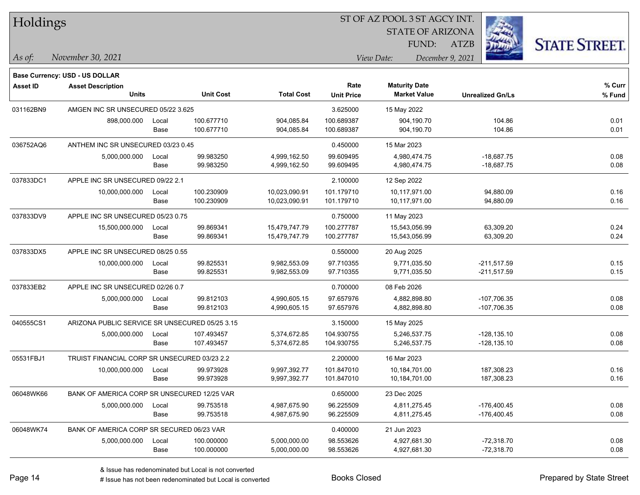| Holdings  |                                                |       |                  |                   |                                | ST OF AZ POOL 3 ST AGCY INT. |                         |                      |  |  |  |
|-----------|------------------------------------------------|-------|------------------|-------------------|--------------------------------|------------------------------|-------------------------|----------------------|--|--|--|
|           |                                                |       |                  |                   |                                | <b>STATE OF ARIZONA</b>      |                         |                      |  |  |  |
|           |                                                |       |                  |                   |                                | FUND:                        | ATZB                    | <b>STATE STREET.</b> |  |  |  |
| As of:    | November 30, 2021                              |       |                  |                   | View Date:<br>December 9, 2021 |                              |                         |                      |  |  |  |
|           | <b>Base Currency: USD - US DOLLAR</b>          |       |                  |                   |                                |                              |                         |                      |  |  |  |
| Asset ID  | <b>Asset Description</b>                       |       |                  |                   | Rate                           | <b>Maturity Date</b>         |                         | % Curr               |  |  |  |
|           | <b>Units</b>                                   |       | <b>Unit Cost</b> | <b>Total Cost</b> | <b>Unit Price</b>              | <b>Market Value</b>          | <b>Unrealized Gn/Ls</b> | % Fund               |  |  |  |
| 031162BN9 | AMGEN INC SR UNSECURED 05/22 3.625             |       |                  |                   | 3.625000                       | 15 May 2022                  |                         |                      |  |  |  |
|           | 898,000.000                                    | Local | 100.677710       | 904,085.84        | 100.689387                     | 904,190.70                   | 104.86                  | 0.01                 |  |  |  |
|           |                                                | Base  | 100.677710       | 904,085.84        | 100.689387                     | 904,190.70                   | 104.86                  | 0.01                 |  |  |  |
| 036752AQ6 | ANTHEM INC SR UNSECURED 03/23 0.45             |       |                  |                   | 0.450000                       | 15 Mar 2023                  |                         |                      |  |  |  |
|           | 5,000,000.000                                  | Local | 99.983250        | 4,999,162.50      | 99.609495                      | 4,980,474.75                 | $-18,687.75$            | 0.08                 |  |  |  |
|           |                                                | Base  | 99.983250        | 4,999,162.50      | 99.609495                      | 4,980,474.75                 | $-18,687.75$            | 0.08                 |  |  |  |
| 037833DC1 | APPLE INC SR UNSECURED 09/22 2.1               |       |                  |                   | 2.100000                       | 12 Sep 2022                  |                         |                      |  |  |  |
|           | 10,000,000.000                                 | Local | 100.230909       | 10,023,090.91     | 101.179710                     | 10,117,971.00                | 94,880.09               | 0.16                 |  |  |  |
|           |                                                | Base  | 100.230909       | 10,023,090.91     | 101.179710                     | 10,117,971.00                | 94,880.09               | 0.16                 |  |  |  |
| 037833DV9 | APPLE INC SR UNSECURED 05/23 0.75              |       |                  |                   | 0.750000                       | 11 May 2023                  |                         |                      |  |  |  |
|           | 15,500,000.000                                 | Local | 99.869341        | 15,479,747.79     | 100.277787                     | 15,543,056.99                | 63,309.20               | 0.24                 |  |  |  |
|           |                                                | Base  | 99.869341        | 15,479,747.79     | 100.277787                     | 15,543,056.99                | 63,309.20               | 0.24                 |  |  |  |
| 037833DX5 | APPLE INC SR UNSECURED 08/25 0.55              |       |                  |                   | 0.550000                       | 20 Aug 2025                  |                         |                      |  |  |  |
|           | 10,000,000.000                                 | Local | 99.825531        | 9,982,553.09      | 97.710355                      | 9,771,035.50                 | $-211,517.59$           | 0.15                 |  |  |  |
|           |                                                | Base  | 99.825531        | 9,982,553.09      | 97.710355                      | 9,771,035.50                 | $-211,517.59$           | 0.15                 |  |  |  |
| 037833EB2 | APPLE INC SR UNSECURED 02/26 0.7               |       |                  |                   | 0.700000                       | 08 Feb 2026                  |                         |                      |  |  |  |
|           | 5,000,000.000                                  | Local | 99.812103        | 4,990,605.15      | 97.657976                      | 4,882,898.80                 | -107,706.35             | 0.08                 |  |  |  |
|           |                                                | Base  | 99.812103        | 4,990,605.15      | 97.657976                      | 4,882,898.80                 | -107,706.35             | 0.08                 |  |  |  |
| 040555CS1 | ARIZONA PUBLIC SERVICE SR UNSECURED 05/25 3.15 |       |                  |                   | 3.150000                       | 15 May 2025                  |                         |                      |  |  |  |
|           | 5,000,000.000                                  | Local | 107.493457       | 5,374,672.85      | 104.930755                     | 5,246,537.75                 | $-128, 135.10$          | 0.08                 |  |  |  |
|           |                                                | Base  | 107.493457       | 5,374,672.85      | 104.930755                     | 5,246,537.75                 | -128,135.10             | 0.08                 |  |  |  |
| 05531FBJ1 | TRUIST FINANCIAL CORP SR UNSECURED 03/23 2.2   |       |                  |                   | 2.200000                       | 16 Mar 2023                  |                         |                      |  |  |  |
|           | 10,000,000.000                                 | Local | 99.973928        | 9,997,392.77      | 101.847010                     | 10,184,701.00                | 187,308.23              | 0.16                 |  |  |  |
|           |                                                | Base  | 99.973928        | 9,997,392.77      | 101.847010                     | 10,184,701.00                | 187,308.23              | 0.16                 |  |  |  |
| 06048WK66 | BANK OF AMERICA CORP SR UNSECURED 12/25 VAR    |       |                  |                   | 0.650000                       | 23 Dec 2025                  |                         |                      |  |  |  |
|           | 5,000,000.000                                  | Local | 99.753518        | 4,987,675.90      | 96.225509                      | 4,811,275.45                 | $-176,400.45$           | 0.08                 |  |  |  |
|           |                                                | Base  | 99.753518        | 4,987,675.90      | 96.225509                      | 4,811,275.45                 | $-176,400.45$           | 0.08                 |  |  |  |
| 06048WK74 | BANK OF AMERICA CORP SR SECURED 06/23 VAR      |       |                  |                   | 0.400000                       | 21 Jun 2023                  |                         |                      |  |  |  |
|           | 5,000,000.000                                  | Local | 100.000000       | 5,000,000.00      | 98.553626                      | 4,927,681.30                 | $-72,318.70$            | 0.08                 |  |  |  |
|           |                                                | Base  | 100.000000       | 5,000,000.00      | 98.553626                      | 4,927,681.30                 | $-72,318.70$            | 0.08                 |  |  |  |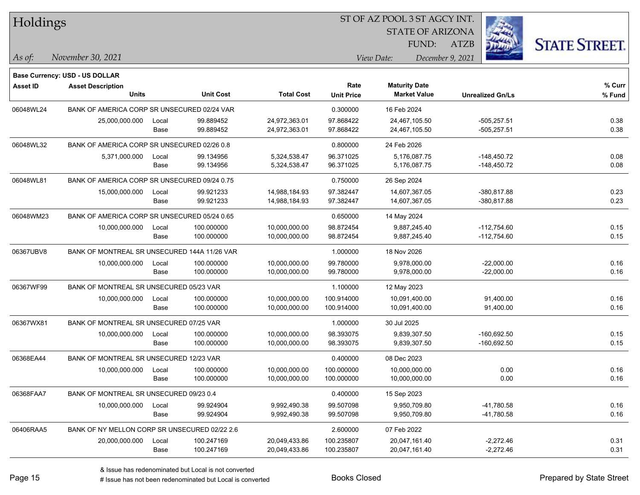| Holdings        |                                               |       |                  |                   | ST OF AZ POOL 3 ST AGCY INT. |                         |                         |                      |  |  |
|-----------------|-----------------------------------------------|-------|------------------|-------------------|------------------------------|-------------------------|-------------------------|----------------------|--|--|
|                 |                                               |       |                  |                   |                              | <b>STATE OF ARIZONA</b> |                         |                      |  |  |
|                 |                                               |       |                  |                   |                              | <b>FUND:</b>            | <b>ATZB</b>             | <b>STATE STREET.</b> |  |  |
| As of:          | November 30, 2021                             |       |                  |                   |                              | View Date:              | December 9, 2021        |                      |  |  |
|                 | <b>Base Currency: USD - US DOLLAR</b>         |       |                  |                   |                              |                         |                         |                      |  |  |
| <b>Asset ID</b> | <b>Asset Description</b>                      |       |                  |                   | Rate                         | <b>Maturity Date</b>    |                         | % Curr               |  |  |
|                 | <b>Units</b>                                  |       | <b>Unit Cost</b> | <b>Total Cost</b> | <b>Unit Price</b>            | <b>Market Value</b>     | <b>Unrealized Gn/Ls</b> | % Fund               |  |  |
| 06048WL24       | BANK OF AMERICA CORP SR UNSECURED 02/24 VAR   |       |                  |                   | 0.300000                     | 16 Feb 2024             |                         |                      |  |  |
|                 | 25,000,000.000                                | Local | 99.889452        | 24,972,363.01     | 97.868422                    | 24,467,105.50           | $-505,257.51$           | 0.38                 |  |  |
|                 |                                               | Base  | 99.889452        | 24,972,363.01     | 97.868422                    | 24,467,105.50           | $-505,257.51$           | 0.38                 |  |  |
| 06048WL32       | BANK OF AMERICA CORP SR UNSECURED 02/26 0.8   |       |                  |                   | 0.800000                     | 24 Feb 2026             |                         |                      |  |  |
|                 | 5,371,000.000                                 | Local | 99.134956        | 5,324,538.47      | 96.371025                    | 5,176,087.75            | $-148,450.72$           | 0.08                 |  |  |
|                 |                                               | Base  | 99.134956        | 5,324,538.47      | 96.371025                    | 5,176,087.75            | -148,450.72             | 0.08                 |  |  |
| 06048WL81       | BANK OF AMERICA CORP SR UNSECURED 09/24 0.75  |       |                  |                   | 0.750000                     | 26 Sep 2024             |                         |                      |  |  |
|                 | 15,000,000.000                                | Local | 99.921233        | 14,988,184.93     | 97.382447                    | 14,607,367.05           | $-380,817.88$           | 0.23                 |  |  |
|                 |                                               | Base  | 99.921233        | 14,988,184.93     | 97.382447                    | 14,607,367.05           | $-380,817.88$           | 0.23                 |  |  |
| 06048WM23       | BANK OF AMERICA CORP SR UNSECURED 05/24 0.65  |       |                  |                   | 0.650000                     | 14 May 2024             |                         |                      |  |  |
|                 | 10,000,000.000                                | Local | 100.000000       | 10,000,000.00     | 98.872454                    | 9.887.245.40            | $-112,754.60$           | 0.15                 |  |  |
|                 |                                               | Base  | 100.000000       | 10,000,000.00     | 98.872454                    | 9,887,245.40            | $-112,754.60$           | 0.15                 |  |  |
| 06367UBV8       | BANK OF MONTREAL SR UNSECURED 144A 11/26 VAR  |       |                  |                   | 1.000000                     | 18 Nov 2026             |                         |                      |  |  |
|                 | 10,000,000.000                                | Local | 100.000000       | 10,000,000.00     | 99.780000                    | 9,978,000.00            | $-22,000.00$            | 0.16                 |  |  |
|                 |                                               | Base  | 100.000000       | 10,000,000.00     | 99.780000                    | 9,978,000.00            | $-22,000.00$            | 0.16                 |  |  |
| 06367WF99       | BANK OF MONTREAL SR UNSECURED 05/23 VAR       |       |                  |                   | 1.100000                     | 12 May 2023             |                         |                      |  |  |
|                 | 10,000,000.000                                | Local | 100.000000       | 10,000,000.00     | 100.914000                   | 10,091,400.00           | 91,400.00               | 0.16                 |  |  |
|                 |                                               | Base  | 100.000000       | 10,000,000.00     | 100.914000                   | 10,091,400.00           | 91,400.00               | 0.16                 |  |  |
| 06367WX81       | BANK OF MONTREAL SR UNSECURED 07/25 VAR       |       |                  |                   | 1.000000                     | 30 Jul 2025             |                         |                      |  |  |
|                 | 10,000,000.000                                | Local | 100.000000       | 10,000,000.00     | 98.393075                    | 9,839,307.50            | $-160,692.50$           | 0.15                 |  |  |
|                 |                                               | Base  | 100.000000       | 10,000,000.00     | 98.393075                    | 9,839,307.50            | $-160,692.50$           | 0.15                 |  |  |
| 06368EA44       | BANK OF MONTREAL SR UNSECURED 12/23 VAR       |       |                  |                   | 0.400000                     | 08 Dec 2023             |                         |                      |  |  |
|                 | 10,000,000.000                                | Local | 100.000000       | 10,000,000.00     | 100.000000                   | 10,000,000.00           | 0.00                    | 0.16                 |  |  |
|                 |                                               | Base  | 100.000000       | 10,000,000.00     | 100.000000                   | 10,000,000.00           | 0.00                    | 0.16                 |  |  |
| 06368FAA7       | BANK OF MONTREAL SR UNSECURED 09/23 0.4       |       |                  |                   | 0.400000                     | 15 Sep 2023             |                         |                      |  |  |
|                 | 10,000,000.000                                | Local | 99.924904        | 9,992,490.38      | 99.507098                    | 9,950,709.80            | -41,780.58              | 0.16                 |  |  |
|                 |                                               | Base  | 99.924904        | 9,992,490.38      | 99.507098                    | 9,950,709.80            | -41,780.58              | 0.16                 |  |  |
| 06406RAA5       | BANK OF NY MELLON CORP SR UNSECURED 02/22 2.6 |       |                  |                   | 2.600000                     | 07 Feb 2022             |                         |                      |  |  |
|                 | 20,000,000.000                                | Local | 100.247169       | 20,049,433.86     | 100.235807                   | 20,047,161.40           | $-2,272.46$             | 0.31                 |  |  |
|                 |                                               | Base  | 100.247169       | 20,049,433.86     | 100.235807                   | 20,047,161.40           | $-2,272.46$             | 0.31                 |  |  |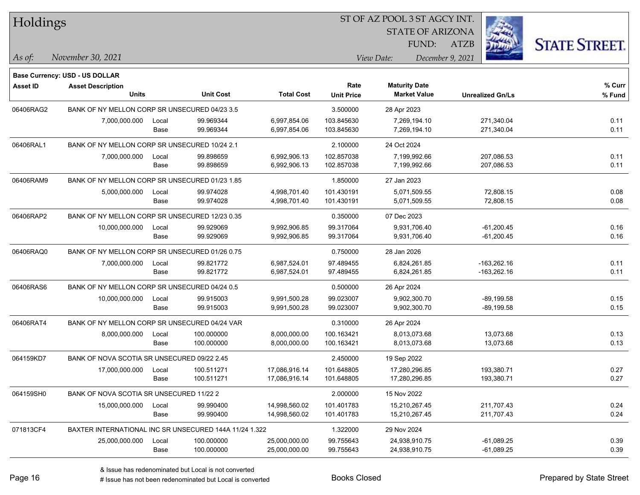| Holdings        |                                                        |       |                  |                   |                   |                      |                     | <b>STATE OF ARIZONA</b> |                         |                      |
|-----------------|--------------------------------------------------------|-------|------------------|-------------------|-------------------|----------------------|---------------------|-------------------------|-------------------------|----------------------|
|                 |                                                        |       |                  |                   |                   |                      | FUND:               | <b>ATZB</b>             |                         | <b>STATE STREET.</b> |
| $\vert$ As of:  | November 30, 2021                                      |       |                  |                   |                   | View Date:           |                     | December 9, 2021        |                         |                      |
|                 | <b>Base Currency: USD - US DOLLAR</b>                  |       |                  |                   |                   |                      |                     |                         |                         |                      |
| <b>Asset ID</b> | <b>Asset Description</b>                               |       |                  |                   | Rate              | <b>Maturity Date</b> |                     |                         |                         | $%$ Curr             |
|                 | <b>Units</b>                                           |       | <b>Unit Cost</b> | <b>Total Cost</b> | <b>Unit Price</b> |                      | <b>Market Value</b> |                         | <b>Unrealized Gn/Ls</b> | % Fund               |
| 06406RAG2       | BANK OF NY MELLON CORP SR UNSECURED 04/23 3.5          |       |                  |                   | 3.500000          | 28 Apr 2023          |                     |                         |                         |                      |
|                 | 7,000,000.000                                          | Local | 99.969344        | 6,997,854.06      | 103.845630        |                      | 7,269,194.10        |                         | 271,340.04              | 0.11                 |
|                 |                                                        | Base  | 99.969344        | 6,997,854.06      | 103.845630        | 7,269,194.10         |                     |                         | 271,340.04              | 0.11                 |
| 06406RAL1       | BANK OF NY MELLON CORP SR UNSECURED 10/24 2.1          |       |                  |                   | 2.100000          | 24 Oct 2024          |                     |                         |                         |                      |
|                 | 7,000,000.000                                          | Local | 99.898659        | 6,992,906.13      | 102.857038        | 7,199,992.66         |                     |                         | 207,086.53              | 0.11                 |
|                 |                                                        | Base  | 99.898659        | 6,992,906.13      | 102.857038        | 7,199,992.66         |                     |                         | 207,086.53              | 0.11                 |
| 06406RAM9       | BANK OF NY MELLON CORP SR UNSECURED 01/23 1.85         |       |                  |                   | 1.850000          | 27 Jan 2023          |                     |                         |                         |                      |
|                 | 5,000,000.000                                          | Local | 99.974028        | 4,998,701.40      | 101.430191        | 5,071,509.55         |                     |                         | 72,808.15               | 0.08                 |
|                 |                                                        | Base  | 99.974028        | 4,998,701.40      | 101.430191        | 5,071,509.55         |                     |                         | 72,808.15               | 0.08                 |
| 06406RAP2       | BANK OF NY MELLON CORP SR UNSECURED 12/23 0.35         |       |                  |                   | 0.350000          | 07 Dec 2023          |                     |                         |                         |                      |
|                 | 10,000,000.000                                         | Local | 99.929069        | 9,992,906.85      | 99.317064         |                      | 9,931,706.40        |                         | $-61,200.45$            | 0.16                 |
|                 |                                                        | Base  | 99.929069        | 9,992,906.85      | 99.317064         | 9,931,706.40         |                     |                         | $-61,200.45$            | 0.16                 |
| 06406RAQ0       | BANK OF NY MELLON CORP SR UNSECURED 01/26 0.75         |       |                  |                   | 0.750000          | 28 Jan 2026          |                     |                         |                         |                      |
|                 | 7,000,000.000                                          | Local | 99.821772        | 6,987,524.01      | 97.489455         | 6,824,261.85         |                     |                         | $-163,262.16$           | 0.11                 |
|                 |                                                        | Base  | 99.821772        | 6,987,524.01      | 97.489455         | 6,824,261.85         |                     |                         | $-163,262.16$           | 0.11                 |
| 06406RAS6       | BANK OF NY MELLON CORP SR UNSECURED 04/24 0.5          |       |                  |                   | 0.500000          | 26 Apr 2024          |                     |                         |                         |                      |
|                 | 10,000,000.000                                         | Local | 99.915003        | 9,991,500.28      | 99.023007         | 9,902,300.70         |                     |                         | $-89,199.58$            | 0.15                 |
|                 |                                                        | Base  | 99.915003        | 9,991,500.28      | 99.023007         | 9,902,300.70         |                     |                         | $-89,199.58$            | 0.15                 |
| 06406RAT4       | BANK OF NY MELLON CORP SR UNSECURED 04/24 VAR          |       |                  |                   | 0.310000          | 26 Apr 2024          |                     |                         |                         |                      |
|                 | 8,000,000.000                                          | Local | 100.000000       | 8,000,000.00      | 100.163421        |                      | 8,013,073.68        |                         | 13,073.68               | 0.13                 |
|                 |                                                        | Base  | 100.000000       | 8,000,000.00      | 100.163421        | 8,013,073.68         |                     |                         | 13,073.68               | 0.13                 |
| 064159KD7       | BANK OF NOVA SCOTIA SR UNSECURED 09/22 2.45            |       |                  |                   | 2.450000          | 19 Sep 2022          |                     |                         |                         |                      |
|                 | 17,000,000.000                                         | Local | 100.511271       | 17,086,916.14     | 101.648805        | 17,280,296.85        |                     |                         | 193,380.71              | 0.27                 |
|                 |                                                        | Base  | 100.511271       | 17,086,916.14     | 101.648805        | 17,280,296.85        |                     |                         | 193,380.71              | 0.27                 |
| 064159SH0       | BANK OF NOVA SCOTIA SR UNSECURED 11/22 2               |       |                  |                   | 2.000000          | 15 Nov 2022          |                     |                         |                         |                      |
|                 | 15,000,000.000                                         | Local | 99.990400        | 14,998,560.02     | 101.401783        | 15,210,267.45        |                     |                         | 211,707.43              | 0.24                 |
|                 |                                                        | Base  | 99.990400        | 14,998,560.02     | 101.401783        | 15,210,267.45        |                     |                         | 211,707.43              | 0.24                 |
| 071813CF4       | BAXTER INTERNATIONAL INC SR UNSECURED 144A 11/24 1.322 |       |                  |                   | 1.322000          | 29 Nov 2024          |                     |                         |                         |                      |
|                 | 25,000,000.000                                         | Local | 100.000000       | 25,000,000.00     | 99.755643         | 24,938,910.75        |                     |                         | $-61,089.25$            | 0.39                 |
|                 |                                                        | Base  | 100.000000       | 25,000,000.00     | 99.755643         | 24,938,910.75        |                     |                         | $-61,089.25$            | 0.39                 |

**CONSTRUCTION** 

 $TT.1.1:$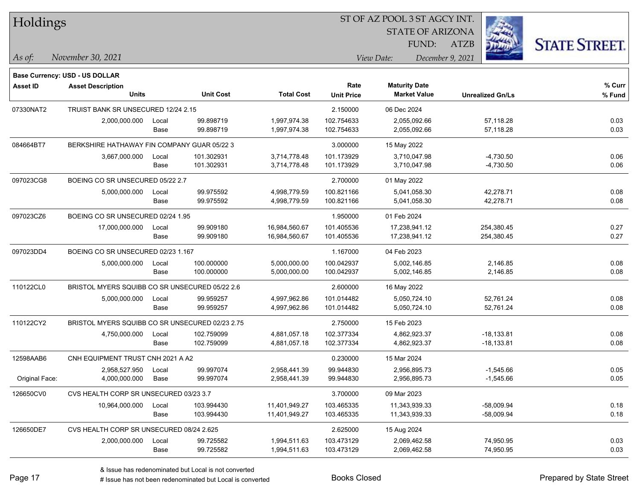| Holdings        |                                                 |       |                  |                   |                   | 51 OF AZ POOL 351 AGCY INT. |                         |                      |
|-----------------|-------------------------------------------------|-------|------------------|-------------------|-------------------|-----------------------------|-------------------------|----------------------|
|                 |                                                 |       |                  |                   |                   | <b>STATE OF ARIZONA</b>     |                         |                      |
|                 |                                                 |       |                  |                   |                   | FUND:                       | <b>ATZB</b>             | <b>STATE STREET.</b> |
| As of:          | November 30, 2021                               |       |                  |                   |                   | View Date:                  | December 9, 2021        |                      |
|                 |                                                 |       |                  |                   |                   |                             |                         |                      |
|                 | <b>Base Currency: USD - US DOLLAR</b>           |       |                  |                   |                   |                             |                         |                      |
| <b>Asset ID</b> | <b>Asset Description</b>                        |       |                  |                   | Rate              | <b>Maturity Date</b>        |                         | % Curr               |
|                 | <b>Units</b>                                    |       | <b>Unit Cost</b> | <b>Total Cost</b> | <b>Unit Price</b> | <b>Market Value</b>         | <b>Unrealized Gn/Ls</b> | % Fund               |
| 07330NAT2       | TRUIST BANK SR UNSECURED 12/24 2.15             |       |                  |                   | 2.150000          | 06 Dec 2024                 |                         |                      |
|                 | 2,000,000.000                                   | Local | 99.898719        | 1,997,974.38      | 102.754633        | 2,055,092.66                | 57,118.28               | 0.03                 |
|                 |                                                 | Base  | 99.898719        | 1,997,974.38      | 102.754633        | 2,055,092.66                | 57,118.28               | 0.03                 |
| 084664BT7       | BERKSHIRE HATHAWAY FIN COMPANY GUAR 05/22 3     |       |                  |                   | 3.000000          | 15 May 2022                 |                         |                      |
|                 | 3,667,000.000                                   | Local | 101.302931       | 3,714,778.48      | 101.173929        | 3,710,047.98                | $-4,730.50$             | 0.06                 |
|                 |                                                 | Base  | 101.302931       | 3,714,778.48      | 101.173929        | 3,710,047.98                | $-4,730.50$             | 0.06                 |
| 097023CG8       | BOEING CO SR UNSECURED 05/22 2.7                |       |                  |                   | 2.700000          | 01 May 2022                 |                         |                      |
|                 | 5,000,000.000                                   | Local | 99.975592        | 4,998,779.59      | 100.821166        | 5,041,058.30                | 42,278.71               | 0.08                 |
|                 |                                                 | Base  | 99.975592        | 4,998,779.59      | 100.821166        | 5,041,058.30                | 42,278.71               | 0.08                 |
| 097023CZ6       | BOEING CO SR UNSECURED 02/24 1.95               |       |                  |                   | 1.950000          | 01 Feb 2024                 |                         |                      |
|                 | 17,000,000.000                                  | Local | 99.909180        | 16,984,560.67     | 101.405536        | 17,238,941.12               | 254,380.45              | 0.27                 |
|                 |                                                 | Base  | 99.909180        | 16,984,560.67     | 101.405536        | 17,238,941.12               | 254,380.45              | 0.27                 |
| 097023DD4       | BOEING CO SR UNSECURED 02/23 1.167              |       |                  |                   | 1.167000          | 04 Feb 2023                 |                         |                      |
|                 | 5,000,000.000                                   | Local | 100.000000       | 5,000,000.00      | 100.042937        | 5,002,146.85                | 2,146.85                | 0.08                 |
|                 |                                                 | Base  | 100.000000       | 5,000,000.00      | 100.042937        | 5,002,146.85                | 2,146.85                | 0.08                 |
| 110122CL0       | BRISTOL MYERS SQUIBB CO SR UNSECURED 05/22 2.6  |       |                  |                   | 2.600000          | 16 May 2022                 |                         |                      |
|                 | 5,000,000.000                                   | Local | 99.959257        | 4,997,962.86      | 101.014482        | 5,050,724.10                | 52,761.24               | 0.08                 |
|                 |                                                 | Base  | 99.959257        | 4,997,962.86      | 101.014482        | 5,050,724.10                | 52,761.24               | 0.08                 |
| 110122CY2       | BRISTOL MYERS SQUIBB CO SR UNSECURED 02/23 2.75 |       |                  |                   | 2.750000          | 15 Feb 2023                 |                         |                      |
|                 | 4,750,000.000                                   | Local | 102.759099       | 4,881,057.18      | 102.377334        | 4,862,923.37                | $-18,133.81$            | 0.08                 |
|                 |                                                 | Base  | 102.759099       | 4,881,057.18      | 102.377334        | 4,862,923.37                | $-18,133.81$            | 0.08                 |
| 12598AAB6       | CNH EQUIPMENT TRUST CNH 2021 A A2               |       |                  |                   | 0.230000          | 15 Mar 2024                 |                         |                      |
|                 | 2,958,527.950                                   | Local | 99.997074        | 2,958,441.39      | 99.944830         | 2,956,895.73                | $-1,545.66$             | 0.05                 |
| Original Face:  | 4,000,000.000                                   | Base  | 99.997074        | 2,958,441.39      | 99.944830         | 2,956,895.73                | $-1,545.66$             | 0.05                 |
| 126650CV0       | CVS HEALTH CORP SR UNSECURED 03/23 3.7          |       |                  |                   | 3.700000          | 09 Mar 2023                 |                         |                      |
|                 | 10,964,000.000 Local                            |       | 103.994430       | 11,401,949.27     | 103.465335        | 11,343,939.33               | $-58,009.94$            | 0.18                 |
|                 |                                                 | Base  | 103.994430       | 11,401,949.27     | 103.465335        | 11,343,939.33               | -58,009.94              | 0.18                 |
| 126650DE7       | CVS HEALTH CORP SR UNSECURED 08/24 2.625        |       |                  |                   | 2.625000          | 15 Aug 2024                 |                         |                      |
|                 | 2,000,000.000                                   | Local | 99.725582        | 1,994,511.63      | 103.473129        | 2,069,462.58                | 74,950.95               | 0.03                 |
|                 |                                                 | Base  | 99.725582        | 1,994,511.63      | 103.473129        | 2,069,462.58                | 74,950.95               | 0.03                 |

 $STOTAT$   $17 DOOT$  3  $ST A GOX$  INT.

٦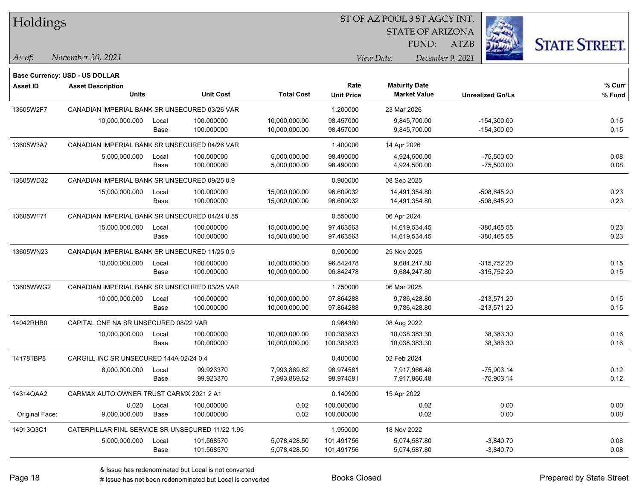| Holdings        |                                                  |       |                  |                   |                   | 51 OF AZ POOL 3 51 AGCY INT.   |                         |                     |
|-----------------|--------------------------------------------------|-------|------------------|-------------------|-------------------|--------------------------------|-------------------------|---------------------|
|                 |                                                  |       |                  |                   |                   | <b>STATE OF ARIZONA</b>        |                         |                     |
|                 |                                                  |       |                  |                   |                   | FUND:                          | <b>ATZB</b>             | <b>STATE STREET</b> |
| As of:          | November 30, 2021                                |       |                  |                   |                   | December 9, 2021<br>View Date: |                         |                     |
|                 | Base Currency: USD - US DOLLAR                   |       |                  |                   |                   |                                |                         |                     |
| <b>Asset ID</b> | <b>Asset Description</b>                         |       |                  |                   | Rate              | <b>Maturity Date</b>           |                         | % Curr              |
|                 | <b>Units</b>                                     |       | <b>Unit Cost</b> | <b>Total Cost</b> | <b>Unit Price</b> | <b>Market Value</b>            | <b>Unrealized Gn/Ls</b> | % Fund              |
| 13605W2F7       | CANADIAN IMPERIAL BANK SR UNSECURED 03/26 VAR    |       |                  |                   | 1.200000          | 23 Mar 2026                    |                         |                     |
|                 | 10,000,000.000                                   | Local | 100.000000       | 10,000,000.00     | 98.457000         | 9,845,700.00                   | $-154,300.00$           | 0.15                |
|                 |                                                  | Base  | 100.000000       | 10,000,000.00     | 98.457000         | 9,845,700.00                   | $-154,300.00$           | 0.15                |
| 13605W3A7       | CANADIAN IMPERIAL BANK SR UNSECURED 04/26 VAR    |       |                  |                   | 1.400000          | 14 Apr 2026                    |                         |                     |
|                 | 5,000,000.000                                    | Local | 100.000000       | 5,000,000.00      | 98.490000         | 4,924,500.00                   | $-75,500.00$            | 0.08                |
|                 |                                                  | Base  | 100.000000       | 5,000,000.00      | 98.490000         | 4,924,500.00                   | $-75,500.00$            | 0.08                |
| 13605WD32       | CANADIAN IMPERIAL BANK SR UNSECURED 09/25 0.9    |       |                  |                   | 0.900000          | 08 Sep 2025                    |                         |                     |
|                 | 15,000,000.000                                   | Local | 100.000000       | 15,000,000.00     | 96.609032         | 14,491,354.80                  | $-508,645.20$           | 0.23                |
|                 |                                                  | Base  | 100.000000       | 15,000,000.00     | 96.609032         | 14,491,354.80                  | $-508,645.20$           | 0.23                |
| 13605WF71       | CANADIAN IMPERIAL BANK SR UNSECURED 04/24 0.55   |       |                  |                   | 0.550000          | 06 Apr 2024                    |                         |                     |
|                 | 15,000,000.000                                   | Local | 100.000000       | 15,000,000.00     | 97.463563         | 14,619,534.45                  | $-380,465.55$           | 0.23                |
|                 |                                                  | Base  | 100.000000       | 15,000,000.00     | 97.463563         | 14,619,534.45                  | $-380,465.55$           | 0.23                |
| 13605WN23       | CANADIAN IMPERIAL BANK SR UNSECURED 11/25 0.9    |       |                  |                   | 0.900000          | 25 Nov 2025                    |                         |                     |
|                 | 10,000,000.000                                   | Local | 100.000000       | 10,000,000.00     | 96.842478         | 9,684,247.80                   | $-315,752.20$           | 0.15                |
|                 |                                                  | Base  | 100.000000       | 10,000,000.00     | 96.842478         | 9,684,247.80                   | $-315,752.20$           | 0.15                |
| 13605WWG2       | CANADIAN IMPERIAL BANK SR UNSECURED 03/25 VAR    |       |                  |                   | 1.750000          | 06 Mar 2025                    |                         |                     |
|                 | 10,000,000.000                                   | Local | 100.000000       | 10,000,000.00     | 97.864288         | 9,786,428.80                   | $-213,571.20$           | 0.15                |
|                 |                                                  | Base  | 100.000000       | 10,000,000.00     | 97.864288         | 9,786,428.80                   | $-213,571.20$           | 0.15                |
| 14042RHB0       | CAPITAL ONE NA SR UNSECURED 08/22 VAR            |       |                  |                   | 0.964380          | 08 Aug 2022                    |                         |                     |
|                 | 10,000,000.000                                   | Local | 100.000000       | 10,000,000.00     | 100.383833        | 10,038,383.30                  | 38,383.30               | 0.16                |
|                 |                                                  | Base  | 100.000000       | 10,000,000.00     | 100.383833        | 10,038,383.30                  | 38,383.30               | 0.16                |
| 141781BP8       | CARGILL INC SR UNSECURED 144A 02/24 0.4          |       |                  |                   | 0.400000          | 02 Feb 2024                    |                         |                     |
|                 | 8,000,000.000                                    | Local | 99.923370        | 7,993,869.62      | 98.974581         | 7,917,966.48                   | $-75,903.14$            | 0.12                |
|                 |                                                  | Base  | 99.923370        | 7,993,869.62      | 98.974581         | 7,917,966.48                   | $-75,903.14$            | 0.12                |
| 14314QAA2       | CARMAX AUTO OWNER TRUST CARMX 2021 2 A1          |       |                  |                   | 0.140900          | 15 Apr 2022                    |                         |                     |
|                 | 0.020                                            | Local | 100.000000       | 0.02              | 100.000000        | 0.02                           | 0.00                    | 0.00                |
| Original Face:  | 9,000,000.000                                    | Base  | 100.000000       | 0.02              | 100.000000        | 0.02                           | 0.00                    | 0.00                |
| 14913Q3C1       | CATERPILLAR FINL SERVICE SR UNSECURED 11/22 1.95 |       |                  |                   | 1.950000          | 18 Nov 2022                    |                         |                     |
|                 | 5,000,000.000                                    | Local | 101.568570       | 5,078,428.50      | 101.491756        | 5,074,587.80                   | $-3,840.70$             | 0.08                |
|                 |                                                  | Base  | 101.568570       | 5,078,428.50      | 101.491756        | 5,074,587.80                   | $-3,840.70$             | 0.08                |

ST OF A Z POOL 2 ST ACCV INT

**CONTRACTOR**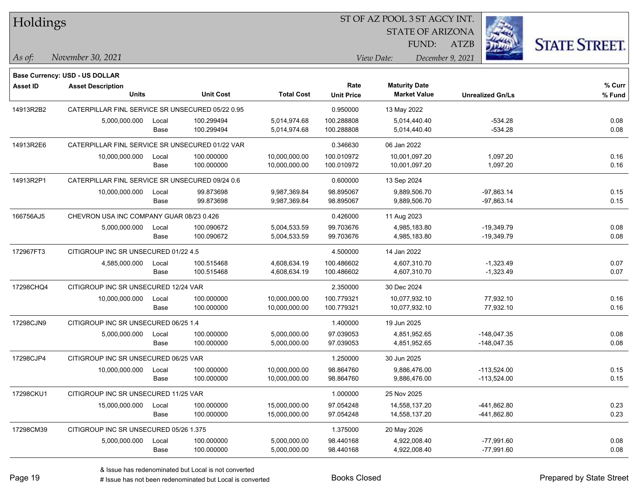| Holdings  |                                                  |               |                          |                                | 51 OF AZ POOL 3 51 AGCY INT. |                                             |                                |                     |  |  |  |
|-----------|--------------------------------------------------|---------------|--------------------------|--------------------------------|------------------------------|---------------------------------------------|--------------------------------|---------------------|--|--|--|
|           |                                                  |               |                          |                                |                              | <b>STATE OF ARIZONA</b>                     |                                |                     |  |  |  |
|           |                                                  |               |                          |                                |                              | FUND:                                       | ATZB                           | <b>STATE STREET</b> |  |  |  |
| As of:    | November 30, 2021                                |               |                          |                                |                              | View Date:<br>December 9, 2021              |                                |                     |  |  |  |
|           | <b>Base Currency: USD - US DOLLAR</b>            |               |                          |                                |                              |                                             |                                |                     |  |  |  |
| Asset ID  | <b>Asset Description</b><br><b>Units</b>         |               | <b>Unit Cost</b>         | <b>Total Cost</b>              | Rate<br><b>Unit Price</b>    | <b>Maturity Date</b><br><b>Market Value</b> | <b>Unrealized Gn/Ls</b>        | % Curr<br>% Fund    |  |  |  |
| 14913R2B2 | CATERPILLAR FINL SERVICE SR UNSECURED 05/22 0.95 |               |                          |                                | 0.950000                     | 13 May 2022                                 |                                |                     |  |  |  |
|           | 5,000,000.000                                    | Local<br>Base | 100.299494<br>100.299494 | 5,014,974.68<br>5,014,974.68   | 100.288808<br>100.288808     | 5,014,440.40<br>5,014,440.40                | $-534.28$<br>$-534.28$         | 0.08<br>0.08        |  |  |  |
| 14913R2E6 | CATERPILLAR FINL SERVICE SR UNSECURED 01/22 VAR  |               |                          |                                | 0.346630                     | 06 Jan 2022                                 |                                |                     |  |  |  |
|           | 10,000,000.000                                   | Local<br>Base | 100.000000<br>100.000000 | 10,000,000.00<br>10,000,000.00 | 100.010972<br>100.010972     | 10,001,097.20<br>10,001,097.20              | 1,097.20<br>1,097.20           | 0.16<br>0.16        |  |  |  |
| 14913R2P1 | CATERPILLAR FINL SERVICE SR UNSECURED 09/24 0.6  |               |                          |                                | 0.600000                     | 13 Sep 2024                                 |                                |                     |  |  |  |
|           | 10,000,000.000                                   | Local<br>Base | 99.873698<br>99.873698   | 9,987,369.84<br>9,987,369.84   | 98.895067<br>98.895067       | 9,889,506.70<br>9,889,506.70                | $-97,863.14$<br>$-97,863.14$   | 0.15<br>0.15        |  |  |  |
| 166756AJ5 | CHEVRON USA INC COMPANY GUAR 08/23 0.426         |               |                          |                                | 0.426000                     | 11 Aug 2023                                 |                                |                     |  |  |  |
|           | 5,000,000.000                                    | Local<br>Base | 100.090672<br>100.090672 | 5,004,533.59<br>5,004,533.59   | 99.703676<br>99.703676       | 4,985,183.80<br>4,985,183.80                | $-19,349.79$<br>$-19,349.79$   | 0.08<br>0.08        |  |  |  |
| 172967FT3 | CITIGROUP INC SR UNSECURED 01/22 4.5             |               |                          |                                | 4.500000                     | 14 Jan 2022                                 |                                |                     |  |  |  |
|           | 4,585,000.000                                    | Local<br>Base | 100.515468<br>100.515468 | 4,608,634.19<br>4,608,634.19   | 100.486602<br>100.486602     | 4,607,310.70<br>4,607,310.70                | $-1,323.49$<br>$-1,323.49$     | 0.07<br>0.07        |  |  |  |
| 17298CHQ4 | CITIGROUP INC SR UNSECURED 12/24 VAR             |               |                          |                                | 2.350000                     | 30 Dec 2024                                 |                                |                     |  |  |  |
|           | 10,000,000.000                                   | Local<br>Base | 100.000000<br>100.000000 | 10,000,000.00<br>10,000,000.00 | 100.779321<br>100.779321     | 10,077,932.10<br>10,077,932.10              | 77,932.10<br>77,932.10         | 0.16<br>0.16        |  |  |  |
| 17298CJN9 | CITIGROUP INC SR UNSECURED 06/25 1.4             |               |                          |                                | 1.400000                     | 19 Jun 2025                                 |                                |                     |  |  |  |
|           | 5,000,000.000                                    | Local<br>Base | 100.000000<br>100.000000 | 5,000,000.00<br>5,000,000.00   | 97.039053<br>97.039053       | 4,851,952.65<br>4,851,952.65                | $-148,047.35$<br>$-148,047.35$ | 0.08<br>0.08        |  |  |  |
| 17298CJP4 | CITIGROUP INC SR UNSECURED 06/25 VAR             |               |                          |                                | 1.250000                     | 30 Jun 2025                                 |                                |                     |  |  |  |
|           | 10,000,000.000                                   | Local<br>Base | 100.000000<br>100.000000 | 10,000,000.00<br>10,000,000.00 | 98.864760<br>98.864760       | 9,886,476.00<br>9,886,476.00                | $-113,524.00$<br>-113,524.00   | 0.15<br>0.15        |  |  |  |
| 17298CKU1 | CITIGROUP INC SR UNSECURED 11/25 VAR             |               |                          |                                | 1.000000                     | 25 Nov 2025                                 |                                |                     |  |  |  |
|           | 15,000,000.000                                   | Local<br>Base | 100.000000<br>100.000000 | 15,000,000.00<br>15,000,000.00 | 97.054248<br>97.054248       | 14,558,137.20<br>14,558,137.20              | -441,862.80<br>-441,862.80     | 0.23<br>0.23        |  |  |  |
| 17298CM39 | CITIGROUP INC SR UNSECURED 05/26 1.375           |               |                          |                                | 1.375000                     | 20 May 2026                                 |                                |                     |  |  |  |
|           | 5,000,000.000                                    | Local<br>Base | 100.000000<br>100.000000 | 5,000,000.00<br>5,000,000.00   | 98.440168<br>98.440168       | 4,922,008.40<br>4,922,008.40                | $-77,991.60$<br>$-77,991.60$   | 0.08<br>0.08        |  |  |  |

ST OF A Z POOL 2 ST AGGY INT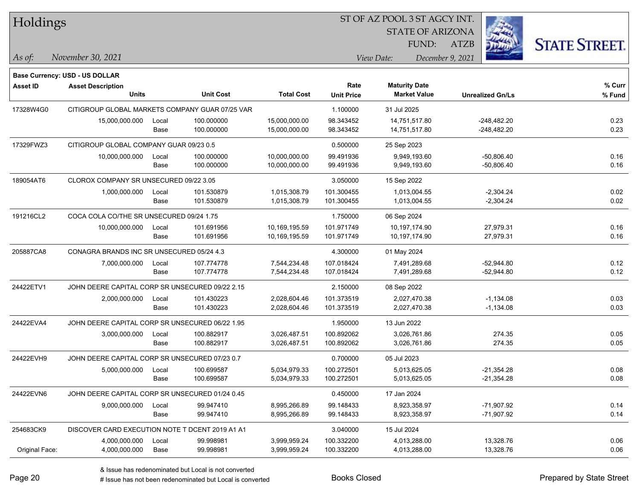| Holdings        |                                                 |       |                  |                   | ST OF AZ POOL 3 ST AGCY INT. |                                             |                         |                      |  |
|-----------------|-------------------------------------------------|-------|------------------|-------------------|------------------------------|---------------------------------------------|-------------------------|----------------------|--|
|                 |                                                 |       |                  |                   |                              | <b>STATE OF ARIZONA</b>                     |                         |                      |  |
|                 |                                                 |       |                  |                   |                              | FUND:                                       | <b>ATZB</b>             | <b>STATE STREET.</b> |  |
| $\vert$ As of:  | November 30, 2021                               |       |                  |                   |                              | View Date:                                  | December 9, 2021        |                      |  |
|                 |                                                 |       |                  |                   |                              |                                             |                         |                      |  |
|                 | <b>Base Currency: USD - US DOLLAR</b>           |       |                  |                   | Rate                         |                                             |                         | $%$ Curr             |  |
| <b>Asset ID</b> | <b>Asset Description</b><br><b>Units</b>        |       | <b>Unit Cost</b> | <b>Total Cost</b> | <b>Unit Price</b>            | <b>Maturity Date</b><br><b>Market Value</b> | <b>Unrealized Gn/Ls</b> | % Fund               |  |
| 17328W4G0       | CITIGROUP GLOBAL MARKETS COMPANY GUAR 07/25 VAR |       |                  |                   | 1.100000                     | 31 Jul 2025                                 |                         |                      |  |
|                 | 15,000,000.000                                  | Local | 100.000000       | 15,000,000.00     | 98.343452                    | 14,751,517.80                               | $-248,482.20$           | 0.23                 |  |
|                 |                                                 | Base  | 100.000000       | 15,000,000.00     | 98.343452                    | 14,751,517.80                               | $-248,482.20$           | 0.23                 |  |
| 17329FWZ3       | CITIGROUP GLOBAL COMPANY GUAR 09/23 0.5         |       |                  |                   | 0.500000                     | 25 Sep 2023                                 |                         |                      |  |
|                 | 10,000,000.000                                  | Local | 100.000000       | 10,000,000.00     | 99.491936                    | 9,949,193.60                                | $-50,806.40$            | 0.16                 |  |
|                 |                                                 | Base  | 100.000000       | 10,000,000.00     | 99.491936                    | 9,949,193.60                                | $-50,806.40$            | 0.16                 |  |
| 189054AT6       | CLOROX COMPANY SR UNSECURED 09/22 3.05          |       |                  |                   | 3.050000                     | 15 Sep 2022                                 |                         |                      |  |
|                 | 1,000,000.000                                   | Local | 101.530879       | 1,015,308.79      | 101.300455                   | 1,013,004.55                                | $-2,304.24$             | 0.02                 |  |
|                 |                                                 | Base  | 101.530879       | 1,015,308.79      | 101.300455                   | 1,013,004.55                                | $-2,304.24$             | 0.02                 |  |
| 191216CL2       | COCA COLA CO/THE SR UNSECURED 09/24 1.75        |       |                  |                   | 1.750000                     | 06 Sep 2024                                 |                         |                      |  |
|                 | 10,000,000.000                                  | Local | 101.691956       | 10,169,195.59     | 101.971749                   | 10,197,174.90                               | 27,979.31               | 0.16                 |  |
|                 |                                                 | Base  | 101.691956       | 10,169,195.59     | 101.971749                   | 10,197,174.90                               | 27,979.31               | 0.16                 |  |
| 205887CA8       | CONAGRA BRANDS INC SR UNSECURED 05/24 4.3       |       |                  |                   | 4.300000                     | 01 May 2024                                 |                         |                      |  |
|                 | 7,000,000.000                                   | Local | 107.774778       | 7,544,234.48      | 107.018424                   | 7,491,289.68                                | $-52,944.80$            | 0.12                 |  |
|                 |                                                 | Base  | 107.774778       | 7,544,234.48      | 107.018424                   | 7,491,289.68                                | $-52,944.80$            | 0.12                 |  |
| 24422ETV1       | JOHN DEERE CAPITAL CORP SR UNSECURED 09/22 2.15 |       |                  |                   | 2.150000                     | 08 Sep 2022                                 |                         |                      |  |
|                 | 2,000,000.000                                   | Local | 101.430223       | 2,028,604.46      | 101.373519                   | 2,027,470.38                                | $-1,134.08$             | 0.03                 |  |
|                 |                                                 | Base  | 101.430223       | 2,028,604.46      | 101.373519                   | 2,027,470.38                                | $-1,134.08$             | 0.03                 |  |
| 24422EVA4       | JOHN DEERE CAPITAL CORP SR UNSECURED 06/22 1.95 |       |                  |                   | 1.950000                     | 13 Jun 2022                                 |                         |                      |  |
|                 | 3,000,000.000                                   | Local | 100.882917       | 3,026,487.51      | 100.892062                   | 3,026,761.86                                | 274.35                  | 0.05                 |  |
|                 |                                                 | Base  | 100.882917       | 3,026,487.51      | 100.892062                   | 3,026,761.86                                | 274.35                  | 0.05                 |  |
| 24422EVH9       | JOHN DEERE CAPITAL CORP SR UNSECURED 07/23 0.7  |       |                  |                   | 0.700000                     | 05 Jul 2023                                 |                         |                      |  |
|                 | 5,000,000.000                                   | Local | 100.699587       | 5,034,979.33      | 100.272501                   | 5,013,625.05                                | $-21,354.28$            | 0.08                 |  |
|                 |                                                 | Base  | 100.699587       | 5,034,979.33      | 100.272501                   | 5,013,625.05                                | $-21,354.28$            | 0.08                 |  |
| 24422EVN6       | JOHN DEERE CAPITAL CORP SR UNSECURED 01/24 0.45 |       |                  |                   | 0.450000                     | 17 Jan 2024                                 |                         |                      |  |
|                 | 9,000,000.000                                   | Local | 99.947410        | 8,995,266.89      | 99.148433                    | 8,923,358.97                                | $-71,907.92$            | 0.14                 |  |
|                 |                                                 | Base  | 99.947410        | 8,995,266.89      | 99.148433                    | 8,923,358.97                                | $-71,907.92$            | 0.14                 |  |
| 254683CK9       | DISCOVER CARD EXECUTION NOTE T DCENT 2019 A1 A1 |       |                  |                   | 3.040000                     | 15 Jul 2024                                 |                         |                      |  |
|                 | 4,000,000.000                                   | Local | 99.998981        | 3,999,959.24      | 100.332200                   | 4,013,288.00                                | 13,328.76               | 0.06                 |  |
| Original Face:  | 4,000,000.000                                   | Base  | 99.998981        | 3,999,959.24      | 100.332200                   | 4,013,288.00                                | 13,328.76               | 0.06                 |  |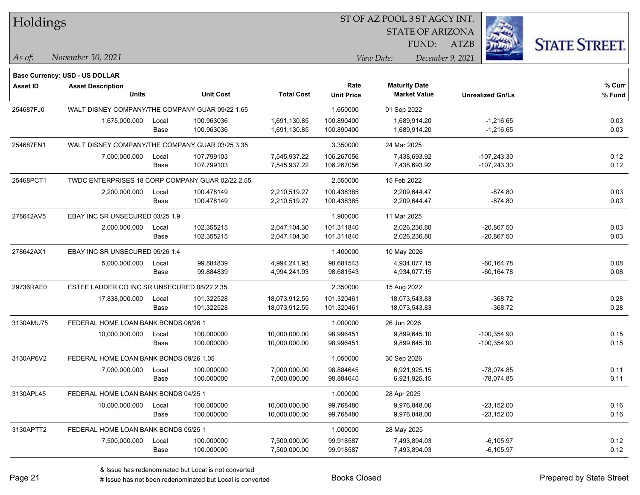| Holdings        |                                                  |       |                  |                   | ST OF AZ POOL 3 ST AGCY INT. |                         |                         |                      |
|-----------------|--------------------------------------------------|-------|------------------|-------------------|------------------------------|-------------------------|-------------------------|----------------------|
|                 |                                                  |       |                  |                   |                              | <b>STATE OF ARIZONA</b> |                         |                      |
|                 |                                                  |       |                  |                   |                              | FUND:                   | <b>ATZB</b>             | <b>STATE STREET.</b> |
| As of:          | November 30, 2021                                |       |                  |                   |                              | View Date:              | December 9, 2021        |                      |
|                 | <b>Base Currency: USD - US DOLLAR</b>            |       |                  |                   |                              |                         |                         |                      |
| <b>Asset ID</b> | <b>Asset Description</b>                         |       |                  |                   | Rate                         | <b>Maturity Date</b>    |                         | % Curr               |
|                 | <b>Units</b>                                     |       | <b>Unit Cost</b> | <b>Total Cost</b> | <b>Unit Price</b>            | <b>Market Value</b>     | <b>Unrealized Gn/Ls</b> | % Fund               |
| 254687FJ0       | WALT DISNEY COMPANY/THE COMPANY GUAR 09/22 1.65  |       |                  |                   | 1.650000                     | 01 Sep 2022             |                         |                      |
|                 | 1,675,000.000                                    | Local | 100.963036       | 1,691,130.85      | 100.890400                   | 1,689,914.20            | $-1,216.65$             | 0.03                 |
|                 |                                                  | Base  | 100.963036       | 1,691,130.85      | 100.890400                   | 1,689,914.20            | $-1,216.65$             | 0.03                 |
| 254687FN1       | WALT DISNEY COMPANY/THE COMPANY GUAR 03/25 3.35  |       |                  |                   | 3.350000                     | 24 Mar 2025             |                         |                      |
|                 | 7,000,000.000                                    | Local | 107.799103       | 7,545,937.22      | 106.267056                   | 7,438,693.92            | $-107,243.30$           | 0.12                 |
|                 |                                                  | Base  | 107.799103       | 7,545,937.22      | 106.267056                   | 7,438,693.92            | $-107,243.30$           | 0.12                 |
| 25468PCT1       | TWDC ENTERPRISES 18 CORP COMPANY GUAR 02/22 2.55 |       |                  |                   | 2.550000                     | 15 Feb 2022             |                         |                      |
|                 | 2,200,000.000                                    | Local | 100.478149       | 2,210,519.27      | 100.438385                   | 2,209,644.47            | $-874.80$               | 0.03                 |
|                 |                                                  | Base  | 100.478149       | 2,210,519.27      | 100.438385                   | 2,209,644.47            | $-874.80$               | 0.03                 |
| 278642AV5       | EBAY INC SR UNSECURED 03/25 1.9                  |       |                  |                   | 1.900000                     | 11 Mar 2025             |                         |                      |
|                 | 2,000,000.000                                    | Local | 102.355215       | 2,047,104.30      | 101.311840                   | 2,026,236.80            | $-20,867.50$            | 0.03                 |
|                 |                                                  | Base  | 102.355215       | 2,047,104.30      | 101.311840                   | 2,026,236.80            | $-20,867.50$            | 0.03                 |
| 278642AX1       | EBAY INC SR UNSECURED 05/26 1.4                  |       |                  |                   | 1.400000                     | 10 May 2026             |                         |                      |
|                 | 5,000,000.000                                    | Local | 99.884839        | 4,994,241.93      | 98.681543                    | 4,934,077.15            | $-60, 164.78$           | 0.08                 |
|                 |                                                  | Base  | 99.884839        | 4,994,241.93      | 98.681543                    | 4,934,077.15            | -60,164.78              | 0.08                 |
| 29736RAE0       | ESTEE LAUDER CO INC SR UNSECURED 08/22 2.35      |       |                  |                   | 2.350000                     | 15 Aug 2022             |                         |                      |
|                 | 17,838,000.000                                   | Local | 101.322528       | 18,073,912.55     | 101.320461                   | 18,073,543.83           | $-368.72$               | 0.28                 |
|                 |                                                  | Base  | 101.322528       | 18,073,912.55     | 101.320461                   | 18,073,543.83           | $-368.72$               | 0.28                 |
| 3130AMU75       | FEDERAL HOME LOAN BANK BONDS 06/26 1             |       |                  |                   | 1.000000                     | 26 Jun 2026             |                         |                      |
|                 | 10,000,000.000                                   | Local | 100.000000       | 10,000,000.00     | 98.996451                    | 9,899,645.10            | $-100,354.90$           | 0.15                 |
|                 |                                                  | Base  | 100.000000       | 10,000,000.00     | 98.996451                    | 9,899,645.10            | -100,354.90             | 0.15                 |
| 3130AP6V2       | FEDERAL HOME LOAN BANK BONDS 09/26 1.05          |       |                  |                   | 1.050000                     | 30 Sep 2026             |                         |                      |
|                 | 7,000,000.000                                    | Local | 100.000000       | 7,000,000.00      | 98.884645                    | 6,921,925.15            | -78,074.85              | 0.11                 |
|                 |                                                  | Base  | 100.000000       | 7,000,000.00      | 98.884645                    | 6,921,925.15            | -78,074.85              | 0.11                 |
| 3130APL45       | FEDERAL HOME LOAN BANK BONDS 04/25 1             |       |                  |                   | 1.000000                     | 28 Apr 2025             |                         |                      |
|                 | 10,000,000.000                                   | Local | 100.000000       | 10,000,000.00     | 99.768480                    | 9,976,848.00            | $-23,152.00$            | 0.16                 |
|                 |                                                  | Base  | 100.000000       | 10,000,000.00     | 99.768480                    | 9,976,848.00            | $-23,152.00$            | 0.16                 |
| 3130APTT2       | FEDERAL HOME LOAN BANK BONDS 05/25 1             |       |                  |                   | 1.000000                     | 28 May 2025             |                         |                      |
|                 | 7,500,000.000                                    | Local | 100.000000       | 7,500,000.00      | 99.918587                    | 7,493,894.03            | $-6,105.97$             | 0.12                 |
|                 |                                                  | Base  | 100.000000       | 7,500,000.00      | 99.918587                    | 7,493,894.03            | $-6,105.97$             | 0.12                 |

 $\overline{\phantom{0}}$ 

 $\overline{\phantom{a}}$ 

 $\overline{\phantom{0}}$ 

 $\overline{\phantom{0}}$ 

 $\overline{\phantom{0}}$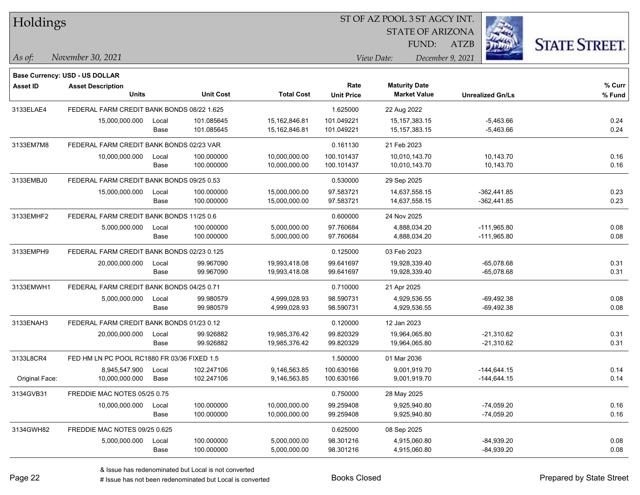| Holdings        |                                             |       |                  |                   |                   | ST OF AZ POOL 3 ST AGCY INT. |                         |                      |
|-----------------|---------------------------------------------|-------|------------------|-------------------|-------------------|------------------------------|-------------------------|----------------------|
|                 |                                             |       |                  |                   |                   | <b>STATE OF ARIZONA</b>      |                         |                      |
|                 |                                             |       |                  |                   |                   | FUND:                        | <b>ATZB</b>             | <b>STATE STREET.</b> |
| $ As\;of:$      | November 30, 2021                           |       |                  |                   |                   | View Date:                   | December 9, 2021        |                      |
|                 |                                             |       |                  |                   |                   |                              |                         |                      |
|                 | Base Currency: USD - US DOLLAR              |       |                  |                   | Rate              | <b>Maturity Date</b>         |                         | % Curr               |
| <b>Asset ID</b> | <b>Asset Description</b><br><b>Units</b>    |       | <b>Unit Cost</b> | <b>Total Cost</b> | <b>Unit Price</b> | <b>Market Value</b>          | <b>Unrealized Gn/Ls</b> | % Fund               |
| 3133ELAE4       | FEDERAL FARM CREDIT BANK BONDS 08/22 1.625  |       |                  |                   | 1.625000          | 22 Aug 2022                  |                         |                      |
|                 | 15,000,000.000                              | Local | 101.085645       | 15,162,846.81     | 101.049221        | 15, 157, 383. 15             | $-5,463.66$             | 0.24                 |
|                 |                                             | Base  | 101.085645       | 15,162,846.81     | 101.049221        | 15, 157, 383. 15             | $-5,463.66$             | 0.24                 |
| 3133EM7M8       | FEDERAL FARM CREDIT BANK BONDS 02/23 VAR    |       |                  |                   | 0.161130          | 21 Feb 2023                  |                         |                      |
|                 | 10,000,000.000                              | Local | 100.000000       | 10,000,000.00     | 100.101437        | 10,010,143.70                | 10,143.70               | 0.16                 |
|                 |                                             | Base  | 100.000000       | 10,000,000.00     | 100.101437        | 10,010,143.70                | 10,143.70               | 0.16                 |
| 3133EMBJ0       | FEDERAL FARM CREDIT BANK BONDS 09/25 0.53   |       |                  |                   | 0.530000          | 29 Sep 2025                  |                         |                      |
|                 | 15,000,000.000                              | Local | 100.000000       | 15,000,000.00     | 97.583721         | 14,637,558.15                | $-362,441.85$           | 0.23                 |
|                 |                                             | Base  | 100.000000       | 15,000,000.00     | 97.583721         | 14,637,558.15                | $-362,441.85$           | 0.23                 |
| 3133EMHF2       | FEDERAL FARM CREDIT BANK BONDS 11/25 0.6    |       |                  |                   | 0.600000          | 24 Nov 2025                  |                         |                      |
|                 | 5,000,000.000                               | Local | 100.000000       | 5,000,000.00      | 97.760684         | 4,888,034.20                 | $-111,965.80$           | 0.08                 |
|                 |                                             | Base  | 100.000000       | 5,000,000.00      | 97.760684         | 4,888,034.20                 | $-111,965.80$           | 0.08                 |
| 3133EMPH9       | FEDERAL FARM CREDIT BANK BONDS 02/23 0.125  |       |                  |                   | 0.125000          | 03 Feb 2023                  |                         |                      |
|                 | 20,000,000.000                              | Local | 99.967090        | 19,993,418.08     | 99.641697         | 19,928,339.40                | $-65,078.68$            | 0.31                 |
|                 |                                             | Base  | 99.967090        | 19,993,418.08     | 99.641697         | 19,928,339.40                | $-65,078.68$            | 0.31                 |
| 3133EMWH1       | FEDERAL FARM CREDIT BANK BONDS 04/25 0.71   |       |                  |                   | 0.710000          | 21 Apr 2025                  |                         |                      |
|                 | 5,000,000.000                               | Local | 99.980579        | 4,999,028.93      | 98.590731         | 4,929,536.55                 | $-69,492.38$            | 0.08                 |
|                 |                                             | Base  | 99.980579        | 4,999,028.93      | 98.590731         | 4,929,536.55                 | -69,492.38              | 0.08                 |
| 3133ENAH3       | FEDERAL FARM CREDIT BANK BONDS 01/23 0.12   |       |                  |                   | 0.120000          | 12 Jan 2023                  |                         |                      |
|                 | 20,000,000.000                              | Local | 99.926882        | 19,985,376.42     | 99.820329         | 19,964,065.80                | $-21,310.62$            | 0.31                 |
|                 |                                             | Base  | 99.926882        | 19,985,376.42     | 99.820329         | 19,964,065.80                | -21,310.62              | 0.31                 |
| 3133L8CR4       | FED HM LN PC POOL RC1880 FR 03/36 FIXED 1.5 |       |                  |                   | 1.500000          | 01 Mar 2036                  |                         |                      |
|                 | 8,945,547.900                               | Local | 102.247106       | 9,146,563.85      | 100.630166        | 9,001,919.70                 | $-144,644.15$           | 0.14                 |
| Original Face:  | 10,000,000.000                              | Base  | 102.247106       | 9,146,563.85      | 100.630166        | 9,001,919.70                 | $-144,644.15$           | 0.14                 |
| 3134GVB31       | FREDDIE MAC NOTES 05/25 0.75                |       |                  |                   | 0.750000          | 28 May 2025                  |                         |                      |
|                 | 10,000,000.000                              | Local | 100.000000       | 10,000,000.00     | 99.259408         | 9,925,940.80                 | $-74,059.20$            | 0.16                 |
|                 |                                             | Base  | 100.000000       | 10,000,000.00     | 99.259408         | 9,925,940.80                 | $-74,059.20$            | 0.16                 |
| 3134GWH82       | FREDDIE MAC NOTES 09/25 0.625               |       |                  |                   | 0.625000          | 08 Sep 2025                  |                         |                      |
|                 | 5,000,000.000                               | Local | 100.000000       | 5,000,000.00      | 98.301216         | 4,915,060.80                 | $-84,939.20$            | 0.08                 |
|                 |                                             | Base  | 100.000000       | 5,000,000.00      | 98.301216         | 4,915,060.80                 | $-84,939.20$            | 0.08                 |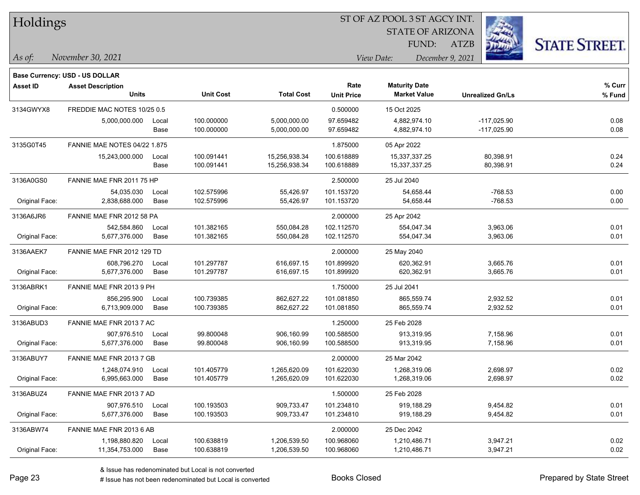| Holdings |
|----------|
|          |

STATE OF ARIZONA FUND:

ATZB



*November 30, 2021 As of: View Date: December 9, 2021*

|                 | Base Currency: USD - US DOLLAR      |       |                  |                   |                   |                      |                         |        |
|-----------------|-------------------------------------|-------|------------------|-------------------|-------------------|----------------------|-------------------------|--------|
| <b>Asset ID</b> | <b>Asset Description</b>            |       |                  |                   | Rate              | <b>Maturity Date</b> |                         | % Curr |
|                 | <b>Units</b>                        |       | <b>Unit Cost</b> | <b>Total Cost</b> | <b>Unit Price</b> | <b>Market Value</b>  | <b>Unrealized Gn/Ls</b> | % Fund |
| 3134GWYX8       | FREDDIE MAC NOTES 10/25 0.5         |       |                  |                   | 0.500000          | 15 Oct 2025          |                         |        |
|                 | 5,000,000.000                       | Local | 100.000000       | 5,000,000.00      | 97.659482         | 4,882,974.10         | $-117,025.90$           | 0.08   |
|                 |                                     | Base  | 100.000000       | 5,000,000.00      | 97.659482         | 4,882,974.10         | $-117,025.90$           | 0.08   |
| 3135G0T45       | <b>FANNIE MAE NOTES 04/22 1.875</b> |       |                  |                   | 1.875000          | 05 Apr 2022          |                         |        |
|                 | 15,243,000.000                      | Local | 100.091441       | 15,256,938.34     | 100.618889        | 15,337,337.25        | 80,398.91               | 0.24   |
|                 |                                     | Base  | 100.091441       | 15,256,938.34     | 100.618889        | 15,337,337.25        | 80,398.91               | 0.24   |
| 3136A0GS0       | FANNIE MAE FNR 2011 75 HP           |       |                  |                   | 2.500000          | 25 Jul 2040          |                         |        |
|                 | 54,035.030                          | Local | 102.575996       | 55,426.97         | 101.153720        | 54,658.44            | $-768.53$               | 0.00   |
| Original Face:  | 2,838,688.000                       | Base  | 102.575996       | 55,426.97         | 101.153720        | 54,658.44            | $-768.53$               | 0.00   |
| 3136A6JR6       | FANNIE MAE FNR 2012 58 PA           |       |                  |                   | 2.000000          | 25 Apr 2042          |                         |        |
|                 | 542,584.860                         | Local | 101.382165       | 550,084.28        | 102.112570        | 554,047.34           | 3,963.06                | 0.01   |
| Original Face:  | 5,677,376.000                       | Base  | 101.382165       | 550,084.28        | 102.112570        | 554,047.34           | 3,963.06                | 0.01   |
| 3136AAEK7       | FANNIE MAE FNR 2012 129 TD          |       |                  |                   | 2.000000          | 25 May 2040          |                         |        |
|                 | 608,796.270                         | Local | 101.297787       | 616,697.15        | 101.899920        | 620,362.91           | 3,665.76                | 0.01   |
| Original Face:  | 5,677,376.000                       | Base  | 101.297787       | 616,697.15        | 101.899920        | 620,362.91           | 3,665.76                | 0.01   |
| 3136ABRK1       | FANNIE MAE FNR 2013 9 PH            |       |                  |                   | 1.750000          | 25 Jul 2041          |                         |        |
|                 | 856,295.900                         | Local | 100.739385       | 862,627.22        | 101.081850        | 865,559.74           | 2,932.52                | 0.01   |
| Original Face:  | 6,713,909.000                       | Base  | 100.739385       | 862,627.22        | 101.081850        | 865,559.74           | 2,932.52                | 0.01   |
| 3136ABUD3       | FANNIE MAE FNR 2013 7 AC            |       |                  |                   | 1.250000          | 25 Feb 2028          |                         |        |
|                 | 907,976.510                         | Local | 99.800048        | 906,160.99        | 100.588500        | 913,319.95           | 7,158.96                | 0.01   |
| Original Face:  | 5,677,376.000                       | Base  | 99.800048        | 906,160.99        | 100.588500        | 913,319.95           | 7,158.96                | 0.01   |
| 3136ABUY7       | FANNIE MAE FNR 2013 7 GB            |       |                  |                   | 2.000000          | 25 Mar 2042          |                         |        |
|                 | 1,248,074.910                       | Local | 101.405779       | 1,265,620.09      | 101.622030        | 1,268,319.06         | 2,698.97                | 0.02   |
| Original Face:  | 6,995,663.000                       | Base  | 101.405779       | 1,265,620.09      | 101.622030        | 1,268,319.06         | 2,698.97                | 0.02   |
| 3136ABUZ4       | FANNIE MAE FNR 2013 7 AD            |       |                  |                   | 1.500000          | 25 Feb 2028          |                         |        |
|                 | 907,976.510                         | Local | 100.193503       | 909,733.47        | 101.234810        | 919,188.29           | 9,454.82                | 0.01   |
| Original Face:  | 5,677,376.000                       | Base  | 100.193503       | 909,733.47        | 101.234810        | 919,188.29           | 9,454.82                | 0.01   |
| 3136ABW74       | FANNIE MAE FNR 2013 6 AB            |       |                  |                   | 2.000000          | 25 Dec 2042          |                         |        |
|                 | 1,198,880.820                       | Local | 100.638819       | 1,206,539.50      | 100.968060        | 1,210,486.71         | 3,947.21                | 0.02   |
| Original Face:  | 11,354,753.000                      | Base  | 100.638819       | 1,206,539.50      | 100.968060        | 1,210,486.71         | 3,947.21                | 0.02   |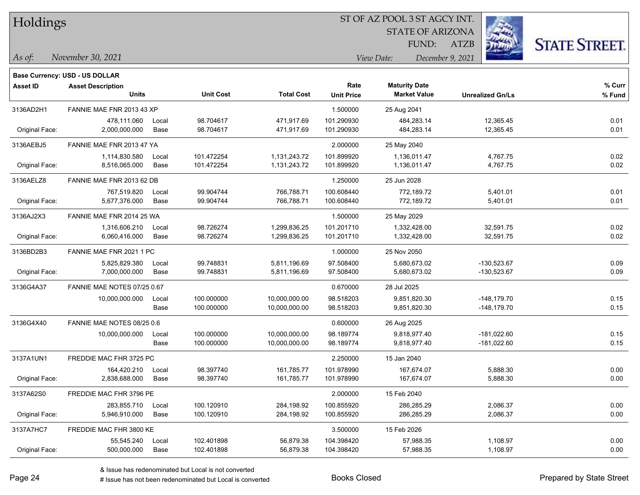| Holdings |
|----------|
|          |

STATE OF ARIZONA FUND:

ATZB



*November 30, 2021 As of: View Date: December 9, 2021*

|                 | Base Currency: USD - US DOLLAR |       |                  |                   |                   |                      |                         |        |
|-----------------|--------------------------------|-------|------------------|-------------------|-------------------|----------------------|-------------------------|--------|
| <b>Asset ID</b> | <b>Asset Description</b>       |       |                  |                   | Rate              | <b>Maturity Date</b> |                         | % Curr |
|                 | <b>Units</b>                   |       | <b>Unit Cost</b> | <b>Total Cost</b> | <b>Unit Price</b> | <b>Market Value</b>  | <b>Unrealized Gn/Ls</b> | % Fund |
| 3136AD2H1       | FANNIE MAE FNR 2013 43 XP      |       |                  |                   | 1.500000          | 25 Aug 2041          |                         |        |
|                 | 478,111.060                    | Local | 98.704617        | 471,917.69        | 101.290930        | 484,283.14           | 12,365.45               | 0.01   |
| Original Face:  | 2,000,000.000                  | Base  | 98.704617        | 471,917.69        | 101.290930        | 484,283.14           | 12,365.45               | 0.01   |
| 3136AEBJ5       | FANNIE MAE FNR 2013 47 YA      |       |                  |                   | 2.000000          | 25 May 2040          |                         |        |
|                 | 1,114,830.580                  | Local | 101.472254       | 1,131,243.72      | 101.899920        | 1,136,011.47         | 4,767.75                | 0.02   |
| Original Face:  | 8,516,065.000                  | Base  | 101.472254       | 1,131,243.72      | 101.899920        | 1,136,011.47         | 4,767.75                | 0.02   |
| 3136AELZ8       | FANNIE MAE FNR 2013 62 DB      |       |                  |                   | 1.250000          | 25 Jun 2028          |                         |        |
|                 | 767,519.820                    | Local | 99.904744        | 766,788.71        | 100.608440        | 772,189.72           | 5,401.01                | 0.01   |
| Original Face:  | 5,677,376.000                  | Base  | 99.904744        | 766,788.71        | 100.608440        | 772,189.72           | 5,401.01                | 0.01   |
| 3136AJ2X3       | FANNIE MAE FNR 2014 25 WA      |       |                  |                   | 1.500000          | 25 May 2029          |                         |        |
|                 | 1,316,606.210                  | Local | 98.726274        | 1,299,836.25      | 101.201710        | 1,332,428.00         | 32,591.75               | 0.02   |
| Original Face:  | 6,060,416.000                  | Base  | 98.726274        | 1,299,836.25      | 101.201710        | 1,332,428.00         | 32,591.75               | 0.02   |
| 3136BD2B3       | FANNIE MAE FNR 2021 1 PC       |       |                  |                   | 1.000000          | 25 Nov 2050          |                         |        |
|                 | 5,825,829.380                  | Local | 99.748831        | 5,811,196.69      | 97.508400         | 5,680,673.02         | -130,523.67             | 0.09   |
| Original Face:  | 7,000,000.000                  | Base  | 99.748831        | 5,811,196.69      | 97.508400         | 5,680,673.02         | $-130,523.67$           | 0.09   |
| 3136G4A37       | FANNIE MAE NOTES 07/25 0.67    |       |                  |                   | 0.670000          | 28 Jul 2025          |                         |        |
|                 | 10,000,000.000                 | Local | 100.000000       | 10,000,000.00     | 98.518203         | 9,851,820.30         | -148,179.70             | 0.15   |
|                 |                                | Base  | 100.000000       | 10,000,000.00     | 98.518203         | 9,851,820.30         | -148,179.70             | 0.15   |
| 3136G4X40       | FANNIE MAE NOTES 08/25 0.6     |       |                  |                   | 0.600000          | 26 Aug 2025          |                         |        |
|                 | 10,000,000.000                 | Local | 100.000000       | 10,000,000.00     | 98.189774         | 9,818,977.40         | $-181,022.60$           | 0.15   |
|                 |                                | Base  | 100.000000       | 10,000,000.00     | 98.189774         | 9,818,977.40         | $-181,022.60$           | 0.15   |
| 3137A1UN1       | FREDDIE MAC FHR 3725 PC        |       |                  |                   | 2.250000          | 15 Jan 2040          |                         |        |
|                 | 164,420.210                    | Local | 98.397740        | 161,785.77        | 101.978990        | 167,674.07           | 5,888.30                | 0.00   |
| Original Face:  | 2,838,688.000                  | Base  | 98.397740        | 161,785.77        | 101.978990        | 167,674.07           | 5,888.30                | 0.00   |
| 3137A62S0       | FREDDIE MAC FHR 3796 PE        |       |                  |                   | 2.000000          | 15 Feb 2040          |                         |        |
|                 | 283,855.710                    | Local | 100.120910       | 284,198.92        | 100.855920        | 286,285.29           | 2,086.37                | 0.00   |
| Original Face:  | 5,946,910.000                  | Base  | 100.120910       | 284,198.92        | 100.855920        | 286,285.29           | 2,086.37                | 0.00   |
| 3137A7HC7       | FREDDIE MAC FHR 3800 KE        |       |                  |                   | 3.500000          | 15 Feb 2026          |                         |        |
|                 | 55,545.240                     | Local | 102.401898       | 56,879.38         | 104.398420        | 57,988.35            | 1,108.97                | 0.00   |
| Original Face:  | 500,000.000                    | Base  | 102.401898       | 56,879.38         | 104.398420        | 57,988.35            | 1,108.97                | 0.00   |

# Issue has not been redenominated but Local is converted Books Closed Prepared by State Street

e e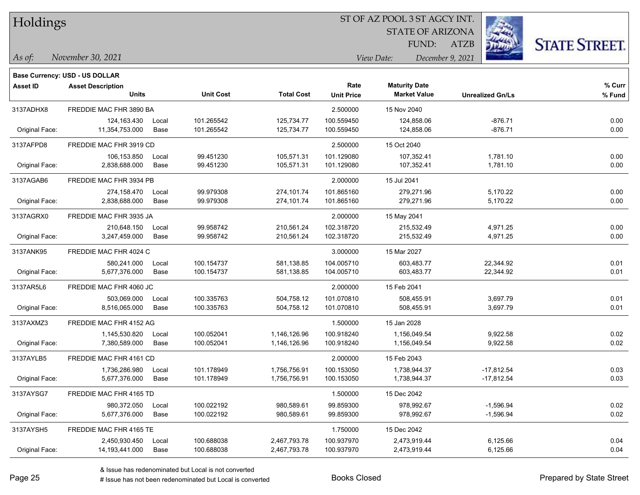|  | Holdings |
|--|----------|
|--|----------|

STATE OF ARIZONA FUND:

ATZB



*As of: View Date: December 9, 2021*

| As of: | November 30, 2021 |  |
|--------|-------------------|--|
|        |                   |  |

|                 | Base Currency: USD - US DOLLAR           |               |                          |                              |                           |                                             |                              |                  |
|-----------------|------------------------------------------|---------------|--------------------------|------------------------------|---------------------------|---------------------------------------------|------------------------------|------------------|
| <b>Asset ID</b> | <b>Asset Description</b><br><b>Units</b> |               | <b>Unit Cost</b>         | <b>Total Cost</b>            | Rate<br><b>Unit Price</b> | <b>Maturity Date</b><br><b>Market Value</b> | <b>Unrealized Gn/Ls</b>      | % Curr<br>% Fund |
| 3137ADHX8       | FREDDIE MAC FHR 3890 BA                  |               |                          |                              | 2.500000                  | 15 Nov 2040                                 |                              |                  |
| Original Face:  | 124,163.430<br>11,354,753.000            | Local<br>Base | 101.265542<br>101.265542 | 125,734.77<br>125,734.77     | 100.559450<br>100.559450  | 124,858.06<br>124,858.06                    | $-876.71$<br>$-876.71$       | 0.00<br>0.00     |
| 3137AFPD8       | FREDDIE MAC FHR 3919 CD                  |               |                          |                              | 2.500000                  | 15 Oct 2040                                 |                              |                  |
| Original Face:  | 106,153.850<br>2,838,688.000             | Local<br>Base | 99.451230<br>99.451230   | 105,571.31<br>105,571.31     | 101.129080<br>101.129080  | 107,352.41<br>107,352.41                    | 1,781.10<br>1,781.10         | 0.00<br>0.00     |
| 3137AGAB6       | FREDDIE MAC FHR 3934 PB                  |               |                          |                              | 2.000000                  | 15 Jul 2041                                 |                              |                  |
| Original Face:  | 274,158.470<br>2,838,688.000             | Local<br>Base | 99.979308<br>99.979308   | 274,101.74<br>274,101.74     | 101.865160<br>101.865160  | 279,271.96<br>279,271.96                    | 5,170.22<br>5,170.22         | 0.00<br>0.00     |
| 3137AGRX0       | FREDDIE MAC FHR 3935 JA                  |               |                          |                              | 2.000000                  | 15 May 2041                                 |                              |                  |
| Original Face:  | 210,648.150<br>3,247,459.000             | Local<br>Base | 99.958742<br>99.958742   | 210,561.24<br>210,561.24     | 102.318720<br>102.318720  | 215,532.49<br>215,532.49                    | 4,971.25<br>4,971.25         | 0.00<br>0.00     |
| 3137ANK95       | FREDDIE MAC FHR 4024 C                   |               |                          |                              | 3.000000                  | 15 Mar 2027                                 |                              |                  |
| Original Face:  | 580,241.000<br>5,677,376.000             | Local<br>Base | 100.154737<br>100.154737 | 581,138.85<br>581,138.85     | 104.005710<br>104.005710  | 603,483.77<br>603,483.77                    | 22,344.92<br>22,344.92       | 0.01<br>0.01     |
| 3137AR5L6       | FREDDIE MAC FHR 4060 JC                  |               |                          |                              | 2.000000                  | 15 Feb 2041                                 |                              |                  |
| Original Face:  | 503,069.000<br>8,516,065.000             | Local<br>Base | 100.335763<br>100.335763 | 504,758.12<br>504,758.12     | 101.070810<br>101.070810  | 508,455.91<br>508,455.91                    | 3,697.79<br>3,697.79         | 0.01<br>0.01     |
| 3137AXMZ3       | FREDDIE MAC FHR 4152 AG                  |               |                          |                              | 1.500000                  | 15 Jan 2028                                 |                              |                  |
| Original Face:  | 1,145,530.820<br>7,380,589.000           | Local<br>Base | 100.052041<br>100.052041 | 1,146,126.96<br>1,146,126.96 | 100.918240<br>100.918240  | 1,156,049.54<br>1,156,049.54                | 9,922.58<br>9,922.58         | 0.02<br>0.02     |
| 3137AYLB5       | FREDDIE MAC FHR 4161 CD                  |               |                          |                              | 2.000000                  | 15 Feb 2043                                 |                              |                  |
| Original Face:  | 1,736,286.980<br>5,677,376.000           | Local<br>Base | 101.178949<br>101.178949 | 1,756,756.91<br>1,756,756.91 | 100.153050<br>100.153050  | 1,738,944.37<br>1,738,944.37                | $-17,812.54$<br>$-17,812.54$ | 0.03<br>0.03     |
| 3137AYSG7       | FREDDIE MAC FHR 4165 TD                  |               |                          |                              | 1.500000                  | 15 Dec 2042                                 |                              |                  |
| Original Face:  | 980,372.050<br>5,677,376.000             | Local<br>Base | 100.022192<br>100.022192 | 980,589.61<br>980,589.61     | 99.859300<br>99.859300    | 978,992.67<br>978,992.67                    | $-1,596.94$<br>$-1,596.94$   | 0.02<br>0.02     |
| 3137AYSH5       | FREDDIE MAC FHR 4165 TE                  |               |                          |                              | 1.750000                  | 15 Dec 2042                                 |                              |                  |
| Original Face:  | 2,450,930.450<br>14,193,441.000          | Local<br>Base | 100.688038<br>100.688038 | 2,467,793.78<br>2,467,793.78 | 100.937970<br>100.937970  | 2,473,919.44<br>2,473,919.44                | 6,125.66<br>6,125.66         | 0.04<br>0.04     |
|                 |                                          |               |                          |                              |                           |                                             |                              |                  |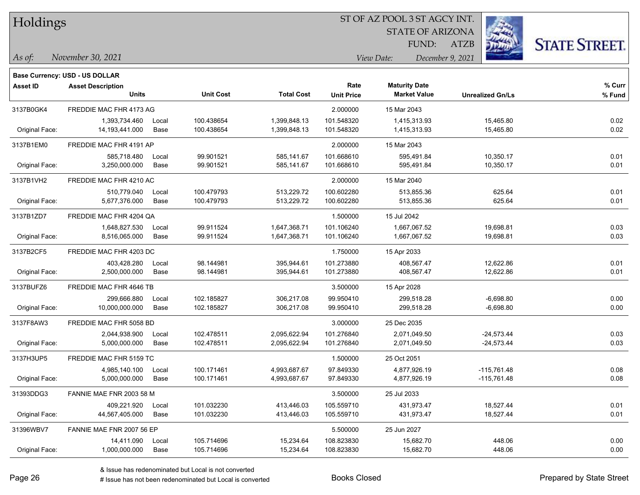| Holdings |
|----------|
|          |

STATE OF ARIZONA

FUND: ATZB



*As of: View Date: December 9, 2021*

| As of: | November 30, 2021 |  |
|--------|-------------------|--|
|        |                   |  |

|                 | Base Currency: USD - US DOLLAR           |               |                          |                              |                           |                                             |                                |                  |
|-----------------|------------------------------------------|---------------|--------------------------|------------------------------|---------------------------|---------------------------------------------|--------------------------------|------------------|
| <b>Asset ID</b> | <b>Asset Description</b><br><b>Units</b> |               | <b>Unit Cost</b>         | <b>Total Cost</b>            | Rate<br><b>Unit Price</b> | <b>Maturity Date</b><br><b>Market Value</b> | <b>Unrealized Gn/Ls</b>        | % Curr<br>% Fund |
| 3137B0GK4       | FREDDIE MAC FHR 4173 AG                  |               |                          |                              | 2.000000                  | 15 Mar 2043                                 |                                |                  |
| Original Face:  | 1,393,734.460<br>14,193,441.000          | Local<br>Base | 100.438654<br>100.438654 | 1,399,848.13<br>1,399,848.13 | 101.548320<br>101.548320  | 1,415,313.93<br>1,415,313.93                | 15,465.80<br>15,465.80         | 0.02<br>0.02     |
| 3137B1EM0       | FREDDIE MAC FHR 4191 AP                  |               |                          |                              | 2.000000                  | 15 Mar 2043                                 |                                |                  |
| Original Face:  | 585,718.480<br>3,250,000.000             | Local<br>Base | 99.901521<br>99.901521   | 585,141.67<br>585,141.67     | 101.668610<br>101.668610  | 595,491.84<br>595,491.84                    | 10,350.17<br>10,350.17         | 0.01<br>0.01     |
| 3137B1VH2       | FREDDIE MAC FHR 4210 AC                  |               |                          |                              | 2.000000                  | 15 Mar 2040                                 |                                |                  |
| Original Face:  | 510,779.040<br>5,677,376.000             | Local<br>Base | 100.479793<br>100.479793 | 513,229.72<br>513,229.72     | 100.602280<br>100.602280  | 513,855.36<br>513,855.36                    | 625.64<br>625.64               | 0.01<br>0.01     |
| 3137B1ZD7       | FREDDIE MAC FHR 4204 QA                  |               |                          |                              | 1.500000                  | 15 Jul 2042                                 |                                |                  |
| Original Face:  | 1,648,827.530<br>8,516,065.000           | Local<br>Base | 99.911524<br>99.911524   | 1,647,368.71<br>1,647,368.71 | 101.106240<br>101.106240  | 1,667,067.52<br>1,667,067.52                | 19,698.81<br>19,698.81         | 0.03<br>0.03     |
| 3137B2CF5       | FREDDIE MAC FHR 4203 DC                  |               |                          |                              | 1.750000                  | 15 Apr 2033                                 |                                |                  |
| Original Face:  | 403,428.280<br>2,500,000.000             | Local<br>Base | 98.144981<br>98.144981   | 395,944.61<br>395,944.61     | 101.273880<br>101.273880  | 408,567.47<br>408,567.47                    | 12,622.86<br>12,622.86         | 0.01<br>0.01     |
| 3137BUFZ6       | FREDDIE MAC FHR 4646 TB                  |               |                          |                              | 3.500000                  | 15 Apr 2028                                 |                                |                  |
| Original Face:  | 299.666.880<br>10,000,000.000            | Local<br>Base | 102.185827<br>102.185827 | 306,217.08<br>306,217.08     | 99.950410<br>99.950410    | 299,518.28<br>299,518.28                    | $-6,698.80$<br>$-6,698.80$     | 0.00<br>0.00     |
| 3137F8AW3       | FREDDIE MAC FHR 5058 BD                  |               |                          |                              | 3.000000                  | 25 Dec 2035                                 |                                |                  |
| Original Face:  | 2,044,938.900<br>5,000,000.000           | Local<br>Base | 102.478511<br>102.478511 | 2,095,622.94<br>2,095,622.94 | 101.276840<br>101.276840  | 2,071,049.50<br>2,071,049.50                | $-24,573.44$<br>$-24,573.44$   | 0.03<br>0.03     |
| 3137H3UP5       | FREDDIE MAC FHR 5159 TC                  |               |                          |                              | 1.500000                  | 25 Oct 2051                                 |                                |                  |
| Original Face:  | 4,985,140.100<br>5,000,000.000           | Local<br>Base | 100.171461<br>100.171461 | 4,993,687.67<br>4,993,687.67 | 97.849330<br>97.849330    | 4,877,926.19<br>4,877,926.19                | $-115,761.48$<br>$-115,761.48$ | 0.08<br>0.08     |
| 31393DDG3       | FANNIE MAE FNR 2003 58 M                 |               |                          |                              | 3.500000                  | 25 Jul 2033                                 |                                |                  |
| Original Face:  | 409,221.920<br>44,567,405.000            | Local<br>Base | 101.032230<br>101.032230 | 413,446.03<br>413,446.03     | 105.559710<br>105.559710  | 431,973.47<br>431,973.47                    | 18,527.44<br>18,527.44         | 0.01<br>0.01     |
| 31396WBV7       | FANNIE MAE FNR 2007 56 EP                |               |                          |                              | 5.500000                  | 25 Jun 2027                                 |                                |                  |
| Original Face:  | 14,411.090<br>1,000,000.000              | Local<br>Base | 105.714696<br>105.714696 | 15,234.64<br>15,234.64       | 108.823830<br>108.823830  | 15,682.70<br>15,682.70                      | 448.06<br>448.06               | 0.00<br>0.00     |
|                 |                                          |               |                          |                              |                           |                                             |                                |                  |

& Issue has redenominated but Local is not converted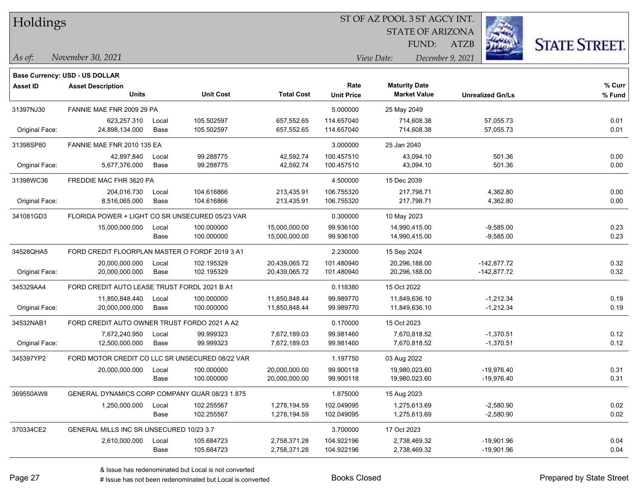Holdings

#### ST OF AZ POOL 3 ST AGCY INT.

STATE OF ARIZONA FUND:

ATZB



*As of: View Date: December 9, 2021*

|  | As of: | November 30, 2021 |  |
|--|--------|-------------------|--|
|--|--------|-------------------|--|

|                | Base Currency: USD - US DOLLAR                  |       |                  |                   |                   |                      |                         |        |
|----------------|-------------------------------------------------|-------|------------------|-------------------|-------------------|----------------------|-------------------------|--------|
| Asset ID       | <b>Asset Description</b>                        |       |                  |                   | Rate              | <b>Maturity Date</b> |                         | % Curr |
|                | <b>Units</b>                                    |       | <b>Unit Cost</b> | <b>Total Cost</b> | <b>Unit Price</b> | <b>Market Value</b>  | <b>Unrealized Gn/Ls</b> | % Fund |
| 31397NJ30      | FANNIE MAE FNR 2009 29 PA                       |       |                  |                   | 5.000000          | 25 May 2049          |                         |        |
|                | 623,257.310                                     | Local | 105.502597       | 657,552.65        | 114.657040        | 714,608.38           | 57,055.73               | 0.01   |
| Original Face: | 24,898,134.000                                  | Base  | 105.502597       | 657,552.65        | 114.657040        | 714,608.38           | 57,055.73               | 0.01   |
| 31398SP80      | FANNIE MAE FNR 2010 135 EA                      |       |                  |                   | 3.000000          | 25 Jan 2040          |                         |        |
|                | 42,897.840                                      | Local | 99.288775        | 42,592.74         | 100.457510        | 43,094.10            | 501.36                  | 0.00   |
| Original Face: | 5,677,376.000                                   | Base  | 99.288775        | 42,592.74         | 100.457510        | 43,094.10            | 501.36                  | 0.00   |
| 31398WC36      | FREDDIE MAC FHR 3620 PA                         |       |                  |                   | 4.500000          | 15 Dec 2039          |                         |        |
|                | 204.016.730                                     | Local | 104.616866       | 213,435.91        | 106.755320        | 217,798.71           | 4,362.80                | 0.00   |
| Original Face: | 8,516,065.000                                   | Base  | 104.616866       | 213,435.91        | 106.755320        | 217,798.71           | 4,362.80                | 0.00   |
| 341081GD3      | FLORIDA POWER + LIGHT CO SR UNSECURED 05/23 VAR |       |                  |                   | 0.300000          | 10 May 2023          |                         |        |
|                | 15,000,000.000                                  | Local | 100.000000       | 15,000,000.00     | 99.936100         | 14,990,415.00        | $-9,585.00$             | 0.23   |
|                |                                                 | Base  | 100.000000       | 15,000,000.00     | 99.936100         | 14,990,415.00        | $-9,585.00$             | 0.23   |
| 34528QHA5      | FORD CREDIT FLOORPLAN MASTER O FORDF 2019 3 A1  |       |                  |                   | 2.230000          | 15 Sep 2024          |                         |        |
|                | 20,000,000.000                                  | Local | 102.195329       | 20,439,065.72     | 101.480940        | 20,296,188.00        | $-142,877.72$           | 0.32   |
| Original Face: | 20,000,000.000                                  | Base  | 102.195329       | 20,439,065.72     | 101.480940        | 20,296,188.00        | $-142,877.72$           | 0.32   |
| 345329AA4      | FORD CREDIT AUTO LEASE TRUST FORDL 2021 B A1    |       |                  |                   | 0.118380          | 15 Oct 2022          |                         |        |
|                | 11,850,848.440                                  | Local | 100.000000       | 11,850,848.44     | 99.989770         | 11,849,636.10        | $-1,212.34$             | 0.19   |
| Original Face: | 20,000,000.000                                  | Base  | 100.000000       | 11,850,848.44     | 99.989770         | 11,849,636.10        | $-1,212.34$             | 0.19   |
| 34532NAB1      | FORD CREDIT AUTO OWNER TRUST FORDO 2021 A A2    |       |                  |                   | 0.170000          | 15 Oct 2023          |                         |        |
|                | 7,672,240.950                                   | Local | 99.999323        | 7,672,189.03      | 99.981460         | 7,670,818.52         | $-1,370.51$             | 0.12   |
| Original Face: | 12,500,000.000                                  | Base  | 99.999323        | 7,672,189.03      | 99.981460         | 7,670,818.52         | $-1,370.51$             | 0.12   |
| 345397YP2      | FORD MOTOR CREDIT CO LLC SR UNSECURED 08/22 VAR |       |                  |                   | 1.197750          | 03 Aug 2022          |                         |        |
|                | 20,000,000.000                                  | Local | 100.000000       | 20,000,000.00     | 99.900118         | 19,980,023.60        | $-19,976.40$            | 0.31   |
|                |                                                 | Base  | 100.000000       | 20,000,000.00     | 99.900118         | 19,980,023.60        | $-19,976.40$            | 0.31   |
| 369550AW8      | GENERAL DYNAMICS CORP COMPANY GUAR 08/23 1.875  |       |                  |                   | 1.875000          | 15 Aug 2023          |                         |        |
|                | 1,250,000.000                                   | Local | 102.255567       | 1,278,194.59      | 102.049095        | 1,275,613.69         | $-2,580.90$             | 0.02   |
|                |                                                 | Base  | 102.255567       | 1,278,194.59      | 102.049095        | 1,275,613.69         | $-2,580.90$             | 0.02   |
| 370334CE2      | GENERAL MILLS INC SR UNSECURED 10/23 3.7        |       |                  |                   | 3.700000          | 17 Oct 2023          |                         |        |
|                | 2,610,000.000                                   | Local | 105.684723       | 2,758,371.28      | 104.922196        | 2,738,469.32         | $-19,901.96$            | 0.04   |
|                |                                                 | Base  | 105.684723       | 2,758,371.28      | 104.922196        | 2,738,469.32         | $-19,901.96$            | 0.04   |

# Issue has not been redenominated but Local is converted Books Closed Prepared by State Street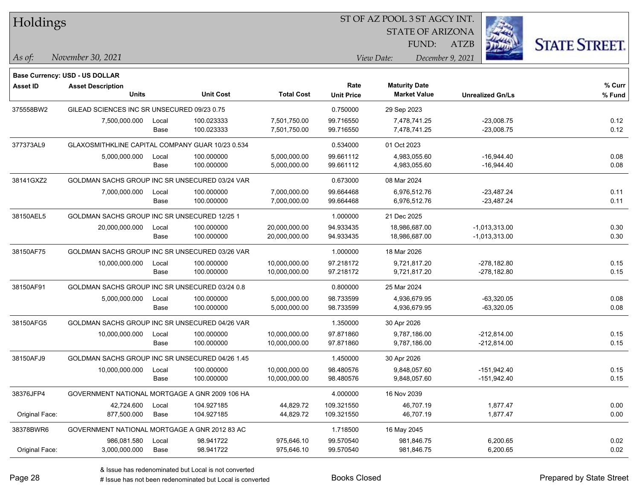| Holdings        |                                                  |       |                  |                   |                   | ST OF AZ POOL 3 ST AGCY INT. |                         |                         |                      |
|-----------------|--------------------------------------------------|-------|------------------|-------------------|-------------------|------------------------------|-------------------------|-------------------------|----------------------|
|                 |                                                  |       |                  |                   |                   |                              | <b>STATE OF ARIZONA</b> |                         |                      |
|                 |                                                  |       |                  |                   |                   |                              | FUND:<br><b>ATZB</b>    |                         | <b>STATE STREET.</b> |
| As of:          | November 30, 2021                                |       |                  |                   |                   | View Date:                   | December 9, 2021        |                         |                      |
|                 | <b>Base Currency: USD - US DOLLAR</b>            |       |                  |                   |                   |                              |                         |                         |                      |
| <b>Asset ID</b> | <b>Asset Description</b>                         |       |                  |                   | Rate              | <b>Maturity Date</b>         |                         |                         | % Curr               |
|                 | <b>Units</b>                                     |       | <b>Unit Cost</b> | <b>Total Cost</b> | <b>Unit Price</b> | <b>Market Value</b>          |                         | <b>Unrealized Gn/Ls</b> | % Fund               |
| 375558BW2       | GILEAD SCIENCES INC SR UNSECURED 09/23 0.75      |       |                  |                   | 0.750000          | 29 Sep 2023                  |                         |                         |                      |
|                 | 7,500,000.000                                    | Local | 100.023333       | 7,501,750.00      | 99.716550         | 7,478,741.25                 |                         | $-23,008.75$            | 0.12                 |
|                 |                                                  | Base  | 100.023333       | 7,501,750.00      | 99.716550         | 7,478,741.25                 |                         | $-23,008.75$            | 0.12                 |
| 377373AL9       | GLAXOSMITHKLINE CAPITAL COMPANY GUAR 10/23 0.534 |       |                  |                   | 0.534000          | 01 Oct 2023                  |                         |                         |                      |
|                 | 5,000,000.000                                    | Local | 100.000000       | 5,000,000.00      | 99.661112         | 4,983,055.60                 |                         | $-16,944.40$            | 0.08                 |
|                 |                                                  | Base  | 100.000000       | 5,000,000.00      | 99.661112         | 4,983,055.60                 |                         | $-16,944.40$            | 0.08                 |
| 38141GXZ2       | GOLDMAN SACHS GROUP INC SR UNSECURED 03/24 VAR   |       |                  |                   | 0.673000          | 08 Mar 2024                  |                         |                         |                      |
|                 | 7,000,000.000                                    | Local | 100.000000       | 7,000,000.00      | 99.664468         | 6,976,512.76                 |                         | $-23,487.24$            | 0.11                 |
|                 |                                                  | Base  | 100.000000       | 7,000,000.00      | 99.664468         | 6,976,512.76                 |                         | $-23,487.24$            | 0.11                 |
| 38150AEL5       | GOLDMAN SACHS GROUP INC SR UNSECURED 12/25 1     |       |                  |                   | 1.000000          | 21 Dec 2025                  |                         |                         |                      |
|                 | 20,000,000.000                                   | Local | 100.000000       | 20,000,000.00     | 94.933435         | 18.986.687.00                |                         | $-1,013,313.00$         | 0.30                 |
|                 |                                                  | Base  | 100.000000       | 20,000,000.00     | 94.933435         | 18,986,687.00                |                         | $-1,013,313.00$         | 0.30                 |
| 38150AF75       | GOLDMAN SACHS GROUP INC SR UNSECURED 03/26 VAR   |       |                  |                   | 1.000000          | 18 Mar 2026                  |                         |                         |                      |
|                 | 10,000,000.000                                   | Local | 100.000000       | 10,000,000.00     | 97.218172         | 9,721,817.20                 |                         | $-278,182.80$           | 0.15                 |
|                 |                                                  | Base  | 100.000000       | 10,000,000.00     | 97.218172         | 9,721,817.20                 |                         | -278,182.80             | 0.15                 |
| 38150AF91       | GOLDMAN SACHS GROUP INC SR UNSECURED 03/24 0.8   |       |                  |                   | 0.800000          | 25 Mar 2024                  |                         |                         |                      |
|                 | 5,000,000.000                                    | Local | 100.000000       | 5,000,000.00      | 98.733599         | 4,936,679.95                 |                         | $-63,320.05$            | 0.08                 |
|                 |                                                  | Base  | 100.000000       | 5,000,000.00      | 98.733599         | 4,936,679.95                 |                         | $-63,320.05$            | 0.08                 |
| 38150AFG5       | GOLDMAN SACHS GROUP INC SR UNSECURED 04/26 VAR   |       |                  |                   | 1.350000          | 30 Apr 2026                  |                         |                         |                      |
|                 | 10,000,000.000                                   | Local | 100.000000       | 10,000,000.00     | 97.871860         | 9,787,186.00                 |                         | $-212,814.00$           | 0.15                 |
|                 |                                                  | Base  | 100.000000       | 10,000,000.00     | 97.871860         | 9,787,186.00                 |                         | $-212,814.00$           | 0.15                 |
| 38150AFJ9       | GOLDMAN SACHS GROUP INC SR UNSECURED 04/26 1.45  |       |                  |                   | 1.450000          | 30 Apr 2026                  |                         |                         |                      |
|                 | 10,000,000.000                                   | Local | 100.000000       | 10,000,000.00     | 98.480576         | 9,848,057.60                 |                         | $-151,942.40$           | 0.15                 |
|                 |                                                  | Base  | 100.000000       | 10,000,000.00     | 98.480576         | 9,848,057.60                 |                         | -151,942.40             | 0.15                 |
| 38376JFP4       | GOVERNMENT NATIONAL MORTGAGE A GNR 2009 106 HA   |       |                  |                   | 4.000000          | 16 Nov 2039                  |                         |                         |                      |
|                 | 42,724.600                                       | Local | 104.927185       | 44,829.72         | 109.321550        | 46,707.19                    |                         | 1,877.47                | 0.00                 |
| Original Face:  | 877,500.000                                      | Base  | 104.927185       | 44,829.72         | 109.321550        | 46,707.19                    |                         | 1,877.47                | 0.00                 |
| 38378BWR6       | GOVERNMENT NATIONAL MORTGAGE A GNR 2012 83 AC    |       |                  |                   | 1.718500          | 16 May 2045                  |                         |                         |                      |
|                 | 986,081.580                                      | Local | 98.941722        | 975,646.10        | 99.570540         | 981,846.75                   |                         | 6,200.65                | 0.02                 |
| Original Face:  | 3,000,000.000                                    | Base  | 98.941722        | 975,646.10        | 99.570540         | 981,846.75                   |                         | 6,200.65                | 0.02                 |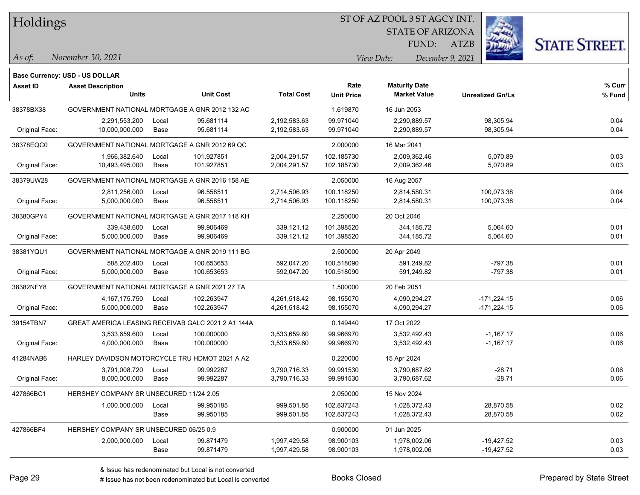Holdings

#### ST OF AZ POOL 3 ST AGCY INT.

STATE OF ARIZONA FUND:

ATZB



*As of: View Date: December 9, 2021*

|  | As of: | November 30, 2021 |
|--|--------|-------------------|
|--|--------|-------------------|

|                 | <b>Base Currency: USD - US DOLLAR</b>              |       |                  |                   |                   |                      |                         |        |
|-----------------|----------------------------------------------------|-------|------------------|-------------------|-------------------|----------------------|-------------------------|--------|
| <b>Asset ID</b> | <b>Asset Description</b>                           |       |                  |                   | Rate              | <b>Maturity Date</b> |                         | % Curr |
|                 | <b>Units</b>                                       |       | <b>Unit Cost</b> | <b>Total Cost</b> | <b>Unit Price</b> | <b>Market Value</b>  | <b>Unrealized Gn/Ls</b> | % Fund |
| 38378BX38       | GOVERNMENT NATIONAL MORTGAGE A GNR 2012 132 AC     |       |                  |                   | 1.619870          | 16 Jun 2053          |                         |        |
|                 | 2,291,553.200                                      | Local | 95.681114        | 2,192,583.63      | 99.971040         | 2,290,889.57         | 98,305.94               | 0.04   |
| Original Face:  | 10,000,000.000                                     | Base  | 95.681114        | 2,192,583.63      | 99.971040         | 2,290,889.57         | 98,305.94               | 0.04   |
| 38378EQC0       | GOVERNMENT NATIONAL MORTGAGE A GNR 2012 69 QC      |       |                  |                   | 2.000000          | 16 Mar 2041          |                         |        |
|                 | 1,966,382.640                                      | Local | 101.927851       | 2,004,291.57      | 102.185730        | 2,009,362.46         | 5,070.89                | 0.03   |
| Original Face:  | 10,493,495.000                                     | Base  | 101.927851       | 2,004,291.57      | 102.185730        | 2,009,362.46         | 5,070.89                | 0.03   |
| 38379UW28       | GOVERNMENT NATIONAL MORTGAGE A GNR 2016 158 AE     |       |                  | 2.050000          | 16 Aug 2057       |                      |                         |        |
|                 | 2,811,256.000                                      | Local | 96.558511        | 2,714,506.93      | 100.118250        | 2,814,580.31         | 100,073.38              | 0.04   |
| Original Face:  | 5,000,000.000                                      | Base  | 96.558511        | 2,714,506.93      | 100.118250        | 2,814,580.31         | 100,073.38              | 0.04   |
| 38380GPY4       | GOVERNMENT NATIONAL MORTGAGE A GNR 2017 118 KH     |       |                  | 2.250000          | 20 Oct 2046       |                      |                         |        |
|                 | 339,438.600                                        | Local | 99.906469        | 339,121.12        | 101.398520        | 344,185.72           | 5,064.60                | 0.01   |
| Original Face:  | 5,000,000.000                                      | Base  | 99.906469        | 339,121.12        | 101.398520        | 344,185.72           | 5,064.60                | 0.01   |
| 38381YQU1       | GOVERNMENT NATIONAL MORTGAGE A GNR 2019 111 BG     |       |                  | 2.500000          | 20 Apr 2049       |                      |                         |        |
|                 | 588,202.400                                        | Local | 100.653653       | 592,047.20        | 100.518090        | 591,249.82           | $-797.38$               | 0.01   |
| Original Face:  | 5,000,000.000                                      | Base  | 100.653653       | 592,047.20        | 100.518090        | 591,249.82           | $-797.38$               | 0.01   |
| 38382NFY8       | GOVERNMENT NATIONAL MORTGAGE A GNR 2021 27 TA      |       |                  |                   | 1.500000          | 20 Feb 2051          |                         |        |
|                 | 4, 167, 175. 750                                   | Local | 102.263947       | 4,261,518.42      | 98.155070         | 4,090,294.27         | $-171,224.15$           | 0.06   |
| Original Face:  | 5,000,000.000                                      | Base  | 102.263947       | 4,261,518.42      | 98.155070         | 4,090,294.27         | $-171,224.15$           | 0.06   |
| 39154TBN7       | GREAT AMERICA LEASING RECEIVAB GALC 2021 2 A1 144A |       |                  |                   | 0.149440          | 17 Oct 2022          |                         |        |
|                 | 3,533,659.600                                      | Local | 100.000000       | 3,533,659.60      | 99.966970         | 3,532,492.43         | $-1,167.17$             | 0.06   |
| Original Face:  | 4,000,000.000                                      | Base  | 100.000000       | 3,533,659.60      | 99.966970         | 3,532,492.43         | $-1,167.17$             | 0.06   |
| 41284NAB6       | HARLEY DAVIDSON MOTORCYCLE TRU HDMOT 2021 A A2     |       |                  |                   | 0.220000          | 15 Apr 2024          |                         |        |
|                 | 3,791,008.720                                      | Local | 99.992287        | 3,790,716.33      | 99.991530         | 3,790,687.62         | $-28.71$                | 0.06   |
| Original Face:  | 8,000,000.000                                      | Base  | 99.992287        | 3,790,716.33      | 99.991530         | 3,790,687.62         | $-28.71$                | 0.06   |
| 427866BC1       | HERSHEY COMPANY SR UNSECURED 11/24 2.05            |       |                  |                   | 2.050000          | 15 Nov 2024          |                         |        |
|                 | 1,000,000.000                                      | Local | 99.950185        | 999,501.85        | 102.837243        | 1,028,372.43         | 28,870.58               | 0.02   |
|                 |                                                    | Base  | 99.950185        | 999,501.85        | 102.837243        | 1,028,372.43         | 28,870.58               | 0.02   |
| 427866BF4       | HERSHEY COMPANY SR UNSECURED 06/25 0.9             |       |                  |                   | 0.900000          | 01 Jun 2025          |                         |        |
|                 | 2,000,000.000                                      | Local | 99.871479        | 1,997,429.58      | 98.900103         | 1,978,002.06         | $-19,427.52$            | 0.03   |
|                 |                                                    | Base  | 99.871479        | 1,997,429.58      | 98.900103         | 1,978,002.06         | $-19,427.52$            | 0.03   |
|                 |                                                    |       |                  |                   |                   |                      |                         |        |

# Issue has not been redenominated but Local is converted Books Closed Prepared by State Street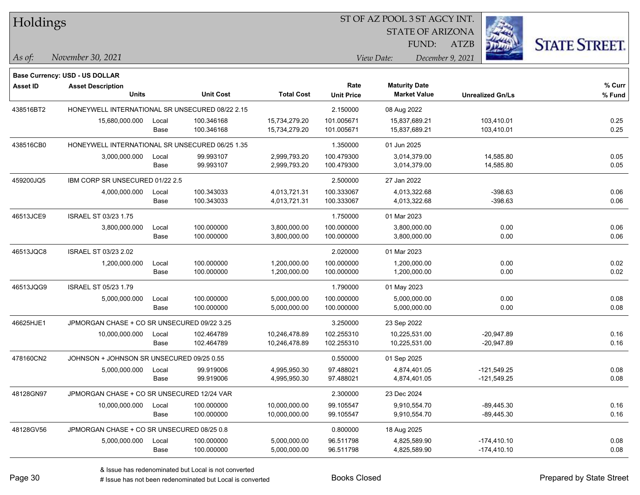| Holdings        |                                                 |       |                  | ST OF AZ POOL 3 ST AGCY INT. |                   |                         |                         |                      |  |  |
|-----------------|-------------------------------------------------|-------|------------------|------------------------------|-------------------|-------------------------|-------------------------|----------------------|--|--|
|                 |                                                 |       |                  |                              |                   | <b>STATE OF ARIZONA</b> |                         |                      |  |  |
|                 |                                                 |       |                  |                              |                   | FUND:                   | <b>ATZB</b>             | <b>STATE STREET.</b> |  |  |
| $\vert$ As of:  | November 30, 2021                               |       |                  |                              |                   | View Date:              | December 9, 2021        |                      |  |  |
|                 | Base Currency: USD - US DOLLAR                  |       |                  |                              |                   |                         |                         |                      |  |  |
| <b>Asset ID</b> | <b>Asset Description</b>                        |       |                  |                              | Rate              | <b>Maturity Date</b>    |                         | % Curr               |  |  |
|                 | Units                                           |       | <b>Unit Cost</b> | <b>Total Cost</b>            | <b>Unit Price</b> | <b>Market Value</b>     | <b>Unrealized Gn/Ls</b> | % Fund               |  |  |
| 438516BT2       | HONEYWELL INTERNATIONAL SR UNSECURED 08/22 2.15 |       |                  |                              | 2.150000          | 08 Aug 2022             |                         |                      |  |  |
|                 | 15,680,000.000                                  | Local | 100.346168       | 15,734,279.20                | 101.005671        | 15,837,689.21           | 103,410.01              | 0.25                 |  |  |
|                 |                                                 | Base  | 100.346168       | 15,734,279.20                | 101.005671        | 15,837,689.21           | 103,410.01              | 0.25                 |  |  |
| 438516CB0       | HONEYWELL INTERNATIONAL SR UNSECURED 06/25 1.35 |       |                  |                              | 1.350000          | 01 Jun 2025             |                         |                      |  |  |
|                 | 3,000,000.000                                   | Local | 99.993107        | 2,999,793.20                 | 100.479300        | 3,014,379.00            | 14,585.80               | 0.05                 |  |  |
|                 |                                                 | Base  | 99.993107        | 2,999,793.20                 | 100.479300        | 3,014,379.00            | 14,585.80               | 0.05                 |  |  |
| 459200JQ5       | IBM CORP SR UNSECURED 01/22 2.5                 |       |                  | 2.500000                     | 27 Jan 2022       |                         |                         |                      |  |  |
|                 | 4,000,000.000                                   | Local | 100.343033       | 4,013,721.31                 | 100.333067        | 4,013,322.68            | $-398.63$               | 0.06                 |  |  |
|                 |                                                 | Base  | 100.343033       | 4,013,721.31                 | 100.333067        | 4,013,322.68            | $-398.63$               | 0.06                 |  |  |
| 46513JCE9       | ISRAEL ST 03/23 1.75                            |       |                  |                              | 1.750000          | 01 Mar 2023             |                         |                      |  |  |
|                 | 3,800,000.000                                   | Local | 100.000000       | 3,800,000.00                 | 100.000000        | 3,800,000.00            | 0.00                    | 0.06                 |  |  |
|                 |                                                 | Base  | 100.000000       | 3,800,000.00                 | 100.000000        | 3,800,000.00            | 0.00                    | 0.06                 |  |  |
| 46513JQC8       | ISRAEL ST 03/23 2.02                            |       |                  |                              | 2.020000          | 01 Mar 2023             |                         |                      |  |  |
|                 | 1,200,000.000                                   | Local | 100.000000       | 1,200,000.00                 | 100.000000        | 1,200,000.00            | 0.00                    | 0.02                 |  |  |
|                 |                                                 | Base  | 100.000000       | 1,200,000.00                 | 100.000000        | 1,200,000.00            | 0.00                    | 0.02                 |  |  |
| 46513JQG9       | <b>ISRAEL ST 05/23 1.79</b>                     |       |                  |                              | 1.790000          | 01 May 2023             |                         |                      |  |  |
|                 | 5,000,000.000                                   | Local | 100.000000       | 5,000,000.00                 | 100.000000        | 5,000,000.00            | 0.00                    | 0.08                 |  |  |
|                 |                                                 | Base  | 100.000000       | 5,000,000.00                 | 100.000000        | 5,000,000.00            | 0.00                    | 0.08                 |  |  |
| 46625HJE1       | JPMORGAN CHASE + CO SR UNSECURED 09/22 3.25     |       |                  |                              | 3.250000          | 23 Sep 2022             |                         |                      |  |  |
|                 | 10,000,000.000                                  | Local | 102.464789       | 10,246,478.89                | 102.255310        | 10,225,531.00           | $-20,947.89$            | 0.16                 |  |  |
|                 |                                                 | Base  | 102.464789       | 10,246,478.89                | 102.255310        | 10,225,531.00           | -20,947.89              | 0.16                 |  |  |
| 478160CN2       | JOHNSON + JOHNSON SR UNSECURED 09/25 0.55       |       |                  |                              | 0.550000          | 01 Sep 2025             |                         |                      |  |  |
|                 | 5,000,000.000                                   | Local | 99.919006        | 4,995,950.30                 | 97.488021         | 4,874,401.05            | $-121,549.25$           | 0.08                 |  |  |
|                 |                                                 | Base  | 99.919006        | 4,995,950.30                 | 97.488021         | 4,874,401.05            | $-121,549.25$           | 0.08                 |  |  |
| 48128GN97       | JPMORGAN CHASE + CO SR UNSECURED 12/24 VAR      |       |                  |                              | 2.300000          | 23 Dec 2024             |                         |                      |  |  |
|                 | 10,000,000.000                                  | Local | 100.000000       | 10,000,000.00                | 99.105547         | 9,910,554.70            | $-89,445.30$            | 0.16                 |  |  |
|                 |                                                 | Base  | 100.000000       | 10,000,000.00                | 99.105547         | 9,910,554.70            | $-89,445.30$            | 0.16                 |  |  |
| 48128GV56       | JPMORGAN CHASE + CO SR UNSECURED 08/25 0.8      |       |                  |                              | 0.800000          | 18 Aug 2025             |                         |                      |  |  |
|                 | 5,000,000.000                                   | Local | 100.000000       | 5,000,000.00                 | 96.511798         | 4,825,589.90            | $-174,410.10$           | 0.08                 |  |  |
|                 |                                                 | Base  | 100.000000       | 5,000,000.00                 | 96.511798         | 4,825,589.90            | $-174,410.10$           | 0.08                 |  |  |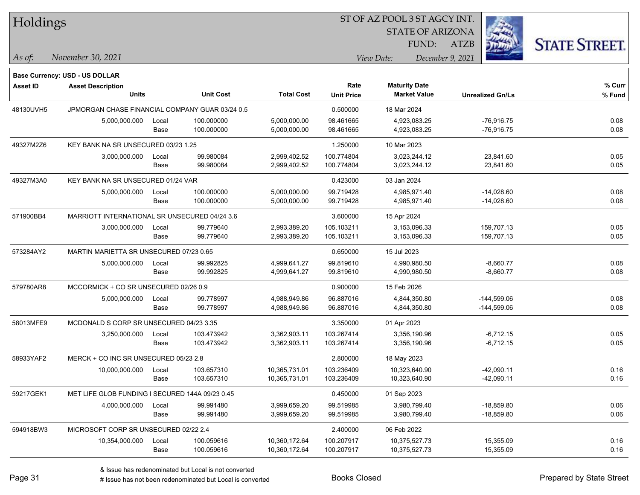| Holdings |
|----------|
|----------|

STATE OF ARIZONA

ATZB



*November 30, 2021 As of: View Date: December 9, 2021*

**Base Currency: USD - US DOLLAR**

FUND:

| Asset ID  | <b>Asset Description</b>                        |                                         |                  |                   | Rate              | <b>Maturity Date</b> |                         | % Curr |
|-----------|-------------------------------------------------|-----------------------------------------|------------------|-------------------|-------------------|----------------------|-------------------------|--------|
|           | <b>Units</b>                                    |                                         | <b>Unit Cost</b> | <b>Total Cost</b> | <b>Unit Price</b> | <b>Market Value</b>  | <b>Unrealized Gn/Ls</b> | % Fund |
| 48130UVH5 | JPMORGAN CHASE FINANCIAL COMPANY GUAR 03/24 0.5 |                                         |                  |                   | 0.500000          | 18 Mar 2024          |                         |        |
|           | 5,000,000.000                                   | Local                                   | 100.000000       | 5,000,000.00      | 98.461665         | 4,923,083.25         | $-76,916.75$            | 0.08   |
|           |                                                 | Base                                    | 100.000000       | 5,000,000.00      | 98.461665         | 4,923,083.25         | -76,916.75              | 0.08   |
| 49327M2Z6 | KEY BANK NA SR UNSECURED 03/23 1.25             |                                         |                  | 1.250000          | 10 Mar 2023       |                      |                         |        |
|           | 3,000,000.000                                   | Local                                   | 99.980084        | 2,999,402.52      | 100.774804        | 3,023,244.12         | 23,841.60               | 0.05   |
|           |                                                 | Base                                    | 99.980084        | 2,999,402.52      | 100.774804        | 3,023,244.12         | 23,841.60               | 0.05   |
| 49327M3A0 | KEY BANK NA SR UNSECURED 01/24 VAR              |                                         |                  |                   | 0.423000          | 03 Jan 2024          |                         |        |
|           | 5,000,000.000                                   | Local                                   | 100.000000       | 5,000,000.00      | 99.719428         | 4,985,971.40         | $-14,028.60$            | 0.08   |
|           |                                                 | Base                                    | 100.000000       | 5,000,000.00      | 99.719428         | 4,985,971.40         | $-14,028.60$            | 0.08   |
| 571900BB4 | MARRIOTT INTERNATIONAL SR UNSECURED 04/24 3.6   |                                         |                  |                   | 3.600000          | 15 Apr 2024          |                         |        |
|           | 3,000,000.000                                   | Local                                   | 99.779640        | 2,993,389.20      | 105.103211        | 3,153,096.33         | 159,707.13              | 0.05   |
|           |                                                 | Base                                    | 99.779640        | 2,993,389.20      | 105.103211        | 3,153,096.33         | 159,707.13              | 0.05   |
| 573284AY2 | MARTIN MARIETTA SR UNSECURED 07/23 0.65         |                                         |                  |                   | 0.650000          | 15 Jul 2023          |                         |        |
|           | 5,000,000.000                                   | Local                                   | 99.992825        | 4,999,641.27      | 99.819610         | 4,990,980.50         | $-8,660.77$             | 0.08   |
|           |                                                 | Base                                    | 99.992825        | 4,999,641.27      | 99.819610         | 4,990,980.50         | $-8,660.77$             | 0.08   |
| 579780AR8 | MCCORMICK + CO SR UNSECURED 02/26 0.9           |                                         |                  | 0.900000          | 15 Feb 2026       |                      |                         |        |
|           | 5,000,000.000                                   | Local                                   | 99.778997        | 4,988,949.86      | 96.887016         | 4,844,350.80         | $-144,599.06$           | 0.08   |
|           |                                                 | Base                                    | 99.778997        | 4,988,949.86      | 96.887016         | 4,844,350.80         | $-144,599.06$           | 0.08   |
| 58013MFE9 |                                                 | MCDONALD S CORP SR UNSECURED 04/23 3.35 |                  |                   | 3.350000          | 01 Apr 2023          |                         |        |
|           | 3,250,000.000                                   | Local                                   | 103.473942       | 3,362,903.11      | 103.267414        | 3,356,190.96         | $-6,712.15$             | 0.05   |
|           |                                                 | Base                                    | 103.473942       | 3,362,903.11      | 103.267414        | 3,356,190.96         | $-6,712.15$             | 0.05   |
| 58933YAF2 | MERCK + CO INC SR UNSECURED 05/23 2.8           |                                         |                  |                   | 2.800000          | 18 May 2023          |                         |        |
|           | 10,000,000.000                                  | Local                                   | 103.657310       | 10,365,731.01     | 103.236409        | 10,323,640.90        | $-42,090.11$            | 0.16   |
|           |                                                 | Base                                    | 103.657310       | 10,365,731.01     | 103.236409        | 10,323,640.90        | $-42,090.11$            | 0.16   |
| 59217GEK1 | MET LIFE GLOB FUNDING I SECURED 144A 09/23 0.45 |                                         |                  |                   | 0.450000          | 01 Sep 2023          |                         |        |
|           | 4,000,000.000                                   | Local                                   | 99.991480        | 3,999,659.20      | 99.519985         | 3,980,799.40         | $-18,859.80$            | 0.06   |
|           |                                                 | Base                                    | 99.991480        | 3,999,659.20      | 99.519985         | 3,980,799.40         | $-18,859.80$            | 0.06   |
| 594918BW3 | MICROSOFT CORP SR UNSECURED 02/22 2.4           |                                         |                  |                   | 2.400000          | 06 Feb 2022          |                         |        |
|           | 10,354,000.000                                  | Local                                   | 100.059616       | 10,360,172.64     | 100.207917        | 10,375,527.73        | 15,355.09               | 0.16   |
|           |                                                 | Base                                    | 100.059616       | 10,360,172.64     | 100.207917        | 10,375,527.73        | 15,355.09               | 0.16   |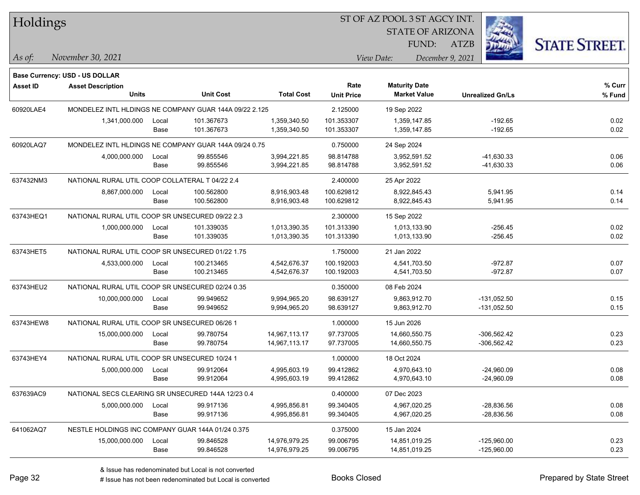| Holdings        |                                                                   |                                                  |                  |                   |                   | ST OF AZ POOL 3 ST AGCY INT. |                         |                      |
|-----------------|-------------------------------------------------------------------|--------------------------------------------------|------------------|-------------------|-------------------|------------------------------|-------------------------|----------------------|
|                 |                                                                   |                                                  |                  |                   |                   | <b>STATE OF ARIZONA</b>      |                         |                      |
|                 |                                                                   |                                                  |                  |                   |                   | FUND:                        | <b>ATZB</b>             | <b>STATE STREET.</b> |
| $ $ As of:      | November 30, 2021                                                 |                                                  |                  |                   |                   | View Date:                   | December 9, 2021        |                      |
|                 |                                                                   |                                                  |                  |                   |                   |                              |                         |                      |
| <b>Asset ID</b> | <b>Base Currency: USD - US DOLLAR</b><br><b>Asset Description</b> |                                                  |                  |                   | Rate              | <b>Maturity Date</b>         |                         | $%$ Curr             |
|                 | <b>Units</b>                                                      |                                                  | <b>Unit Cost</b> | <b>Total Cost</b> | <b>Unit Price</b> | <b>Market Value</b>          | <b>Unrealized Gn/Ls</b> | % Fund               |
| 60920LAE4       | MONDELEZ INTL HLDINGS NE COMPANY GUAR 144A 09/22 2.125            |                                                  |                  |                   | 2.125000          | 19 Sep 2022                  |                         |                      |
|                 | 1,341,000.000                                                     | Local                                            | 101.367673       | 1,359,340.50      | 101.353307        | 1,359,147.85                 | $-192.65$               | 0.02                 |
|                 |                                                                   | Base                                             | 101.367673       | 1,359,340.50      | 101.353307        | 1,359,147.85                 | $-192.65$               | 0.02                 |
| 60920LAQ7       | MONDELEZ INTL HLDINGS NE COMPANY GUAR 144A 09/24 0.75             |                                                  |                  |                   | 0.750000          | 24 Sep 2024                  |                         |                      |
|                 | 4,000,000.000                                                     | Local                                            | 99.855546        | 3,994,221.85      | 98.814788         | 3,952,591.52                 | $-41,630.33$            | 0.06                 |
|                 |                                                                   | Base                                             | 99.855546        | 3,994,221.85      | 98.814788         | 3,952,591.52                 | -41,630.33              | 0.06                 |
| 637432NM3       | NATIONAL RURAL UTIL COOP COLLATERAL T 04/22 2.4                   |                                                  |                  |                   | 2.400000          | 25 Apr 2022                  |                         |                      |
|                 | 8,867,000.000                                                     | Local                                            | 100.562800       | 8,916,903.48      | 100.629812        | 8,922,845.43                 | 5,941.95                | 0.14                 |
|                 |                                                                   | Base                                             | 100.562800       | 8,916,903.48      | 100.629812        | 8,922,845.43                 | 5,941.95                | 0.14                 |
| 63743HEQ1       | NATIONAL RURAL UTIL COOP SR UNSECURED 09/22 2.3                   |                                                  |                  |                   | 2.300000          | 15 Sep 2022                  |                         |                      |
|                 | 1,000,000.000                                                     | Local                                            | 101.339035       | 1,013,390.35      | 101.313390        | 1,013,133.90                 | $-256.45$               | 0.02                 |
|                 |                                                                   | Base                                             | 101.339035       | 1,013,390.35      | 101.313390        | 1,013,133.90                 | $-256.45$               | 0.02                 |
| 63743HET5       |                                                                   | NATIONAL RURAL UTIL COOP SR UNSECURED 01/22 1.75 |                  |                   |                   | 21 Jan 2022                  |                         |                      |
|                 | 4,533,000.000                                                     | Local                                            | 100.213465       | 4,542,676.37      | 100.192003        | 4,541,703.50                 | $-972.87$               | 0.07                 |
|                 |                                                                   | Base                                             | 100.213465       | 4,542,676.37      | 100.192003        | 4,541,703.50                 | $-972.87$               | 0.07                 |
| 63743HEU2       | NATIONAL RURAL UTIL COOP SR UNSECURED 02/24 0.35                  |                                                  |                  |                   | 0.350000          | 08 Feb 2024                  |                         |                      |
|                 | 10,000,000.000                                                    | Local                                            | 99.949652        | 9,994,965.20      | 98.639127         | 9,863,912.70                 | $-131,052.50$           | 0.15                 |
|                 |                                                                   | Base                                             | 99.949652        | 9,994,965.20      | 98.639127         | 9,863,912.70                 | $-131,052.50$           | 0.15                 |
| 63743HEW8       | NATIONAL RURAL UTIL COOP SR UNSECURED 06/26 1                     |                                                  |                  |                   | 1.000000          | 15 Jun 2026                  |                         |                      |
|                 | 15,000,000.000                                                    | Local                                            | 99.780754        | 14,967,113.17     | 97.737005         | 14,660,550.75                | $-306,562.42$           | 0.23                 |
|                 |                                                                   | Base                                             | 99.780754        | 14,967,113.17     | 97.737005         | 14,660,550.75                | $-306,562.42$           | 0.23                 |
| 63743HEY4       | NATIONAL RURAL UTIL COOP SR UNSECURED 10/24 1                     |                                                  |                  |                   | 1.000000          | 18 Oct 2024                  |                         |                      |
|                 | 5,000,000.000                                                     | Local                                            | 99.912064        | 4,995,603.19      | 99.412862         | 4,970,643.10                 | $-24,960.09$            | 0.08                 |
|                 |                                                                   | Base                                             | 99.912064        | 4,995,603.19      | 99.412862         | 4,970,643.10                 | $-24,960.09$            | 0.08                 |
| 637639AC9       | NATIONAL SECS CLEARING SR UNSECURED 144A 12/23 0.4                |                                                  |                  |                   | 0.400000          | 07 Dec 2023                  |                         |                      |
|                 | 5,000,000.000                                                     | Local                                            | 99.917136        | 4,995,856.81      | 99.340405         | 4,967,020.25                 | $-28,836.56$            | 0.08                 |
|                 |                                                                   | Base                                             | 99.917136        | 4,995,856.81      | 99.340405         | 4,967,020.25                 | $-28,836.56$            | 0.08                 |
| 641062AQ7       | NESTLE HOLDINGS INC COMPANY GUAR 144A 01/24 0.375                 |                                                  |                  |                   | 0.375000          | 15 Jan 2024                  |                         |                      |
|                 | 15,000,000.000                                                    | Local                                            | 99.846528        | 14,976,979.25     | 99.006795         | 14,851,019.25                | $-125,960.00$           | 0.23                 |
|                 |                                                                   | Base                                             | 99.846528        | 14,976,979.25     | 99.006795         | 14,851,019.25                | $-125,960.00$           | 0.23                 |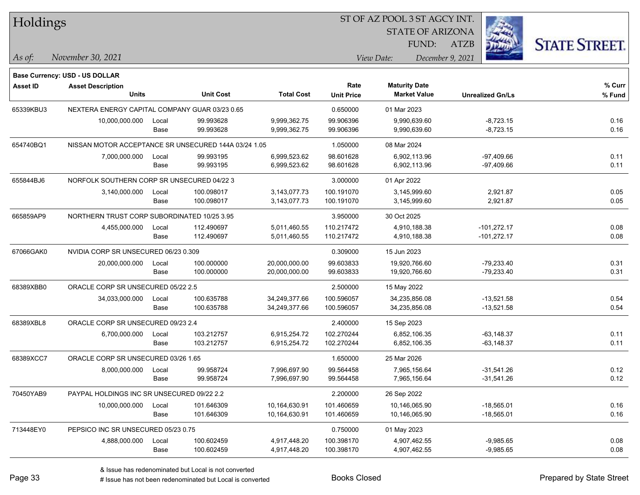| Holdings        |                                                      |       |                  |                   | 51 OF AZ POOL 3 51 AGCY INT. |                                             |                  |      |                         |                      |
|-----------------|------------------------------------------------------|-------|------------------|-------------------|------------------------------|---------------------------------------------|------------------|------|-------------------------|----------------------|
|                 |                                                      |       |                  |                   |                              | <b>STATE OF ARIZONA</b>                     |                  |      | i.                      |                      |
|                 |                                                      |       |                  |                   |                              |                                             | FUND:            | ATZB |                         | <b>STATE STREET.</b> |
| As of:          | November 30, 2021                                    |       |                  |                   |                              | View Date:                                  | December 9, 2021 |      |                         |                      |
|                 | <b>Base Currency: USD - US DOLLAR</b>                |       |                  |                   |                              |                                             |                  |      |                         |                      |
| <b>Asset ID</b> | <b>Asset Description</b><br><b>Units</b>             |       | <b>Unit Cost</b> | <b>Total Cost</b> | Rate                         | <b>Maturity Date</b><br><b>Market Value</b> |                  |      |                         | % Curr               |
|                 |                                                      |       |                  |                   | <b>Unit Price</b>            |                                             |                  |      | <b>Unrealized Gn/Ls</b> | % Fund               |
| 65339KBU3       | NEXTERA ENERGY CAPITAL COMPANY GUAR 03/23 0.65       |       |                  |                   | 0.650000                     | 01 Mar 2023                                 |                  |      |                         |                      |
|                 | 10,000,000.000                                       | Local | 99.993628        | 9,999,362.75      | 99.906396                    | 9,990,639.60                                |                  |      | $-8,723.15$             | 0.16                 |
|                 |                                                      | Base  | 99.993628        | 9,999,362.75      | 99.906396                    | 9,990,639.60                                |                  |      | $-8,723.15$             | 0.16                 |
| 654740BQ1       | NISSAN MOTOR ACCEPTANCE SR UNSECURED 144A 03/24 1.05 |       |                  |                   | 1.050000                     | 08 Mar 2024                                 |                  |      |                         |                      |
|                 | 7,000,000.000                                        | Local | 99.993195        | 6,999,523.62      | 98.601628                    | 6,902,113.96                                |                  |      | $-97,409.66$            | 0.11                 |
|                 |                                                      | Base  | 99.993195        | 6,999,523.62      | 98.601628                    | 6,902,113.96                                |                  |      | $-97,409.66$            | 0.11                 |
| 655844BJ6       | NORFOLK SOUTHERN CORP SR UNSECURED 04/22 3           |       |                  |                   | 3.000000                     | 01 Apr 2022                                 |                  |      |                         |                      |
|                 | 3,140,000.000                                        | Local | 100.098017       | 3,143,077.73      | 100.191070                   | 3,145,999.60                                |                  |      | 2,921.87                | 0.05                 |
|                 |                                                      | Base  | 100.098017       | 3,143,077.73      | 100.191070                   | 3,145,999.60                                |                  |      | 2,921.87                | 0.05                 |
| 665859AP9       | NORTHERN TRUST CORP SUBORDINATED 10/25 3.95          |       |                  |                   | 3.950000                     | 30 Oct 2025                                 |                  |      |                         |                      |
|                 | 4,455,000.000                                        | Local | 112.490697       | 5,011,460.55      | 110.217472                   | 4,910,188.38                                |                  |      | $-101,272.17$           | 0.08                 |
|                 |                                                      | Base  | 112.490697       | 5,011,460.55      | 110.217472                   | 4,910,188.38                                |                  |      | $-101,272.17$           | 0.08                 |
| 67066GAK0       | NVIDIA CORP SR UNSECURED 06/23 0.309                 |       |                  |                   | 0.309000                     | 15 Jun 2023                                 |                  |      |                         |                      |
|                 | 20,000,000.000                                       | Local | 100.000000       | 20,000,000.00     | 99.603833                    | 19,920,766.60                               |                  |      | $-79,233.40$            | 0.31                 |
|                 |                                                      | Base  | 100.000000       | 20,000,000.00     | 99.603833                    | 19,920,766.60                               |                  |      | $-79,233.40$            | 0.31                 |
| 68389XBB0       | ORACLE CORP SR UNSECURED 05/22 2.5                   |       |                  |                   | 2.500000                     | 15 May 2022                                 |                  |      |                         |                      |
|                 | 34,033,000.000                                       | Local | 100.635788       | 34,249,377.66     | 100.596057                   | 34,235,856.08                               |                  |      | $-13,521.58$            | 0.54                 |
|                 |                                                      | Base  | 100.635788       | 34,249,377.66     | 100.596057                   | 34,235,856.08                               |                  |      | $-13,521.58$            | 0.54                 |
| 68389XBL8       | ORACLE CORP SR UNSECURED 09/23 2.4                   |       |                  |                   | 2.400000                     | 15 Sep 2023                                 |                  |      |                         |                      |
|                 | 6,700,000.000                                        | Local | 103.212757       | 6,915,254.72      | 102.270244                   | 6,852,106.35                                |                  |      | $-63,148.37$            | 0.11                 |
|                 |                                                      | Base  | 103.212757       | 6,915,254.72      | 102.270244                   | 6,852,106.35                                |                  |      | $-63, 148.37$           | 0.11                 |
| 68389XCC7       | ORACLE CORP SR UNSECURED 03/26 1.65                  |       |                  |                   | 1.650000                     | 25 Mar 2026                                 |                  |      |                         |                      |
|                 | 8,000,000.000                                        | Local | 99.958724        | 7,996,697.90      | 99.564458                    | 7,965,156.64                                |                  |      | $-31,541.26$            | 0.12                 |
|                 |                                                      | Base  | 99.958724        | 7,996,697.90      | 99.564458                    | 7,965,156.64                                |                  |      | $-31,541.26$            | 0.12                 |
| 70450YAB9       | PAYPAL HOLDINGS INC SR UNSECURED 09/22 2.2           |       |                  |                   | 2.200000                     | 26 Sep 2022                                 |                  |      |                         |                      |
|                 | 10,000,000.000                                       | Local | 101.646309       | 10,164,630.91     | 101.460659                   | 10,146,065.90                               |                  |      | $-18,565.01$            | 0.16                 |
|                 |                                                      | Base  | 101.646309       | 10,164,630.91     | 101.460659                   | 10,146,065.90                               |                  |      | $-18,565.01$            | 0.16                 |
| 713448EY0       | PEPSICO INC SR UNSECURED 05/23 0.75                  |       |                  |                   | 0.750000                     | 01 May 2023                                 |                  |      |                         |                      |
|                 | 4,888,000.000                                        | Local | 100.602459       | 4,917,448.20      | 100.398170                   | 4,907,462.55                                |                  |      | $-9,985.65$             | 0.08                 |
|                 |                                                      | Base  | 100.602459       | 4,917,448.20      | 100.398170                   | 4,907,462.55                                |                  |      | $-9,985.65$             | 0.08                 |

 $\overline{\text{SUSP}}$ 

٦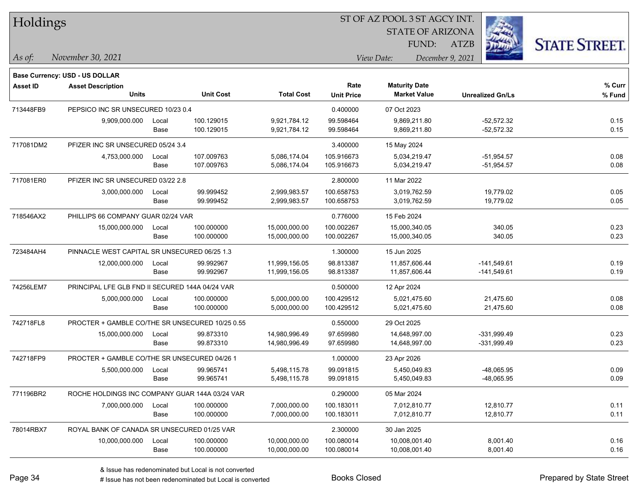| Holdings |
|----------|
|----------|

STATE OF ARIZONA

ATZB



*November 30, 2021 As of: View Date: December 9, 2021*

**Base Currency: USD - US DOLLAR**

FUND:

| <b>Asset ID</b> | <b>Asset Description</b>                        |                                                 |                  |                   | Rate              | <b>Maturity Date</b> |                         | % Curr |
|-----------------|-------------------------------------------------|-------------------------------------------------|------------------|-------------------|-------------------|----------------------|-------------------------|--------|
|                 | <b>Units</b>                                    |                                                 | <b>Unit Cost</b> | <b>Total Cost</b> | <b>Unit Price</b> | <b>Market Value</b>  | <b>Unrealized Gn/Ls</b> | % Fund |
| 713448FB9       | PEPSICO INC SR UNSECURED 10/23 0.4              |                                                 |                  |                   | 0.400000          | 07 Oct 2023          |                         |        |
|                 | 9,909,000.000                                   | Local                                           | 100.129015       | 9,921,784.12      | 99.598464         | 9,869,211.80         | $-52,572.32$            | 0.15   |
|                 |                                                 | Base                                            | 100.129015       | 9,921,784.12      | 99.598464         | 9,869,211.80         | $-52,572.32$            | 0.15   |
| 717081DM2       | PFIZER INC SR UNSECURED 05/24 3.4               |                                                 |                  |                   | 3.400000          | 15 May 2024          |                         |        |
|                 | 4,753,000.000                                   | Local                                           | 107.009763       | 5,086,174.04      | 105.916673        | 5,034,219.47         | $-51,954.57$            | 0.08   |
|                 |                                                 | Base                                            | 107.009763       | 5,086,174.04      | 105.916673        | 5,034,219.47         | $-51,954.57$            | 0.08   |
| 717081ER0       | PFIZER INC SR UNSECURED 03/22 2.8               |                                                 |                  |                   | 2.800000          | 11 Mar 2022          |                         |        |
|                 | 3,000,000.000                                   | Local                                           | 99.999452        | 2,999,983.57      | 100.658753        | 3,019,762.59         | 19,779.02               | 0.05   |
|                 |                                                 | Base                                            | 99.999452        | 2,999,983.57      | 100.658753        | 3,019,762.59         | 19,779.02               | 0.05   |
| 718546AX2       | PHILLIPS 66 COMPANY GUAR 02/24 VAR              |                                                 |                  |                   | 0.776000          | 15 Feb 2024          |                         |        |
|                 | 15,000,000.000                                  | Local                                           | 100.000000       | 15,000,000.00     | 100.002267        | 15,000,340.05        | 340.05                  | 0.23   |
|                 |                                                 | Base                                            | 100.000000       | 15,000,000.00     | 100.002267        | 15,000,340.05        | 340.05                  | 0.23   |
| 723484AH4       | PINNACLE WEST CAPITAL SR UNSECURED 06/25 1.3    |                                                 |                  |                   | 1.300000          | 15 Jun 2025          |                         |        |
|                 | 12,000,000.000                                  | Local                                           | 99.992967        | 11,999,156.05     | 98.813387         | 11,857,606.44        | $-141,549.61$           | 0.19   |
|                 |                                                 | Base                                            | 99.992967        | 11,999,156.05     | 98.813387         | 11,857,606.44        | $-141,549.61$           | 0.19   |
| 74256LEM7       | PRINCIPAL LFE GLB FND II SECURED 144A 04/24 VAR |                                                 |                  | 0.500000          | 12 Apr 2024       |                      |                         |        |
|                 | 5,000,000.000                                   | Local                                           | 100.000000       | 5,000,000.00      | 100.429512        | 5,021,475.60         | 21,475.60               | 0.08   |
|                 |                                                 | Base                                            | 100.000000       | 5,000,000.00      | 100.429512        | 5,021,475.60         | 21,475.60               | 0.08   |
| 742718FL8       |                                                 | PROCTER + GAMBLE CO/THE SR UNSECURED 10/25 0.55 |                  |                   | 0.550000          | 29 Oct 2025          |                         |        |
|                 | 15,000,000.000                                  | Local                                           | 99.873310        | 14,980,996.49     | 97.659980         | 14,648,997.00        | $-331,999.49$           | 0.23   |
|                 |                                                 | Base                                            | 99.873310        | 14,980,996.49     | 97.659980         | 14,648,997.00        | $-331,999.49$           | 0.23   |
| 742718FP9       | PROCTER + GAMBLE CO/THE SR UNSECURED 04/26 1    |                                                 |                  |                   | 1.000000          | 23 Apr 2026          |                         |        |
|                 | 5,500,000.000                                   | Local                                           | 99.965741        | 5,498,115.78      | 99.091815         | 5,450,049.83         | -48,065.95              | 0.09   |
|                 |                                                 | Base                                            | 99.965741        | 5,498,115.78      | 99.091815         | 5,450,049.83         | -48,065.95              | 0.09   |
| 771196BR2       | ROCHE HOLDINGS INC COMPANY GUAR 144A 03/24 VAR  |                                                 |                  |                   | 0.290000          | 05 Mar 2024          |                         |        |
|                 | 7,000,000.000                                   | Local                                           | 100.000000       | 7,000,000.00      | 100.183011        | 7,012,810.77         | 12,810.77               | 0.11   |
|                 |                                                 | Base                                            | 100.000000       | 7,000,000.00      | 100.183011        | 7,012,810.77         | 12,810.77               | 0.11   |
| 78014RBX7       | ROYAL BANK OF CANADA SR UNSECURED 01/25 VAR     |                                                 |                  |                   | 2.300000          | 30 Jan 2025          |                         |        |
|                 | 10,000,000.000                                  | Local                                           | 100.000000       | 10,000,000.00     | 100.080014        | 10,008,001.40        | 8,001.40                | 0.16   |
|                 |                                                 | Base                                            | 100.000000       | 10,000,000.00     | 100.080014        | 10,008,001.40        | 8,001.40                | 0.16   |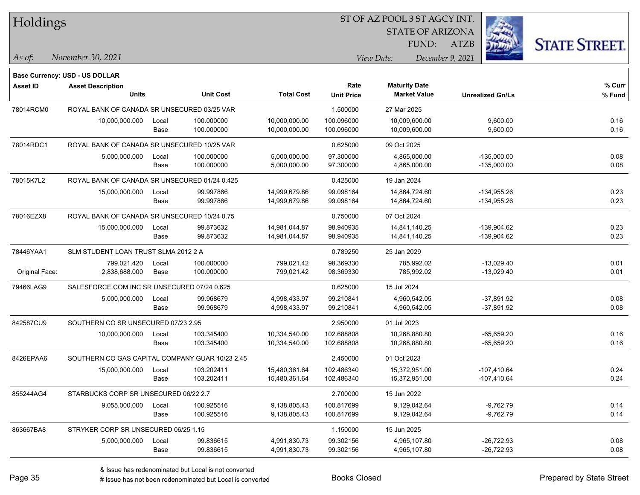| Holdings        |                                                 |       |                  |                   |                           | ST OF AZ POOL 3 ST AGCY INT.                |                         |                      |
|-----------------|-------------------------------------------------|-------|------------------|-------------------|---------------------------|---------------------------------------------|-------------------------|----------------------|
|                 |                                                 |       |                  |                   |                           | <b>STATE OF ARIZONA</b>                     |                         |                      |
|                 |                                                 |       |                  |                   |                           | FUND:                                       | <b>ATZB</b>             | <b>STATE STREET.</b> |
| As of:          | November 30, 2021                               |       |                  |                   |                           | View Date:                                  | December 9, 2021        |                      |
|                 | <b>Base Currency: USD - US DOLLAR</b>           |       |                  |                   |                           |                                             |                         |                      |
| <b>Asset ID</b> | <b>Asset Description</b><br><b>Units</b>        |       | <b>Unit Cost</b> | <b>Total Cost</b> | Rate<br><b>Unit Price</b> | <b>Maturity Date</b><br><b>Market Value</b> | <b>Unrealized Gn/Ls</b> | % Curr<br>% Fund     |
| 78014RCM0       | ROYAL BANK OF CANADA SR UNSECURED 03/25 VAR     |       |                  |                   | 1.500000                  | 27 Mar 2025                                 |                         |                      |
|                 | 10,000,000.000                                  | Local | 100.000000       | 10,000,000.00     | 100.096000                | 10,009,600.00                               | 9,600.00                | 0.16                 |
|                 |                                                 | Base  | 100.000000       | 10,000,000.00     | 100.096000                | 10,009,600.00                               | 9,600.00                | 0.16                 |
| 78014RDC1       | ROYAL BANK OF CANADA SR UNSECURED 10/25 VAR     |       |                  |                   | 0.625000                  | 09 Oct 2025                                 |                         |                      |
|                 | 5,000,000.000                                   | Local | 100.000000       | 5,000,000.00      | 97.300000                 | 4,865,000.00                                | $-135,000.00$           | 0.08                 |
|                 |                                                 | Base  | 100.000000       | 5,000,000.00      | 97.300000                 | 4,865,000.00                                | $-135,000.00$           | 0.08                 |
| 78015K7L2       | ROYAL BANK OF CANADA SR UNSECURED 01/24 0.425   |       |                  |                   | 0.425000                  | 19 Jan 2024                                 |                         |                      |
|                 | 15,000,000.000                                  | Local | 99.997866        | 14,999,679.86     | 99.098164                 | 14,864,724.60                               | $-134,955.26$           | 0.23                 |
|                 |                                                 | Base  | 99.997866        | 14,999,679.86     | 99.098164                 | 14,864,724.60                               | $-134,955.26$           | 0.23                 |
| 78016EZX8       | ROYAL BANK OF CANADA SR UNSECURED 10/24 0.75    |       |                  |                   | 0.750000                  | 07 Oct 2024                                 |                         |                      |
|                 | 15,000,000.000                                  | Local | 99.873632        | 14,981,044.87     | 98.940935                 | 14,841,140.25                               | $-139,904.62$           | 0.23                 |
|                 |                                                 | Base  | 99.873632        | 14,981,044.87     | 98.940935                 | 14,841,140.25                               | $-139,904.62$           | 0.23                 |
| 78446YAA1       | SLM STUDENT LOAN TRUST SLMA 2012 2 A            |       |                  |                   | 0.789250                  | 25 Jan 2029                                 |                         |                      |
|                 | 799,021.420                                     | Local | 100.000000       | 799,021.42        | 98.369330                 | 785,992.02                                  | $-13,029.40$            | 0.01                 |
| Original Face:  | 2,838,688.000                                   | Base  | 100.000000       | 799,021.42        | 98.369330                 | 785,992.02                                  | $-13,029.40$            | 0.01                 |
| 79466LAG9       | SALESFORCE.COM INC SR UNSECURED 07/24 0.625     |       |                  |                   | 0.625000                  | 15 Jul 2024                                 |                         |                      |
|                 | 5,000,000.000                                   | Local | 99.968679        | 4,998,433.97      | 99.210841                 | 4,960,542.05                                | $-37,891.92$            | 0.08                 |
|                 |                                                 | Base  | 99.968679        | 4,998,433.97      | 99.210841                 | 4,960,542.05                                | $-37,891.92$            | 0.08                 |
| 842587CU9       | SOUTHERN CO SR UNSECURED 07/23 2.95             |       |                  |                   | 2.950000                  | 01 Jul 2023                                 |                         |                      |
|                 | 10,000,000.000                                  | Local | 103.345400       | 10,334,540.00     | 102.688808                | 10,268,880.80                               | $-65,659.20$            | 0.16                 |
|                 |                                                 | Base  | 103.345400       | 10,334,540.00     | 102.688808                | 10,268,880.80                               | $-65,659.20$            | 0.16                 |
| 8426EPAA6       | SOUTHERN CO GAS CAPITAL COMPANY GUAR 10/23 2.45 |       |                  |                   | 2.450000                  | 01 Oct 2023                                 |                         |                      |
|                 | 15,000,000.000                                  | Local | 103.202411       | 15,480,361.64     | 102.486340                | 15,372,951.00                               | $-107,410.64$           | 0.24                 |
|                 |                                                 | Base  | 103.202411       | 15,480,361.64     | 102.486340                | 15,372,951.00                               | $-107,410.64$           | 0.24                 |
| 855244AG4       | STARBUCKS CORP SR UNSECURED 06/22 2.7           |       |                  |                   | 2.700000                  | 15 Jun 2022                                 |                         |                      |
|                 | 9,055,000.000                                   | Local | 100.925516       | 9,138,805.43      | 100.817699                | 9,129,042.64                                | $-9,762.79$             | 0.14                 |
|                 |                                                 | Base  | 100.925516       | 9,138,805.43      | 100.817699                | 9,129,042.64                                | $-9,762.79$             | 0.14                 |
| 863667BA8       | STRYKER CORP SR UNSECURED 06/25 1.15            |       |                  |                   | 1.150000                  | 15 Jun 2025                                 |                         |                      |
|                 | 5,000,000.000                                   | Local | 99.836615        | 4,991,830.73      | 99.302156                 | 4,965,107.80                                | $-26,722.93$            | 0.08                 |
|                 |                                                 | Base  | 99.836615        | 4,991,830.73      | 99.302156                 | 4,965,107.80                                | $-26,722.93$            | 0.08                 |

 $\overline{\phantom{0}}$ 

 $\overline{\phantom{a}}$ 

 $\overline{\phantom{a}}$ 

 $\overline{\phantom{0}}$ 

 $\overline{\phantom{0}}$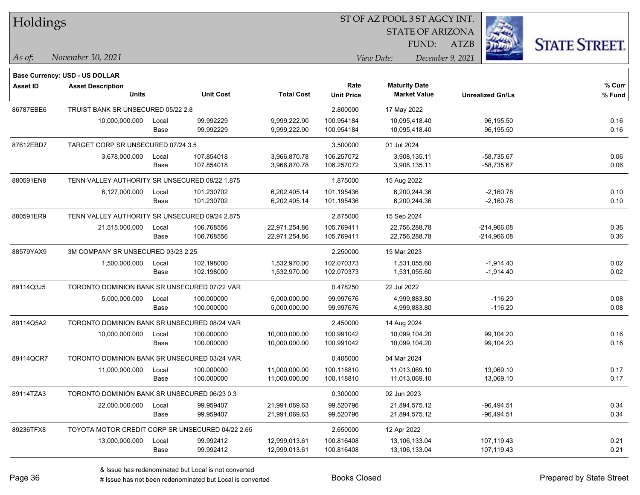| Holdings  |                                                  |       |                  |                   |                   | ST OF AZ POOL 3 ST AGCY INT. |                         |                      |
|-----------|--------------------------------------------------|-------|------------------|-------------------|-------------------|------------------------------|-------------------------|----------------------|
|           |                                                  |       |                  |                   |                   |                              | <b>STATE OF ARIZONA</b> |                      |
|           |                                                  |       |                  |                   |                   | FUND:                        | ATZB                    | <b>STATE STREET.</b> |
| As of:    | November 30, 2021                                |       |                  |                   |                   | View Date:                   | December 9, 2021        |                      |
|           | Base Currency: USD - US DOLLAR                   |       |                  |                   |                   |                              |                         |                      |
| Asset ID  | <b>Asset Description</b>                         |       |                  |                   | Rate              | <b>Maturity Date</b>         |                         | % Curr               |
|           | <b>Units</b>                                     |       | <b>Unit Cost</b> | <b>Total Cost</b> | <b>Unit Price</b> | <b>Market Value</b>          | <b>Unrealized Gn/Ls</b> | % Fund               |
| 86787EBE6 | TRUIST BANK SR UNSECURED 05/22 2.8               |       |                  |                   | 2.800000          | 17 May 2022                  |                         |                      |
|           | 10,000,000.000                                   | Local | 99.992229        | 9,999,222.90      | 100.954184        | 10,095,418.40                | 96,195.50               | 0.16                 |
|           |                                                  | Base  | 99.992229        | 9,999,222.90      | 100.954184        | 10,095,418.40                | 96,195.50               | 0.16                 |
| 87612EBD7 | TARGET CORP SR UNSECURED 07/24 3.5               |       |                  |                   | 3.500000          | 01 Jul 2024                  |                         |                      |
|           | 3,678,000.000                                    | Local | 107.854018       | 3,966,870.78      | 106.257072        | 3,908,135.11                 | $-58,735.67$            | 0.06                 |
|           |                                                  | Base  | 107.854018       | 3,966,870.78      | 106.257072        | 3,908,135.11                 | $-58,735.67$            | 0.06                 |
| 880591EN8 | TENN VALLEY AUTHORITY SR UNSECURED 08/22 1.875   |       |                  |                   | 1.875000          | 15 Aug 2022                  |                         |                      |
|           | 6,127,000.000                                    | Local | 101.230702       | 6,202,405.14      | 101.195436        | 6,200,244.36                 | $-2,160.78$             | 0.10                 |
|           |                                                  | Base  | 101.230702       | 6,202,405.14      | 101.195436        | 6,200,244.36                 | $-2,160.78$             | 0.10                 |
| 880591ER9 | TENN VALLEY AUTHORITY SR UNSECURED 09/24 2.875   |       |                  |                   | 2.875000          | 15 Sep 2024                  |                         |                      |
|           | 21,515,000.000                                   | Local | 106.768556       | 22,971,254.86     | 105.769411        | 22,756,288.78                | $-214,966.08$           | 0.36                 |
|           |                                                  | Base  | 106.768556       | 22,971,254.86     | 105.769411        | 22,756,288.78                | $-214,966.08$           | 0.36                 |
| 88579YAX9 | 3M COMPANY SR UNSECURED 03/23 2.25               |       |                  |                   | 2.250000          | 15 Mar 2023                  |                         |                      |
|           | 1,500,000.000                                    | Local | 102.198000       | 1,532,970.00      | 102.070373        | 1,531,055.60                 | $-1,914.40$             | 0.02                 |
|           |                                                  | Base  | 102.198000       | 1,532,970.00      | 102.070373        | 1,531,055.60                 | $-1,914.40$             | 0.02                 |
| 89114Q3J5 | TORONTO DOMINION BANK SR UNSECURED 07/22 VAR     |       |                  |                   | 0.478250          | 22 Jul 2022                  |                         |                      |
|           | 5,000,000.000                                    | Local | 100.000000       | 5,000,000.00      | 99.997676         | 4,999,883.80                 | $-116.20$               | 0.08                 |
|           |                                                  | Base  | 100.000000       | 5,000,000.00      | 99.997676         | 4,999,883.80                 | $-116.20$               | 0.08                 |
| 89114Q5A2 | TORONTO DOMINION BANK SR UNSECURED 08/24 VAR     |       |                  |                   | 2.450000          | 14 Aug 2024                  |                         |                      |
|           | 10,000,000.000                                   | Local | 100.000000       | 10,000,000.00     | 100.991042        | 10,099,104.20                | 99,104.20               | 0.16                 |
|           |                                                  | Base  | 100.000000       | 10,000,000.00     | 100.991042        | 10,099,104.20                | 99,104.20               | 0.16                 |
| 89114QCR7 | TORONTO DOMINION BANK SR UNSECURED 03/24 VAR     |       |                  |                   | 0.405000          | 04 Mar 2024                  |                         |                      |
|           | 11,000,000.000                                   | Local | 100.000000       | 11,000,000.00     | 100.118810        | 11,013,069.10                | 13,069.10               | 0.17                 |
|           |                                                  | Base  | 100.000000       | 11,000,000.00     | 100.118810        | 11,013,069.10                | 13,069.10               | 0.17                 |
| 89114TZA3 | TORONTO DOMINION BANK SR UNSECURED 06/23 0.3     |       |                  |                   | 0.300000          | 02 Jun 2023                  |                         |                      |
|           | 22,000,000.000                                   | Local | 99.959407        | 21,991,069.63     | 99.520796         | 21,894,575.12                | $-96,494.51$            | 0.34                 |
|           |                                                  | Base  | 99.959407        | 21,991,069.63     | 99.520796         | 21,894,575.12                | $-96,494.51$            | 0.34                 |
| 89236TFX8 | TOYOTA MOTOR CREDIT CORP SR UNSECURED 04/22 2.65 |       |                  |                   | 2.650000          | 12 Apr 2022                  |                         |                      |
|           | 13,000,000.000                                   | Local | 99.992412        | 12,999,013.61     | 100.816408        | 13,106,133.04                | 107,119.43              | 0.21                 |
|           |                                                  | Base  | 99.992412        | 12,999,013.61     | 100.816408        | 13,106,133.04                | 107,119.43              | 0.21                 |

 $\overline{\phantom{0}}$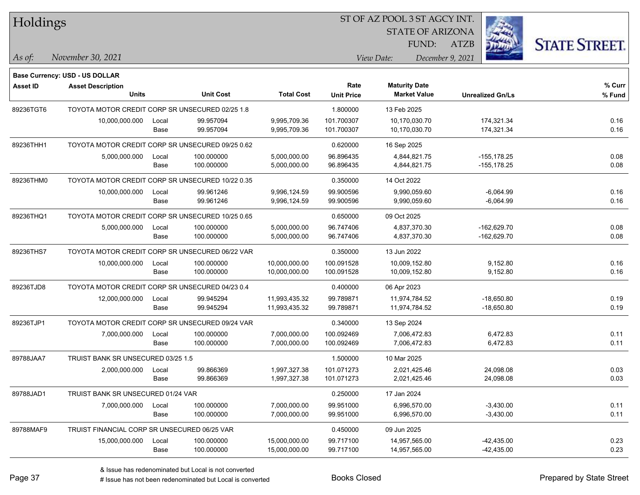| Holdings        |                                                  |       |                  |                   |                   | ST OF AZ POOL 3 ST AGCY INT. |                         |                      |
|-----------------|--------------------------------------------------|-------|------------------|-------------------|-------------------|------------------------------|-------------------------|----------------------|
|                 |                                                  |       |                  |                   |                   | <b>STATE OF ARIZONA</b>      |                         |                      |
|                 |                                                  |       |                  |                   |                   | FUND:                        | <b>ATZB</b>             | <b>STATE STREET.</b> |
| As of:          | November 30, 2021                                |       |                  |                   |                   | View Date:                   | December 9, 2021        |                      |
|                 | Base Currency: USD - US DOLLAR                   |       |                  |                   |                   |                              |                         |                      |
| <b>Asset ID</b> | <b>Asset Description</b>                         |       |                  |                   | Rate              | <b>Maturity Date</b>         |                         | % Curr               |
|                 | Units                                            |       | <b>Unit Cost</b> | <b>Total Cost</b> | <b>Unit Price</b> | <b>Market Value</b>          | <b>Unrealized Gn/Ls</b> | % Fund               |
| 89236TGT6       | TOYOTA MOTOR CREDIT CORP SR UNSECURED 02/25 1.8  |       |                  |                   | 1.800000          | 13 Feb 2025                  |                         |                      |
|                 | 10,000,000.000                                   | Local | 99.957094        | 9,995,709.36      | 101.700307        | 10,170,030.70                | 174,321.34              | 0.16                 |
|                 |                                                  | Base  | 99.957094        | 9,995,709.36      | 101.700307        | 10,170,030.70                | 174,321.34              | 0.16                 |
| 89236THH1       | TOYOTA MOTOR CREDIT CORP SR UNSECURED 09/25 0.62 |       |                  |                   | 0.620000          | 16 Sep 2025                  |                         |                      |
|                 | 5,000,000.000                                    | Local | 100.000000       | 5,000,000.00      | 96.896435         | 4,844,821.75                 | -155,178.25             | 0.08                 |
|                 |                                                  | Base  | 100.000000       | 5,000,000.00      | 96.896435         | 4,844,821.75                 | $-155, 178.25$          | 0.08                 |
| 89236THM0       | TOYOTA MOTOR CREDIT CORP SR UNSECURED 10/22 0.35 |       |                  |                   | 0.350000          | 14 Oct 2022                  |                         |                      |
|                 | 10,000,000.000                                   | Local | 99.961246        | 9,996,124.59      | 99.900596         | 9,990,059.60                 | $-6,064.99$             | 0.16                 |
|                 |                                                  | Base  | 99.961246        | 9,996,124.59      | 99.900596         | 9,990,059.60                 | $-6,064.99$             | 0.16                 |
| 89236THQ1       | TOYOTA MOTOR CREDIT CORP SR UNSECURED 10/25 0.65 |       |                  |                   | 0.650000          | 09 Oct 2025                  |                         |                      |
|                 | 5,000,000.000                                    | Local | 100.000000       | 5,000,000.00      | 96.747406         | 4,837,370.30                 | $-162,629.70$           | 0.08                 |
|                 |                                                  | Base  | 100.000000       | 5,000,000.00      | 96.747406         | 4,837,370.30                 | $-162,629.70$           | 0.08                 |
| 89236THS7       | TOYOTA MOTOR CREDIT CORP SR UNSECURED 06/22 VAR  |       |                  |                   | 0.350000          | 13 Jun 2022                  |                         |                      |
|                 | 10,000,000.000                                   | Local | 100.000000       | 10,000,000.00     | 100.091528        | 10,009,152.80                | 9,152.80                | 0.16                 |
|                 |                                                  | Base  | 100.000000       | 10,000,000.00     | 100.091528        | 10,009,152.80                | 9,152.80                | 0.16                 |
| 89236TJD8       | TOYOTA MOTOR CREDIT CORP SR UNSECURED 04/23 0.4  |       |                  |                   | 0.400000          | 06 Apr 2023                  |                         |                      |
|                 | 12,000,000.000                                   | Local | 99.945294        | 11,993,435.32     | 99.789871         | 11,974,784.52                | $-18,650.80$            | 0.19                 |
|                 |                                                  | Base  | 99.945294        | 11,993,435.32     | 99.789871         | 11,974,784.52                | $-18,650.80$            | 0.19                 |
| 89236TJP1       | TOYOTA MOTOR CREDIT CORP SR UNSECURED 09/24 VAR  |       |                  |                   | 0.340000          | 13 Sep 2024                  |                         |                      |
|                 | 7,000,000.000                                    | Local | 100.000000       | 7,000,000.00      | 100.092469        | 7,006,472.83                 | 6,472.83                | 0.11                 |
|                 |                                                  | Base  | 100.000000       | 7,000,000.00      | 100.092469        | 7,006,472.83                 | 6,472.83                | 0.11                 |
| 89788JAA7       | TRUIST BANK SR UNSECURED 03/25 1.5               |       |                  |                   | 1.500000          | 10 Mar 2025                  |                         |                      |
|                 | 2,000,000.000                                    | Local | 99.866369        | 1,997,327.38      | 101.071273        | 2,021,425.46                 | 24,098.08               | 0.03                 |
|                 |                                                  | Base  | 99.866369        | 1,997,327.38      | 101.071273        | 2,021,425.46                 | 24,098.08               | 0.03                 |
| 89788JAD1       | TRUIST BANK SR UNSECURED 01/24 VAR               |       |                  |                   | 0.250000          | 17 Jan 2024                  |                         |                      |
|                 | 7,000,000.000                                    | Local | 100.000000       | 7,000,000.00      | 99.951000         | 6,996,570.00                 | $-3,430.00$             | 0.11                 |
|                 |                                                  | Base  | 100.000000       | 7,000,000.00      | 99.951000         | 6,996,570.00                 | $-3,430.00$             | 0.11                 |
| 89788MAF9       | TRUIST FINANCIAL CORP SR UNSECURED 06/25 VAR     |       |                  |                   | 0.450000          | 09 Jun 2025                  |                         |                      |
|                 | 15,000,000.000 Local                             |       | 100.000000       | 15,000,000.00     | 99.717100         | 14,957,565.00                | $-42,435.00$            | 0.23                 |

Base 100.000000 15,000,000.00 99.717100 14,957,565.00 0.23

ST OF AZ POOL 3 ST AGCY INT.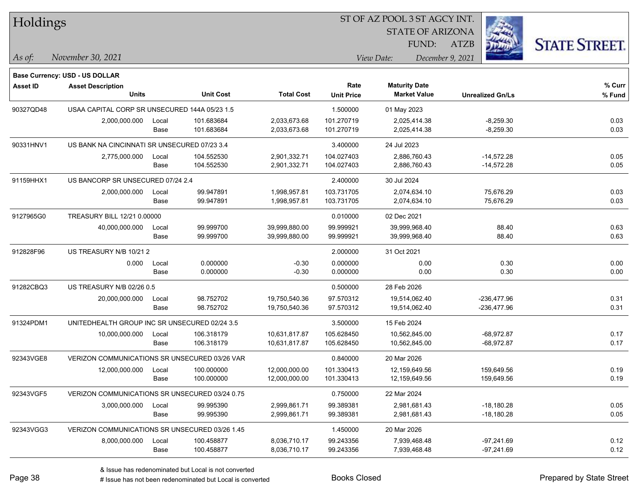| Holdings        |                                                |       |                  |                   | ST OF AZ POOL 3 ST AGCY INT. |                                |                         |                      |
|-----------------|------------------------------------------------|-------|------------------|-------------------|------------------------------|--------------------------------|-------------------------|----------------------|
|                 |                                                |       |                  |                   |                              | <b>STATE OF ARIZONA</b>        |                         |                      |
|                 |                                                |       |                  |                   |                              | FUND:                          | <b>ATZB</b>             | <b>STATE STREET.</b> |
| As of:          | November 30, 2021                              |       |                  |                   |                              | View Date:<br>December 9, 2021 |                         |                      |
|                 | Base Currency: USD - US DOLLAR                 |       |                  |                   |                              |                                |                         |                      |
| <b>Asset ID</b> | <b>Asset Description</b>                       |       |                  |                   | Rate                         | <b>Maturity Date</b>           |                         | % Curr               |
|                 | <b>Units</b>                                   |       | <b>Unit Cost</b> | <b>Total Cost</b> | <b>Unit Price</b>            | <b>Market Value</b>            | <b>Unrealized Gn/Ls</b> | % Fund               |
| 90327QD48       | USAA CAPITAL CORP SR UNSECURED 144A 05/23 1.5  |       |                  |                   | 1.500000                     | 01 May 2023                    |                         |                      |
|                 | 2,000,000.000                                  | Local | 101.683684       | 2,033,673.68      | 101.270719                   | 2,025,414.38                   | $-8,259.30$             | 0.03                 |
|                 |                                                | Base  | 101.683684       | 2,033,673.68      | 101.270719                   | 2,025,414.38                   | $-8,259.30$             | 0.03                 |
| 90331HNV1       | US BANK NA CINCINNATI SR UNSECURED 07/23 3.4   |       |                  |                   | 3.400000                     | 24 Jul 2023                    |                         |                      |
|                 | 2,775,000.000                                  | Local | 104.552530       | 2,901,332.71      | 104.027403                   | 2,886,760.43                   | $-14,572.28$            | 0.05                 |
|                 |                                                | Base  | 104.552530       | 2,901,332.71      | 104.027403                   | 2,886,760.43                   | $-14,572.28$            | 0.05                 |
| 91159HHX1       | US BANCORP SR UNSECURED 07/24 2.4              |       |                  |                   | 2.400000                     | 30 Jul 2024                    |                         |                      |
|                 | 2,000,000.000                                  | Local | 99.947891        | 1,998,957.81      | 103.731705                   | 2,074,634.10                   | 75,676.29               | 0.03                 |
|                 |                                                | Base  | 99.947891        | 1,998,957.81      | 103.731705                   | 2,074,634.10                   | 75,676.29               | 0.03                 |
| 9127965G0       | TREASURY BILL 12/21 0.00000                    |       |                  |                   | 0.010000                     | 02 Dec 2021                    |                         |                      |
|                 | 40,000,000.000                                 | Local | 99.999700        | 39,999,880.00     | 99.999921                    | 39,999,968.40                  | 88.40                   | 0.63                 |
|                 |                                                | Base  | 99.999700        | 39,999,880.00     | 99.999921                    | 39,999,968.40                  | 88.40                   | 0.63                 |
| 912828F96       | US TREASURY N/B 10/21 2                        |       |                  |                   | 2.000000                     | 31 Oct 2021                    |                         |                      |
|                 | 0.000                                          | Local | 0.000000         | $-0.30$           | 0.000000                     | 0.00                           | 0.30                    | 0.00                 |
|                 |                                                | Base  | 0.000000         | $-0.30$           | 0.000000                     | 0.00                           | 0.30                    | 0.00                 |
| 91282CBQ3       | US TREASURY N/B 02/26 0.5                      |       |                  |                   | 0.500000                     | 28 Feb 2026                    |                         |                      |
|                 | 20,000,000.000                                 | Local | 98.752702        | 19,750,540.36     | 97.570312                    | 19,514,062.40                  | -236,477.96             | 0.31                 |
|                 |                                                | Base  | 98.752702        | 19,750,540.36     | 97.570312                    | 19,514,062.40                  | $-236,477.96$           | 0.31                 |
| 91324PDM1       | UNITEDHEALTH GROUP INC SR UNSECURED 02/24 3.5  |       |                  |                   | 3.500000                     | 15 Feb 2024                    |                         |                      |
|                 | 10,000,000.000                                 | Local | 106.318179       | 10,631,817.87     | 105.628450                   | 10,562,845.00                  | $-68,972.87$            | 0.17                 |
|                 |                                                | Base  | 106.318179       | 10,631,817.87     | 105.628450                   | 10,562,845.00                  | -68,972.87              | 0.17                 |
| 92343VGE8       | VERIZON COMMUNICATIONS SR UNSECURED 03/26 VAR  |       |                  |                   | 0.840000                     | 20 Mar 2026                    |                         |                      |
|                 | 12,000,000.000                                 | Local | 100.000000       | 12,000,000.00     | 101.330413                   | 12,159,649.56                  | 159,649.56              | 0.19                 |
|                 |                                                | Base  | 100.000000       | 12,000,000.00     | 101.330413                   | 12,159,649.56                  | 159,649.56              | 0.19                 |
| 92343VGF5       | VERIZON COMMUNICATIONS SR UNSECURED 03/24 0.75 |       |                  |                   | 0.750000                     | 22 Mar 2024                    |                         |                      |
|                 | 3,000,000.000                                  | Local | 99.995390        | 2,999,861.71      | 99.389381                    | 2,981,681.43                   | $-18,180.28$            | 0.05                 |
|                 |                                                | Base  | 99.995390        | 2,999,861.71      | 99.389381                    | 2,981,681.43                   | $-18,180.28$            | 0.05                 |
| 92343VGG3       | VERIZON COMMUNICATIONS SR UNSECURED 03/26 1.45 |       |                  |                   | 1.450000                     | 20 Mar 2026                    |                         |                      |
|                 | 8,000,000.000                                  | Local | 100.458877       | 8,036,710.17      | 99.243356                    | 7,939,468.48                   | $-97,241.69$            | 0.12                 |
|                 |                                                | Base  | 100.458877       | 8,036,710.17      | 99.243356                    | 7,939,468.48                   | -97,241.69              | 0.12                 |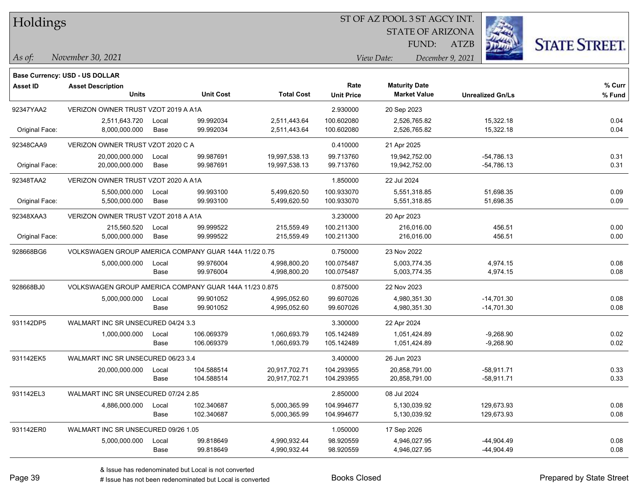| Holdings |
|----------|
|          |

STATE OF ARIZONA FUND:

ATZB



*As of: View Date: December 9, 2021*

| As of: | November 30, 2021 |  |
|--------|-------------------|--|
|        |                   |  |

|                 | Base Currency: USD - US DOLLAR                         |               |                          |                                |                           |                                             |                              |                  |
|-----------------|--------------------------------------------------------|---------------|--------------------------|--------------------------------|---------------------------|---------------------------------------------|------------------------------|------------------|
| <b>Asset ID</b> | <b>Asset Description</b><br><b>Units</b>               |               | <b>Unit Cost</b>         | <b>Total Cost</b>              | Rate<br><b>Unit Price</b> | <b>Maturity Date</b><br><b>Market Value</b> | <b>Unrealized Gn/Ls</b>      | % Curr<br>% Fund |
| 92347YAA2       | VERIZON OWNER TRUST VZOT 2019 A A1A                    |               |                          |                                | 2.930000                  | 20 Sep 2023                                 |                              |                  |
| Original Face:  | 2,511,643.720<br>8,000,000.000                         | Local<br>Base | 99.992034<br>99.992034   | 2,511,443.64<br>2,511,443.64   | 100.602080<br>100.602080  | 2,526,765.82<br>2,526,765.82                | 15,322.18<br>15,322.18       | 0.04<br>0.04     |
| 92348CAA9       | VERIZON OWNER TRUST VZOT 2020 C A                      |               |                          |                                | 0.410000                  | 21 Apr 2025                                 |                              |                  |
| Original Face:  | 20,000,000.000<br>20,000,000.000                       | Local<br>Base | 99.987691<br>99.987691   | 19,997,538.13<br>19,997,538.13 | 99.713760<br>99.713760    | 19,942,752.00<br>19,942,752.00              | $-54,786.13$<br>-54,786.13   | 0.31<br>0.31     |
| 92348TAA2       | VERIZON OWNER TRUST VZOT 2020 A A1A                    |               |                          |                                | 1.850000                  | 22 Jul 2024                                 |                              |                  |
| Original Face:  | 5,500,000.000<br>5,500,000.000                         | Local<br>Base | 99.993100<br>99.993100   | 5,499,620.50<br>5,499,620.50   | 100.933070<br>100.933070  | 5,551,318.85<br>5,551,318.85                | 51,698.35<br>51,698.35       | 0.09<br>0.09     |
| 92348XAA3       | VERIZON OWNER TRUST VZOT 2018 A A1A                    |               |                          |                                | 3.230000                  | 20 Apr 2023                                 |                              |                  |
| Original Face:  | 215,560.520<br>5,000,000.000                           | Local<br>Base | 99.999522<br>99.999522   | 215,559.49<br>215,559.49       | 100.211300<br>100.211300  | 216,016.00<br>216,016.00                    | 456.51<br>456.51             | 0.00<br>0.00     |
| 928668BG6       | VOLKSWAGEN GROUP AMERICA COMPANY GUAR 144A 11/22 0.75  |               |                          |                                | 0.750000                  | 23 Nov 2022                                 |                              |                  |
|                 | 5,000,000.000                                          | Local<br>Base | 99.976004<br>99.976004   | 4,998,800.20<br>4,998,800.20   | 100.075487<br>100.075487  | 5,003,774.35<br>5,003,774.35                | 4,974.15<br>4,974.15         | 0.08<br>0.08     |
| 928668BJ0       | VOLKSWAGEN GROUP AMERICA COMPANY GUAR 144A 11/23 0.875 |               |                          |                                | 0.875000                  | 22 Nov 2023                                 |                              |                  |
|                 | 5,000,000.000                                          | Local<br>Base | 99.901052<br>99.901052   | 4,995,052.60<br>4,995,052.60   | 99.607026<br>99.607026    | 4,980,351.30<br>4,980,351.30                | $-14,701.30$<br>$-14,701.30$ | 0.08<br>0.08     |
| 931142DP5       | WALMART INC SR UNSECURED 04/24 3.3                     |               |                          |                                | 3.300000                  | 22 Apr 2024                                 |                              |                  |
|                 | 1,000,000.000                                          | Local<br>Base | 106.069379<br>106.069379 | 1,060,693.79<br>1,060,693.79   | 105.142489<br>105.142489  | 1,051,424.89<br>1,051,424.89                | $-9,268.90$<br>$-9,268.90$   | 0.02<br>0.02     |
| 931142EK5       | WALMART INC SR UNSECURED 06/23 3.4                     |               |                          |                                | 3.400000                  | 26 Jun 2023                                 |                              |                  |
|                 | 20,000,000.000                                         | Local<br>Base | 104.588514<br>104.588514 | 20,917,702.71<br>20,917,702.71 | 104.293955<br>104.293955  | 20,858,791.00<br>20,858,791.00              | $-58,911.71$<br>$-58,911.71$ | 0.33<br>0.33     |
| 931142EL3       | WALMART INC SR UNSECURED 07/24 2.85                    |               |                          |                                | 2.850000                  | 08 Jul 2024                                 |                              |                  |
|                 | 4,886,000.000                                          | Local<br>Base | 102.340687<br>102.340687 | 5,000,365.99<br>5,000,365.99   | 104.994677<br>104.994677  | 5,130,039.92<br>5,130,039.92                | 129,673.93<br>129,673.93     | 0.08<br>0.08     |
| 931142ER0       | WALMART INC SR UNSECURED 09/26 1.05                    |               |                          |                                | 1.050000                  | 17 Sep 2026                                 |                              |                  |
|                 | 5,000,000.000                                          | Local<br>Base | 99.818649<br>99.818649   | 4,990,932.44<br>4,990,932.44   | 98.920559<br>98.920559    | 4,946,027.95<br>4,946,027.95                | $-44,904.49$<br>$-44,904.49$ | 0.08<br>0.08     |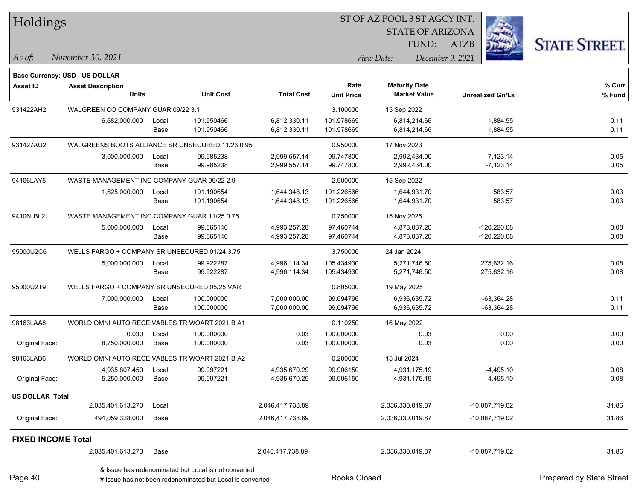| Holdings                  |                                                  |               |                                                           |                              |                          | ST OF AZ POOL 3 ST AGCY INT. |                            |                          |
|---------------------------|--------------------------------------------------|---------------|-----------------------------------------------------------|------------------------------|--------------------------|------------------------------|----------------------------|--------------------------|
|                           |                                                  |               |                                                           |                              |                          | <b>STATE OF ARIZONA</b>      |                            |                          |
|                           |                                                  |               |                                                           |                              |                          | FUND:                        | <b>ATZB</b>                | <b>STATE STREET.</b>     |
| As of:                    | November 30, 2021                                |               |                                                           |                              |                          | View Date:                   | December 9, 2021           |                          |
|                           | Base Currency: USD - US DOLLAR                   |               |                                                           |                              |                          |                              |                            |                          |
| <b>Asset ID</b>           | <b>Asset Description</b>                         |               |                                                           |                              | Rate                     | <b>Maturity Date</b>         |                            | % Curr                   |
|                           | <b>Units</b>                                     |               | <b>Unit Cost</b>                                          | <b>Total Cost</b>            | <b>Unit Price</b>        | <b>Market Value</b>          | <b>Unrealized Gn/Ls</b>    | % Fund                   |
| 931422AH2                 | WALGREEN CO COMPANY GUAR 09/22 3.1               |               |                                                           |                              | 3.100000                 | 15 Sep 2022                  |                            |                          |
|                           | 6,682,000.000                                    | Local         | 101.950466                                                | 6,812,330.11                 | 101.978669               | 6,814,214.66                 | 1,884.55                   | 0.11                     |
|                           |                                                  | Base          | 101.950466                                                | 6,812,330.11                 | 101.978669               | 6,814,214.66                 | 1,884.55                   | 0.11                     |
| 931427AU2                 | WALGREENS BOOTS ALLIANCE SR UNSECURED 11/23 0.95 |               |                                                           |                              | 0.950000                 | 17 Nov 2023                  |                            |                          |
|                           | 3,000,000.000                                    | Local         | 99.985238                                                 | 2,999,557.14                 | 99.747800                | 2,992,434.00                 | $-7,123.14$                | 0.05                     |
|                           |                                                  | Base          | 99.985238                                                 | 2,999,557.14                 | 99.747800                | 2,992,434.00                 | $-7,123.14$                | 0.05                     |
| 94106LAY5                 | WASTE MANAGEMENT INC COMPANY GUAR 09/22 2.9      |               |                                                           |                              | 2.900000                 | 15 Sep 2022                  |                            |                          |
|                           | 1,625,000.000                                    | Local         | 101.190654                                                | 1,644,348.13                 | 101.226566               | 1,644,931.70                 | 583.57                     | 0.03                     |
|                           |                                                  | Base          | 101.190654                                                | 1,644,348.13                 | 101.226566               | 1,644,931.70                 | 583.57                     | 0.03                     |
| 94106LBL2                 | WASTE MANAGEMENT INC COMPANY GUAR 11/25 0.75     |               |                                                           |                              | 0.750000                 | 15 Nov 2025                  |                            |                          |
|                           | 5,000,000.000                                    | Local         | 99.865146                                                 | 4,993,257.28                 | 97.460744                | 4,873,037.20                 | $-120,220.08$              | 0.08                     |
|                           |                                                  | Base          | 99.865146                                                 | 4,993,257.28                 | 97.460744                | 4,873,037.20                 | $-120,220.08$              | 0.08                     |
| 95000U2C6                 | WELLS FARGO + COMPANY SR UNSECURED 01/24 3.75    |               |                                                           |                              | 3.750000                 | 24 Jan 2024                  |                            |                          |
|                           | 5,000,000.000                                    | Local         | 99.922287                                                 | 4,996,114.34                 | 105.434930               | 5,271,746.50                 | 275,632.16                 | 0.08                     |
|                           |                                                  | Base          | 99.922287                                                 | 4,996,114.34                 | 105.434930               | 5,271,746.50                 | 275,632.16                 | 0.08                     |
| 95000U2T9                 | WELLS FARGO + COMPANY SR UNSECURED 05/25 VAR     |               |                                                           |                              | 0.805000                 | 19 May 2025                  |                            |                          |
|                           | 7,000,000.000                                    | Local         | 100.000000                                                | 7,000,000.00                 | 99.094796                | 6,936,635.72                 | $-63,364.28$               | 0.11                     |
|                           |                                                  | Base          | 100.000000                                                | 7,000,000.00                 | 99.094796                | 6,936,635.72                 | $-63,364.28$               | 0.11                     |
| 98163LAA8                 | WORLD OMNI AUTO RECEIVABLES TR WOART 2021 B A1   |               |                                                           |                              | 0.110250                 | 16 May 2022                  |                            |                          |
| Original Face:            | 0.030<br>8,750,000.000                           | Local<br>Base | 100.000000<br>100.000000                                  | 0.03<br>0.03                 | 100.000000<br>100.000000 | 0.03<br>0.03                 | 0.00<br>0.00               | 0.00<br>0.00             |
|                           |                                                  |               |                                                           |                              |                          |                              |                            |                          |
| 98163LAB6                 | WORLD OMNI AUTO RECEIVABLES TR WOART 2021 B A2   |               |                                                           |                              | 0.200000                 | 15 Jul 2024                  |                            |                          |
| Original Face:            | 4,935,807.450<br>5,250,000.000                   | Local<br>Base | 99.997221<br>99.997221                                    | 4,935,670.29<br>4,935,670.29 | 99.906150<br>99.906150   | 4,931,175.19<br>4,931,175.19 | $-4,495.10$<br>$-4,495.10$ | 0.08<br>0.08             |
|                           |                                                  |               |                                                           |                              |                          |                              |                            |                          |
| <b>US DOLLAR Total</b>    |                                                  |               |                                                           |                              |                          |                              |                            |                          |
|                           | 2,035,401,613.270                                | Local         |                                                           | 2,046,417,738.89             |                          | 2,036,330,019.87             | -10,087,719.02             | 31.86                    |
| Original Face:            | 494,059,328.000                                  | Base          |                                                           | 2,046,417,738.89             |                          | 2,036,330,019.87             | -10,087,719.02             | 31.86                    |
| <b>FIXED INCOME Total</b> |                                                  |               |                                                           |                              |                          |                              |                            |                          |
|                           | 2,035,401,613.270                                | Base          |                                                           | 2,046,417,738.89             |                          | 2,036,330,019.87             | $-10,087,719.02$           | 31.86                    |
|                           |                                                  |               | & Issue has redenominated but Local is not converted      |                              |                          |                              |                            |                          |
| Page 40                   |                                                  |               | # Issue has not been redenominated but Local is converted |                              | <b>Books Closed</b>      |                              |                            | Prepared by State Street |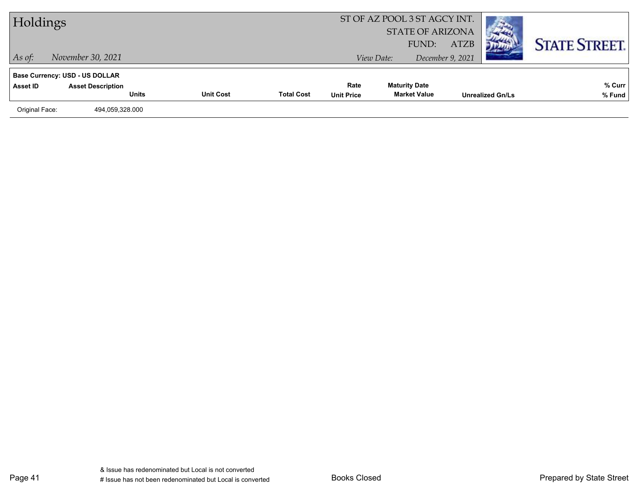| Holdings       |                                       |                  |                   | ST OF AZ POOL 3 ST AGCY INT.<br><b>STATE OF ARIZONA</b><br>FUND: | <b>ATZB</b>          |                  | <b>STATE STREET.</b>    |        |
|----------------|---------------------------------------|------------------|-------------------|------------------------------------------------------------------|----------------------|------------------|-------------------------|--------|
| $\vert$ As of: | November 30, 2021                     |                  |                   |                                                                  | View Date:           | December 9, 2021 |                         |        |
|                | <b>Base Currency: USD - US DOLLAR</b> |                  |                   |                                                                  |                      |                  |                         |        |
| Asset ID       | <b>Asset Description</b>              |                  |                   | Rate                                                             | <b>Maturity Date</b> |                  |                         | % Curr |
|                | <b>Units</b>                          | <b>Unit Cost</b> | <b>Total Cost</b> | <b>Unit Price</b>                                                | <b>Market Value</b>  |                  | <b>Unrealized Gn/Ls</b> | % Fund |
| Original Face: | 494,059,328.000                       |                  |                   |                                                                  |                      |                  |                         |        |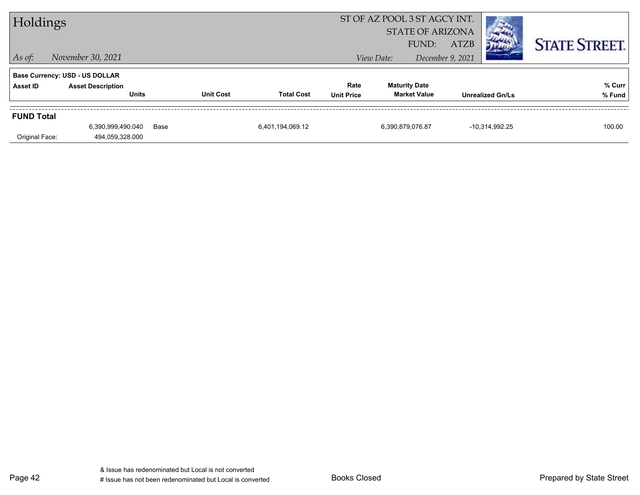| Holdings                            |                                                                                   |      |                  |                   |                           |                  | ST OF AZ POOL 3 ST AGCY INT.<br><b>STATE OF ARIZONA</b> |             |                         |                      |
|-------------------------------------|-----------------------------------------------------------------------------------|------|------------------|-------------------|---------------------------|------------------|---------------------------------------------------------|-------------|-------------------------|----------------------|
| $\vert$ As of:                      | November 30, 2021                                                                 |      |                  |                   |                           | View Date:       | FUND:<br>December 9, 2021                               | <b>ATZB</b> |                         | <b>STATE STREET.</b> |
| Asset ID                            | <b>Base Currency: USD - US DOLLAR</b><br><b>Asset Description</b><br><b>Units</b> |      | <b>Unit Cost</b> | <b>Total Cost</b> | Rate<br><b>Unit Price</b> |                  | <b>Maturity Date</b><br><b>Market Value</b>             |             | <b>Unrealized Gn/Ls</b> | % Curr<br>% Fund     |
| <b>FUND Total</b><br>Original Face: | 6,390,999,490.040<br>494.059.328.000                                              | Base |                  | 6,401,194,069.12  |                           | 6,390,879,076.87 |                                                         |             | $-10,314,992.25$        | 100.00               |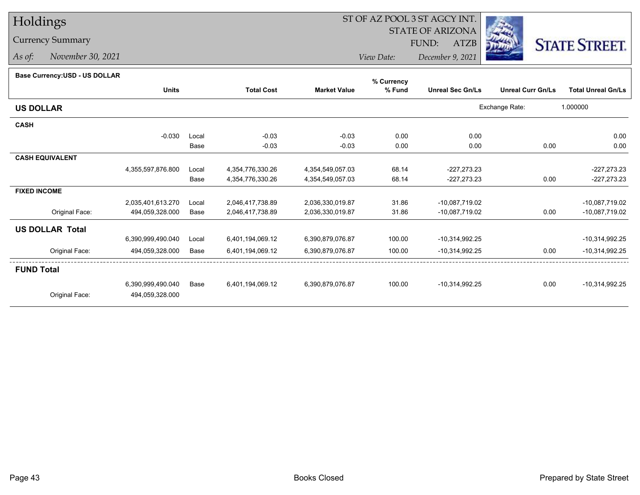# Holdings

### Currency Summary

*As of: November 30, 2021*

## ST OF AZ POOL 3 ST AGCY INT.

 STATE OF ARIZONAFUND:

ATZB



*View Date:December 9, 2021*

#### **Base Currency:USD - US DOLLAR**

|                        |                   |       |                   |                     | % Currency |                         |                          |                           |
|------------------------|-------------------|-------|-------------------|---------------------|------------|-------------------------|--------------------------|---------------------------|
|                        | <b>Units</b>      |       | <b>Total Cost</b> | <b>Market Value</b> | % Fund     | <b>Unreal Sec Gn/Ls</b> | <b>Unreal Curr Gn/Ls</b> | <b>Total Unreal Gn/Ls</b> |
| <b>US DOLLAR</b>       |                   |       |                   |                     |            |                         | Exchange Rate:           | 1.000000                  |
| <b>CASH</b>            |                   |       |                   |                     |            |                         |                          |                           |
|                        | $-0.030$          | Local | $-0.03$           | $-0.03$             | 0.00       | 0.00                    |                          | 0.00                      |
|                        |                   | Base  | $-0.03$           | $-0.03$             | 0.00       | 0.00                    | 0.00                     | 0.00                      |
| <b>CASH EQUIVALENT</b> |                   |       |                   |                     |            |                         |                          |                           |
|                        | 4,355,597,876.800 | Local | 4,354,776,330.26  | 4,354,549,057.03    | 68.14      | $-227,273.23$           |                          | $-227,273.23$             |
|                        |                   | Base  | 4,354,776,330.26  | 4,354,549,057.03    | 68.14      | $-227,273.23$           | 0.00                     | $-227,273.23$             |
| <b>FIXED INCOME</b>    |                   |       |                   |                     |            |                         |                          |                           |
|                        | 2,035,401,613.270 | Local | 2,046,417,738.89  | 2,036,330,019.87    | 31.86      | -10,087,719.02          |                          | -10,087,719.02            |
| Original Face:         | 494,059,328.000   | Base  | 2,046,417,738.89  | 2,036,330,019.87    | 31.86      | -10,087,719.02          | 0.00                     | -10,087,719.02            |
| <b>US DOLLAR Total</b> |                   |       |                   |                     |            |                         |                          |                           |
|                        | 6,390,999,490.040 | Local | 6,401,194,069.12  | 6,390,879,076.87    | 100.00     | $-10,314,992.25$        |                          | $-10,314,992.25$          |
| Original Face:         | 494,059,328.000   | Base  | 6,401,194,069.12  | 6,390,879,076.87    | 100.00     | $-10,314,992.25$        | 0.00                     | $-10,314,992.25$          |
| <b>FUND Total</b>      |                   |       |                   |                     |            |                         |                          |                           |
|                        | 6,390,999,490.040 | Base  | 6,401,194,069.12  | 6,390,879,076.87    | 100.00     | $-10,314,992.25$        | 0.00                     | $-10,314,992.25$          |
| Original Face:         | 494,059,328.000   |       |                   |                     |            |                         |                          |                           |
|                        |                   |       |                   |                     |            |                         |                          |                           |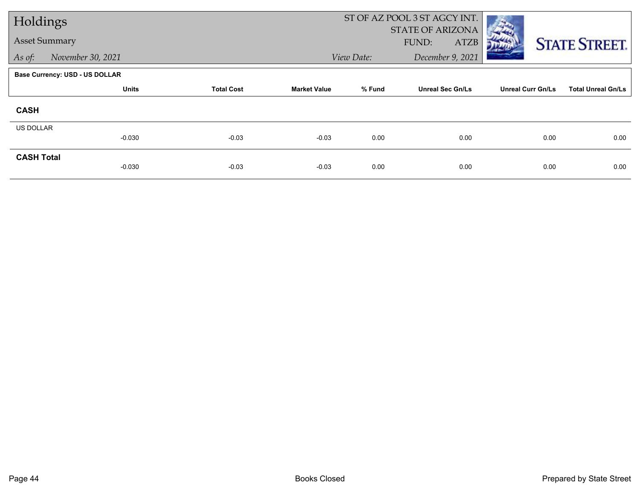| Holdings             |                                |                   |                     | ST OF AZ POOL 3 ST AGCY INT. |                         |                          |                           |
|----------------------|--------------------------------|-------------------|---------------------|------------------------------|-------------------------|--------------------------|---------------------------|
|                      |                                |                   |                     |                              | <b>STATE OF ARIZONA</b> |                          |                           |
| <b>Asset Summary</b> |                                |                   |                     |                              | FUND:<br><b>ATZB</b>    |                          | <b>STATE STREET.</b>      |
| As of:               | November 30, 2021              |                   |                     | View Date:                   | December 9, 2021        |                          |                           |
|                      | Base Currency: USD - US DOLLAR |                   |                     |                              |                         |                          |                           |
|                      | <b>Units</b>                   | <b>Total Cost</b> | <b>Market Value</b> | % Fund                       | <b>Unreal Sec Gn/Ls</b> | <b>Unreal Curr Gn/Ls</b> | <b>Total Unreal Gn/Ls</b> |
| <b>CASH</b>          |                                |                   |                     |                              |                         |                          |                           |
| US DOLLAR            |                                |                   |                     |                              |                         |                          |                           |
|                      | $-0.030$                       | $-0.03$           | $-0.03$             | 0.00                         | 0.00                    | 0.00                     | 0.00                      |
| <b>CASH Total</b>    |                                |                   |                     |                              |                         |                          |                           |
|                      | $-0.030$                       | $-0.03$           | $-0.03$             | 0.00                         | 0.00                    | 0.00                     | 0.00                      |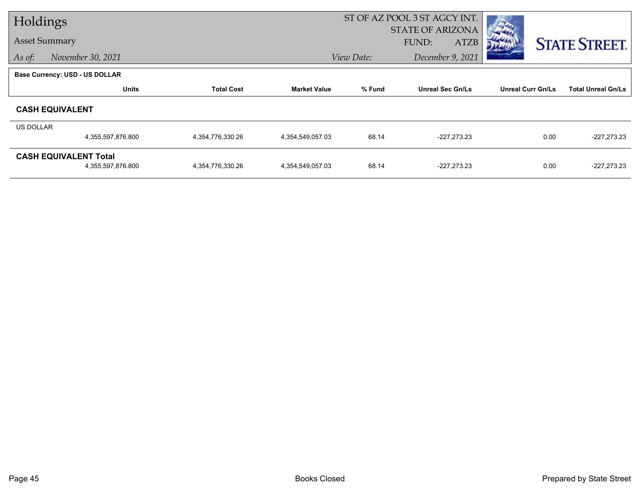| Holdings         |                                       |                   |                     | ST OF AZ POOL 3 ST AGCY INT. |                             |                          |                           |
|------------------|---------------------------------------|-------------------|---------------------|------------------------------|-----------------------------|--------------------------|---------------------------|
|                  |                                       |                   |                     |                              | <b>STATE OF ARIZONA</b>     |                          |                           |
|                  | <b>Asset Summary</b>                  |                   |                     |                              | <b>ATZB</b><br><b>FUND:</b> |                          | <b>STATE STREET.</b>      |
| As of:           | November 30, 2021                     |                   |                     | View Date:                   | December 9, 2021            |                          |                           |
|                  | <b>Base Currency: USD - US DOLLAR</b> |                   |                     |                              |                             |                          |                           |
|                  | <b>Units</b>                          | <b>Total Cost</b> | <b>Market Value</b> | % Fund                       | <b>Unreal Sec Gn/Ls</b>     | <b>Unreal Curr Gn/Ls</b> | <b>Total Unreal Gn/Ls</b> |
|                  | <b>CASH EQUIVALENT</b>                |                   |                     |                              |                             |                          |                           |
| <b>US DOLLAR</b> |                                       |                   |                     |                              |                             |                          |                           |
|                  | 4,355,597,876.800                     | 4,354,776,330.26  | 4,354,549,057.03    | 68.14                        | $-227,273.23$               | 0.00                     | $-227,273.23$             |
|                  | <b>CASH EQUIVALENT Total</b>          |                   |                     |                              |                             |                          |                           |
|                  | 4,355,597,876.800                     | 4,354,776,330.26  | 4,354,549,057.03    | 68.14                        | $-227,273.23$               | 0.00                     | $-227,273.23$             |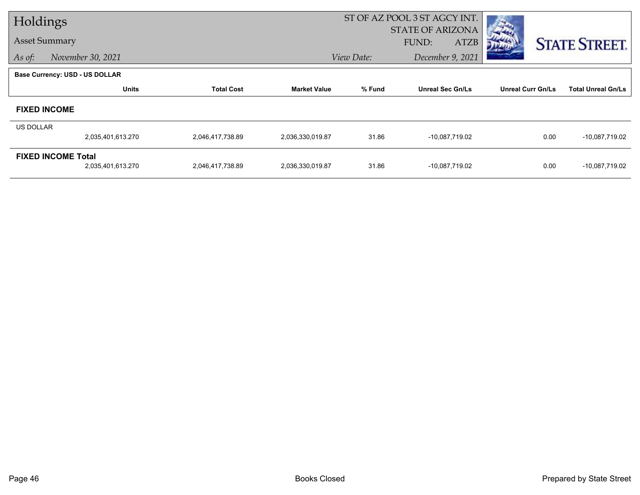| Holdings                  |                                |                   | ST OF AZ POOL 3 ST AGCY INT. |                         |                         |                          |                           |  |
|---------------------------|--------------------------------|-------------------|------------------------------|-------------------------|-------------------------|--------------------------|---------------------------|--|
|                           |                                |                   |                              | <b>STATE OF ARIZONA</b> |                         |                          |                           |  |
| <b>Asset Summary</b>      |                                |                   |                              | FUND:<br><b>ATZB</b>    |                         | <b>STATE STREET.</b>     |                           |  |
| As of:                    | November 30, 2021              |                   |                              | View Date:              | December 9, 2021        |                          |                           |  |
|                           | Base Currency: USD - US DOLLAR |                   |                              |                         |                         |                          |                           |  |
|                           | <b>Units</b>                   | <b>Total Cost</b> | <b>Market Value</b>          | % Fund                  | <b>Unreal Sec Gn/Ls</b> | <b>Unreal Curr Gn/Ls</b> | <b>Total Unreal Gn/Ls</b> |  |
|                           | <b>FIXED INCOME</b>            |                   |                              |                         |                         |                          |                           |  |
| US DOLLAR                 |                                |                   |                              |                         |                         |                          |                           |  |
|                           | 2,035,401,613.270              | 2,046,417,738.89  | 2,036,330,019.87             | 31.86                   | -10,087,719.02          | 0.00                     | -10,087,719.02            |  |
| <b>FIXED INCOME Total</b> |                                |                   |                              |                         |                         |                          |                           |  |
|                           | 2,035,401,613.270              | 2,046,417,738.89  | 2,036,330,019.87             | 31.86                   | -10,087,719.02          | 0.00                     | -10,087,719.02            |  |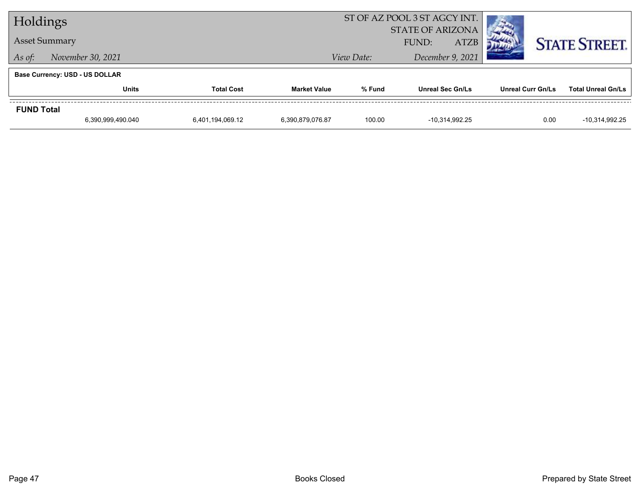| Holdings                              |                      |                   |                     | ST OF AZ POOL 3 ST AGCY INT. |                         |                   |                           |  |
|---------------------------------------|----------------------|-------------------|---------------------|------------------------------|-------------------------|-------------------|---------------------------|--|
|                                       |                      |                   |                     | <b>STATE OF ARIZONA</b>      |                         |                   |                           |  |
|                                       | <b>Asset Summary</b> |                   |                     | <b>ATZB</b><br>FUND:         |                         |                   | <b>STATE STREET.</b>      |  |
| As of:                                | November 30, 2021    |                   |                     | View Date:                   | December 9, 2021        |                   |                           |  |
| <b>Base Currency: USD - US DOLLAR</b> |                      |                   |                     |                              |                         |                   |                           |  |
|                                       | <b>Units</b>         | <b>Total Cost</b> | <b>Market Value</b> | % Fund                       | <b>Unreal Sec Gn/Ls</b> | Unreal Curr Gn/Ls | <b>Total Unreal Gn/Ls</b> |  |
| <b>FUND Total</b>                     |                      |                   |                     |                              |                         |                   |                           |  |
|                                       | 6,390,999,490.040    | 6,401,194,069.12  | 6,390,879,076.87    | 100.00                       | -10.314.992.25          | 0.00              | -10.314.992.25            |  |